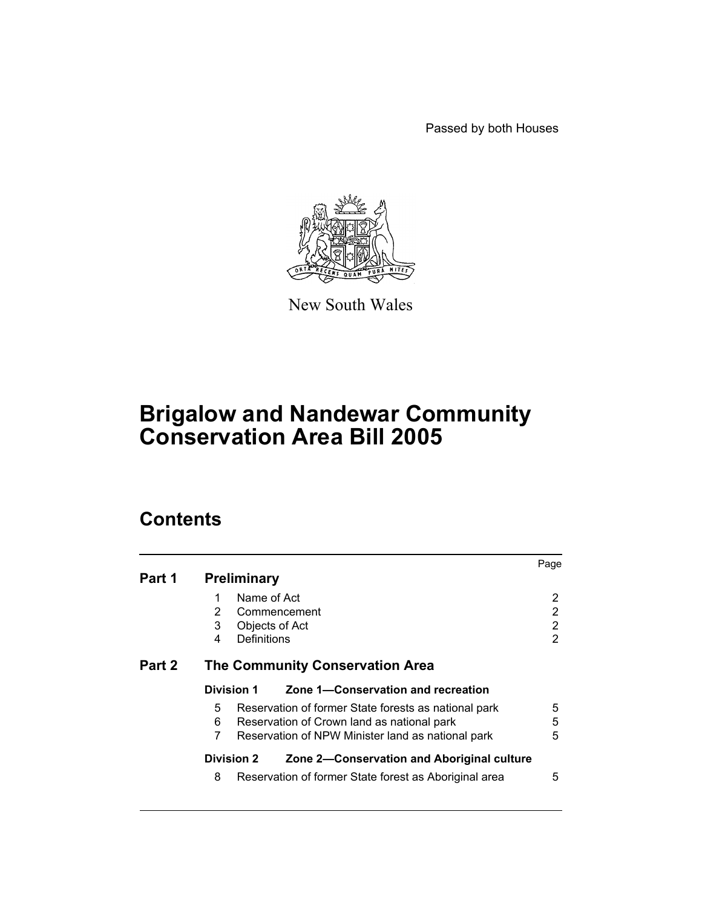Passed by both Houses



New South Wales

# **Brigalow and Nandewar Community Conservation Area Bill 2005**

# **Contents**

| Part 1 | <b>Preliminary</b>                                                                                                                                                     | Page        |
|--------|------------------------------------------------------------------------------------------------------------------------------------------------------------------------|-------------|
|        | Name of Act<br>1<br>2<br>Commencement                                                                                                                                  | 2<br>2      |
|        | 3<br>Objects of Act<br>Definitions<br>4                                                                                                                                | 2<br>2      |
| Part 2 | <b>The Community Conservation Area</b>                                                                                                                                 |             |
|        | Zone 1–Conservation and recreation<br>Division 1                                                                                                                       |             |
|        | 5<br>Reservation of former State forests as national park<br>6<br>Reservation of Crown land as national park<br>7<br>Reservation of NPW Minister land as national park | 5<br>5<br>5 |
|        | <b>Division 2</b><br>Zone 2—Conservation and Aboriginal culture                                                                                                        |             |
|        | 8<br>Reservation of former State forest as Aboriginal area                                                                                                             | 5           |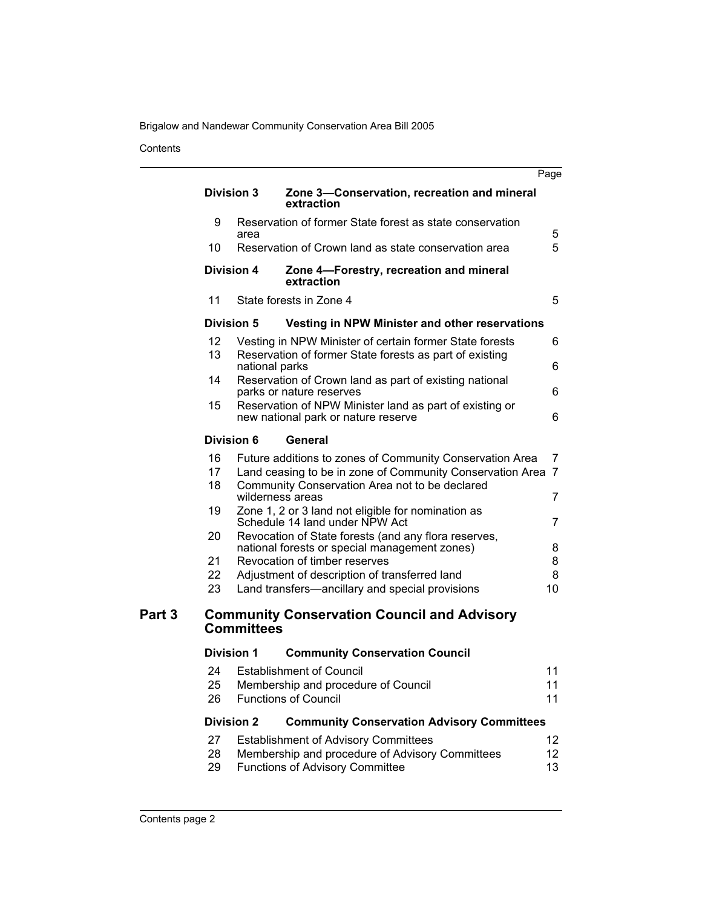**Contents** 

|        |                   |                   |                                                                                                                                          | Page           |
|--------|-------------------|-------------------|------------------------------------------------------------------------------------------------------------------------------------------|----------------|
|        | <b>Division 3</b> |                   | Zone 3-Conservation, recreation and mineral<br>extraction                                                                                |                |
|        | 9                 | area              | Reservation of former State forest as state conservation                                                                                 | 5              |
|        | 10                |                   | Reservation of Crown land as state conservation area                                                                                     | 5              |
|        | <b>Division 4</b> |                   | Zone 4-Forestry, recreation and mineral<br>extraction                                                                                    |                |
|        | 11                |                   | State forests in Zone 4                                                                                                                  | 5              |
|        | <b>Division 5</b> |                   | Vesting in NPW Minister and other reservations                                                                                           |                |
|        | 12                |                   | Vesting in NPW Minister of certain former State forests                                                                                  | 6              |
|        | 13                | national parks    | Reservation of former State forests as part of existing                                                                                  | 6              |
|        | 14                |                   | Reservation of Crown land as part of existing national<br>parks or nature reserves                                                       | 6              |
|        | 15                |                   | Reservation of NPW Minister land as part of existing or<br>new national park or nature reserve                                           | 6              |
|        | <b>Division 6</b> |                   | <b>General</b>                                                                                                                           |                |
|        | 16<br>17          |                   | Future additions to zones of Community Conservation Area<br>Land ceasing to be in zone of Community Conservation Area 7                  | $\overline{7}$ |
|        | 18                | wilderness areas  | Community Conservation Area not to be declared                                                                                           | $\overline{7}$ |
|        | 19                |                   | Zone 1, 2 or 3 land not eligible for nomination as<br>Schedule 14 land under NPW Act                                                     | $\overline{7}$ |
|        | 20                |                   | Revocation of State forests (and any flora reserves,<br>national forests or special management zones)                                    | 8              |
|        | 21                |                   | Revocation of timber reserves                                                                                                            | 8              |
|        | 22<br>23          |                   | Adjustment of description of transferred land<br>Land transfers—ancillary and special provisions                                         | 8<br>10        |
| Part 3 |                   | <b>Committees</b> | <b>Community Conservation Council and Advisory</b>                                                                                       |                |
|        | <b>Division 1</b> |                   | <b>Community Conservation Council</b>                                                                                                    |                |
|        | 24                |                   | <b>Establishment of Council</b>                                                                                                          | 11             |
|        | 25<br>26          |                   | Membership and procedure of Council<br><b>Functions of Council</b>                                                                       | 11<br>11       |
|        | <b>Division 2</b> |                   | <b>Community Conservation Advisory Committees</b>                                                                                        |                |
|        | 27<br>28<br>29    |                   | <b>Establishment of Advisory Committees</b><br>Membership and procedure of Advisory Committees<br><b>Functions of Advisory Committee</b> | 12<br>12<br>13 |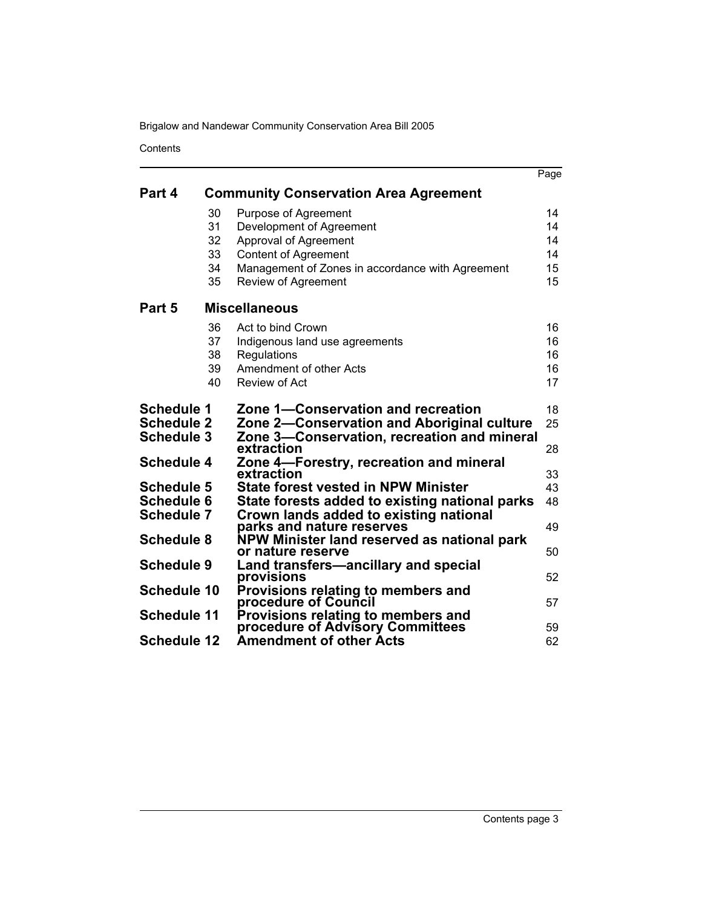**Contents** 

|                                                             |                                  |                                                                                                                                                                                     | Page                             |
|-------------------------------------------------------------|----------------------------------|-------------------------------------------------------------------------------------------------------------------------------------------------------------------------------------|----------------------------------|
| Part 4                                                      |                                  | <b>Community Conservation Area Agreement</b>                                                                                                                                        |                                  |
|                                                             | 30<br>31<br>32<br>33<br>34<br>35 | Purpose of Agreement<br>Development of Agreement<br>Approval of Agreement<br><b>Content of Agreement</b><br>Management of Zones in accordance with Agreement<br>Review of Agreement | 14<br>14<br>14<br>14<br>15<br>15 |
| Part 5                                                      |                                  | <b>Miscellaneous</b>                                                                                                                                                                |                                  |
|                                                             | 36<br>37<br>38<br>39<br>40       | Act to bind Crown<br>Indigenous land use agreements<br>Regulations<br>Amendment of other Acts<br>Review of Act                                                                      | 16<br>16<br>16<br>16<br>17       |
| <b>Schedule 1</b><br><b>Schedule 2</b><br><b>Schedule 3</b> |                                  | Zone 1–Conservation and recreation<br>Zone 2-Conservation and Aboriginal culture<br>Zone 3-Conservation, recreation and mineral                                                     | 18<br>25                         |
| <b>Schedule 4</b>                                           |                                  | extraction<br>Zone 4—Forestry, recreation and mineral                                                                                                                               | 28                               |
| <b>Schedule 5</b>                                           |                                  | extraction<br><b>State forest vested in NPW Minister</b>                                                                                                                            | 33<br>43                         |
| <b>Schedule 6</b><br><b>Schedule 7</b>                      |                                  | State forests added to existing national parks<br>Crown lands added to existing national                                                                                            | 48                               |
|                                                             |                                  | parks and nature reserves                                                                                                                                                           | 49                               |
| <b>Schedule 8</b>                                           |                                  | NPW Minister land reserved as national park<br>or nature reserve                                                                                                                    | 50                               |
| <b>Schedule 9</b>                                           |                                  | Land transfers-ancillary and special<br>provisions                                                                                                                                  | 52                               |
| <b>Schedule 10</b>                                          |                                  | Provisions relating to members and<br>procedure of Council                                                                                                                          | 57                               |
| <b>Schedule 11</b>                                          |                                  | Provisions relating to members and<br>procedure of Advisory Committees                                                                                                              | 59                               |
| <b>Schedule 12</b>                                          |                                  | <b>Amendment of other Acts</b>                                                                                                                                                      | 62                               |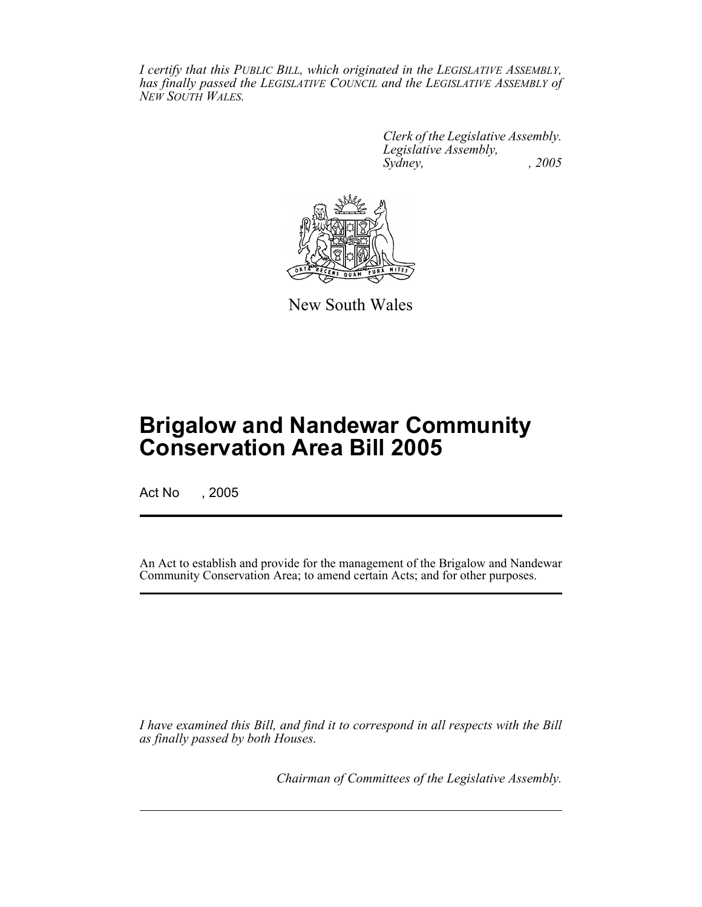*I certify that this PUBLIC BILL, which originated in the LEGISLATIVE ASSEMBLY, has finally passed the LEGISLATIVE COUNCIL and the LEGISLATIVE ASSEMBLY of NEW SOUTH WALES.*

> *Clerk of the Legislative Assembly. Legislative Assembly, Sydney, , 2005*



New South Wales

# **Brigalow and Nandewar Community Conservation Area Bill 2005**

Act No , 2005

An Act to establish and provide for the management of the Brigalow and Nandewar Community Conservation Area; to amend certain Acts; and for other purposes.

*I have examined this Bill, and find it to correspond in all respects with the Bill as finally passed by both Houses.*

*Chairman of Committees of the Legislative Assembly.*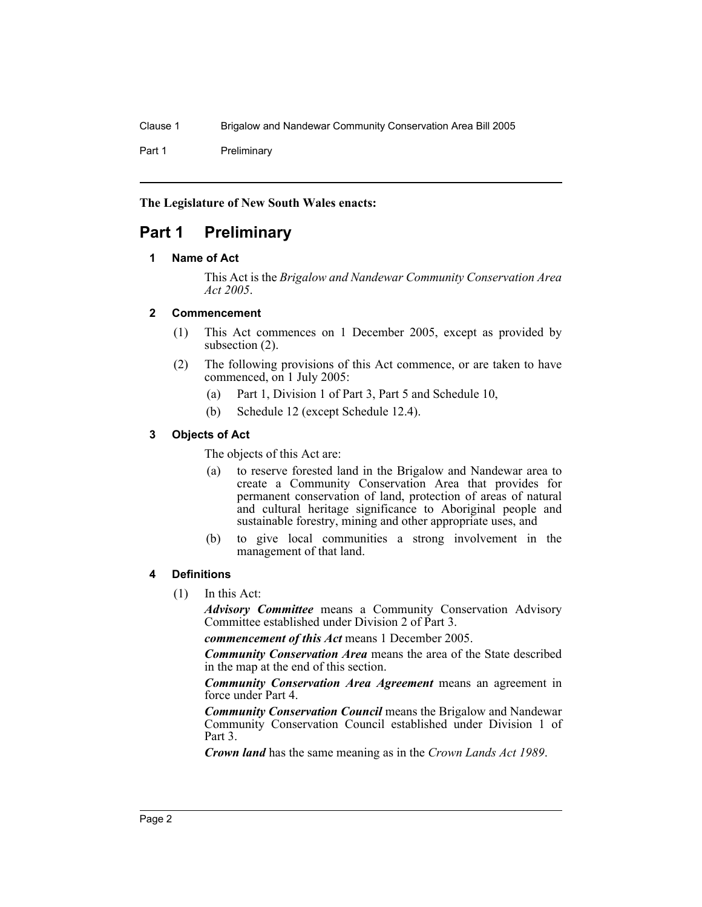Part 1 Preliminary

# **The Legislature of New South Wales enacts:**

# <span id="page-4-0"></span>**Part 1 Preliminary**

# **1 Name of Act**

This Act is the *Brigalow and Nandewar Community Conservation Area Act 2005*.

# <span id="page-4-1"></span>**2 Commencement**

- (1) This Act commences on 1 December 2005, except as provided by subsection (2).
- (2) The following provisions of this Act commence, or are taken to have commenced, on 1 July 2005:
	- (a) Part 1, Division 1 of Part 3, Part 5 and Schedule 10,
	- (b) Schedule 12 (except Schedule 12.4).

# <span id="page-4-2"></span>**3 Objects of Act**

The objects of this Act are:

- (a) to reserve forested land in the Brigalow and Nandewar area to create a Community Conservation Area that provides for permanent conservation of land, protection of areas of natural and cultural heritage significance to Aboriginal people and sustainable forestry, mining and other appropriate uses, and
- (b) to give local communities a strong involvement in the management of that land.

#### <span id="page-4-3"></span>**4 Definitions**

(1) In this Act:

*Advisory Committee* means a Community Conservation Advisory Committee established under Division 2 of Part 3.

*commencement of this Act* means 1 December 2005.

*Community Conservation Area* means the area of the State described in the map at the end of this section.

*Community Conservation Area Agreement* means an agreement in force under Part 4.

*Community Conservation Council* means the Brigalow and Nandewar Community Conservation Council established under Division 1 of Part 3.

*Crown land* has the same meaning as in the *Crown Lands Act 1989*.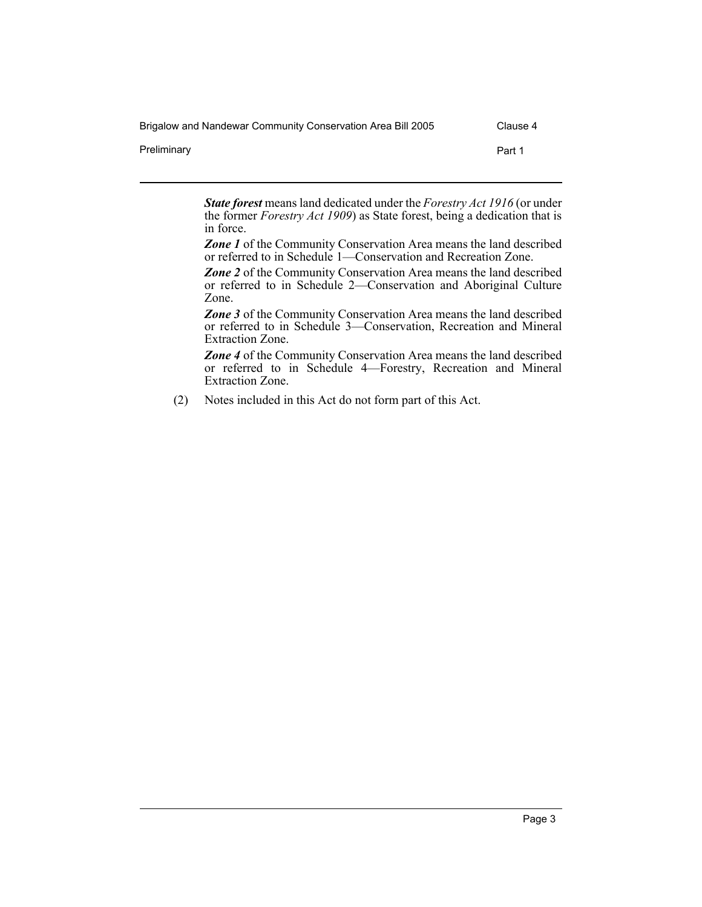| Brigalow and Nandewar Community Conservation Area Bill 2005 | Clause 4 |
|-------------------------------------------------------------|----------|
| Preliminary                                                 | Part 1   |
|                                                             |          |

*State forest* means land dedicated under the *Forestry Act 1916* (or under the former *Forestry Act 1909*) as State forest, being a dedication that is in force.

**Zone 1** of the Community Conservation Area means the land described or referred to in Schedule 1—Conservation and Recreation Zone.

*Zone 2* of the Community Conservation Area means the land described or referred to in Schedule 2—Conservation and Aboriginal Culture Zone.

**Zone 3** of the Community Conservation Area means the land described or referred to in Schedule 3—Conservation, Recreation and Mineral Extraction Zone.

*Zone 4* of the Community Conservation Area means the land described or referred to in Schedule 4—Forestry, Recreation and Mineral Extraction Zone.

(2) Notes included in this Act do not form part of this Act.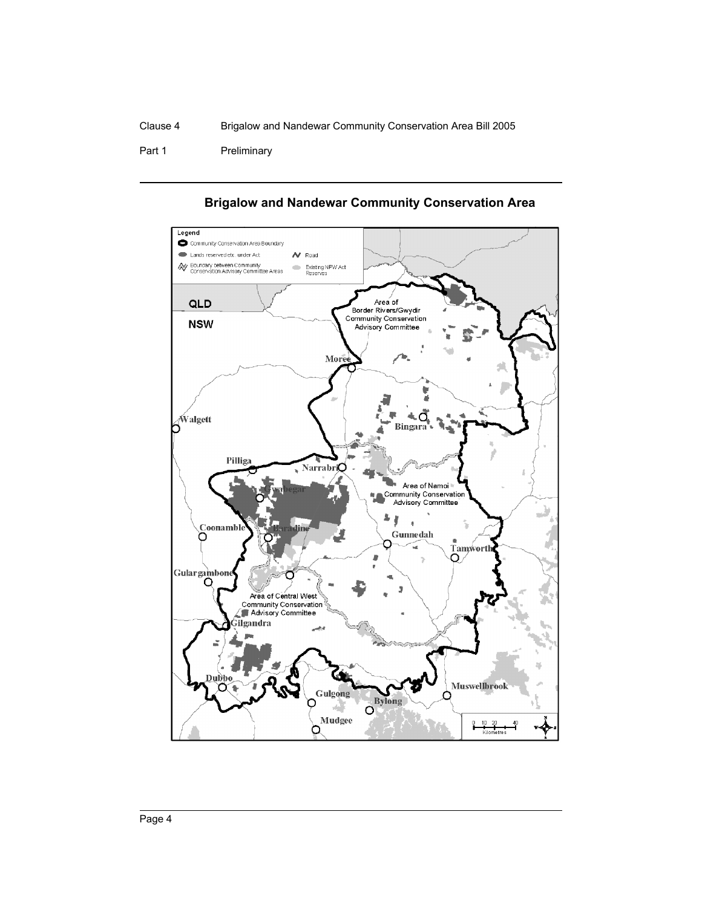# Clause 4 Brigalow and Nandewar Community Conservation Area Bill 2005 Part 1 Preliminary



# **Brigalow and Nandewar Community Conservation Area**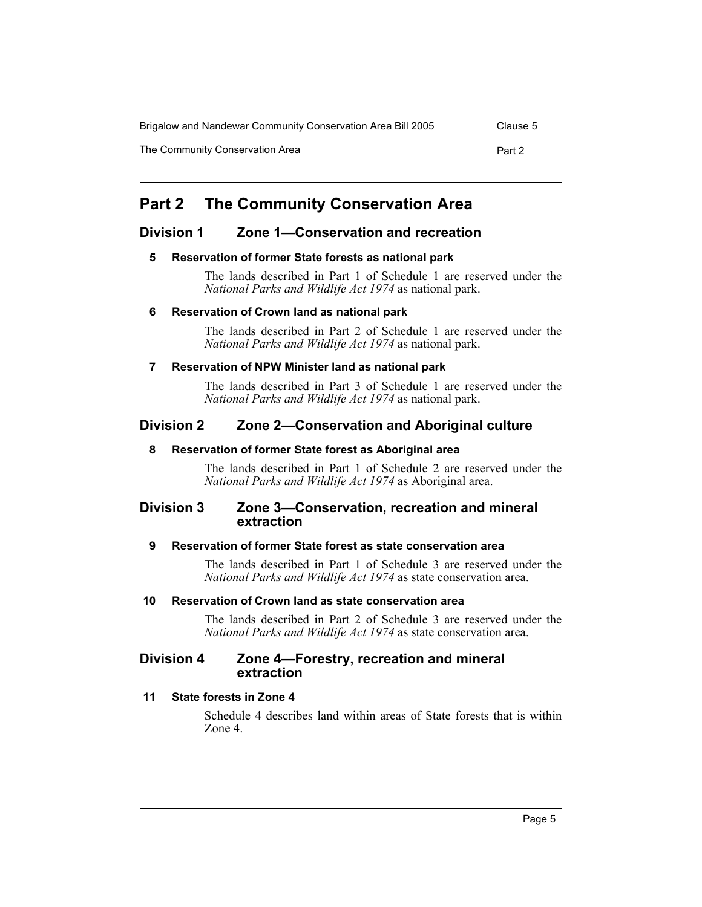| Brigalow and Nandewar Community Conservation Area Bill 2005 | Clause 5 |
|-------------------------------------------------------------|----------|
| The Community Conservation Area                             | Part 2   |

# <span id="page-7-0"></span>**Part 2 The Community Conservation Area**

# <span id="page-7-2"></span><span id="page-7-1"></span>**Division 1 Zone 1—Conservation and recreation**

# **5 Reservation of former State forests as national park**

The lands described in Part 1 of Schedule 1 are reserved under the *National Parks and Wildlife Act 1974* as national park.

# <span id="page-7-3"></span>**6 Reservation of Crown land as national park**

The lands described in Part 2 of Schedule 1 are reserved under the *National Parks and Wildlife Act 1974* as national park.

# <span id="page-7-4"></span>**7 Reservation of NPW Minister land as national park**

The lands described in Part 3 of Schedule 1 are reserved under the *National Parks and Wildlife Act 1974* as national park.

# <span id="page-7-6"></span><span id="page-7-5"></span>**Division 2 Zone 2—Conservation and Aboriginal culture**

# **8 Reservation of former State forest as Aboriginal area**

The lands described in Part 1 of Schedule 2 are reserved under the *National Parks and Wildlife Act 1974* as Aboriginal area.

# <span id="page-7-7"></span>**Division 3 Zone 3—Conservation, recreation and mineral extraction**

# <span id="page-7-8"></span>**9 Reservation of former State forest as state conservation area**

The lands described in Part 1 of Schedule 3 are reserved under the *National Parks and Wildlife Act 1974* as state conservation area.

# <span id="page-7-9"></span>**10 Reservation of Crown land as state conservation area**

The lands described in Part 2 of Schedule 3 are reserved under the *National Parks and Wildlife Act 1974* as state conservation area.

# <span id="page-7-10"></span>**Division 4 Zone 4—Forestry, recreation and mineral extraction**

# <span id="page-7-11"></span>**11 State forests in Zone 4**

Schedule 4 describes land within areas of State forests that is within Zone 4.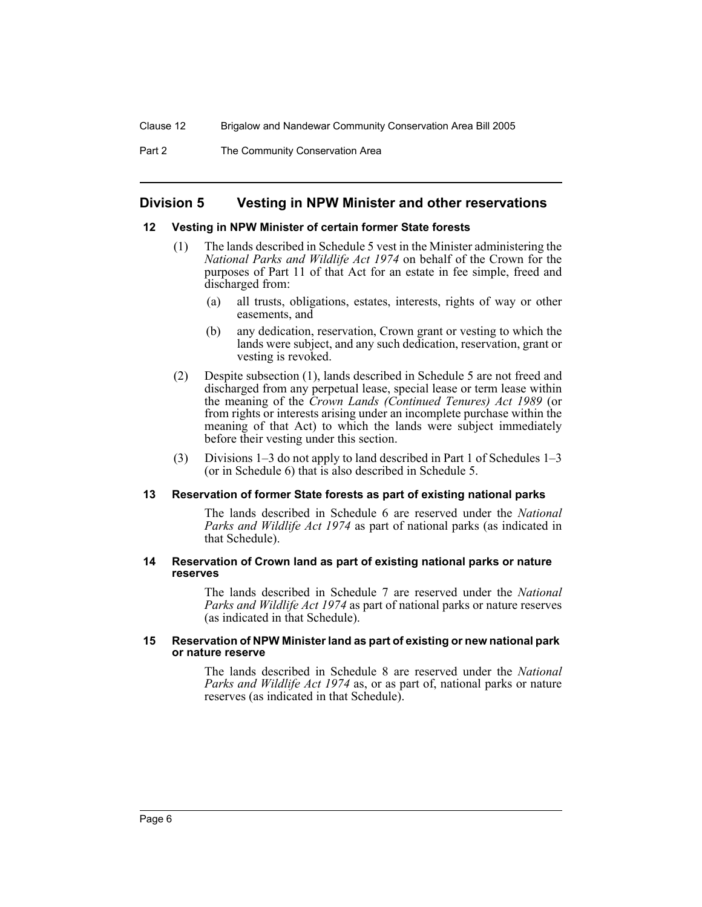Part 2 The Community Conservation Area

# <span id="page-8-0"></span>**Division 5 Vesting in NPW Minister and other reservations**

#### <span id="page-8-1"></span>**12 Vesting in NPW Minister of certain former State forests**

- (1) The lands described in Schedule 5 vest in the Minister administering the *National Parks and Wildlife Act 1974* on behalf of the Crown for the purposes of Part 11 of that Act for an estate in fee simple, freed and discharged from:
	- (a) all trusts, obligations, estates, interests, rights of way or other easements, and
	- (b) any dedication, reservation, Crown grant or vesting to which the lands were subject, and any such dedication, reservation, grant or vesting is revoked.
- (2) Despite subsection (1), lands described in Schedule 5 are not freed and discharged from any perpetual lease, special lease or term lease within the meaning of the *Crown Lands (Continued Tenures) Act 1989* (or from rights or interests arising under an incomplete purchase within the meaning of that Act) to which the lands were subject immediately before their vesting under this section.
- (3) Divisions 1–3 do not apply to land described in Part 1 of Schedules 1–3 (or in Schedule 6) that is also described in Schedule 5.

#### <span id="page-8-2"></span>**13 Reservation of former State forests as part of existing national parks**

The lands described in Schedule 6 are reserved under the *National Parks and Wildlife Act 1974* as part of national parks (as indicated in that Schedule).

#### <span id="page-8-3"></span>**14 Reservation of Crown land as part of existing national parks or nature reserves**

The lands described in Schedule 7 are reserved under the *National Parks and Wildlife Act 1974* as part of national parks or nature reserves (as indicated in that Schedule).

#### <span id="page-8-4"></span>**15 Reservation of NPW Minister land as part of existing or new national park or nature reserve**

The lands described in Schedule 8 are reserved under the *National Parks and Wildlife Act 1974* as, or as part of, national parks or nature reserves (as indicated in that Schedule).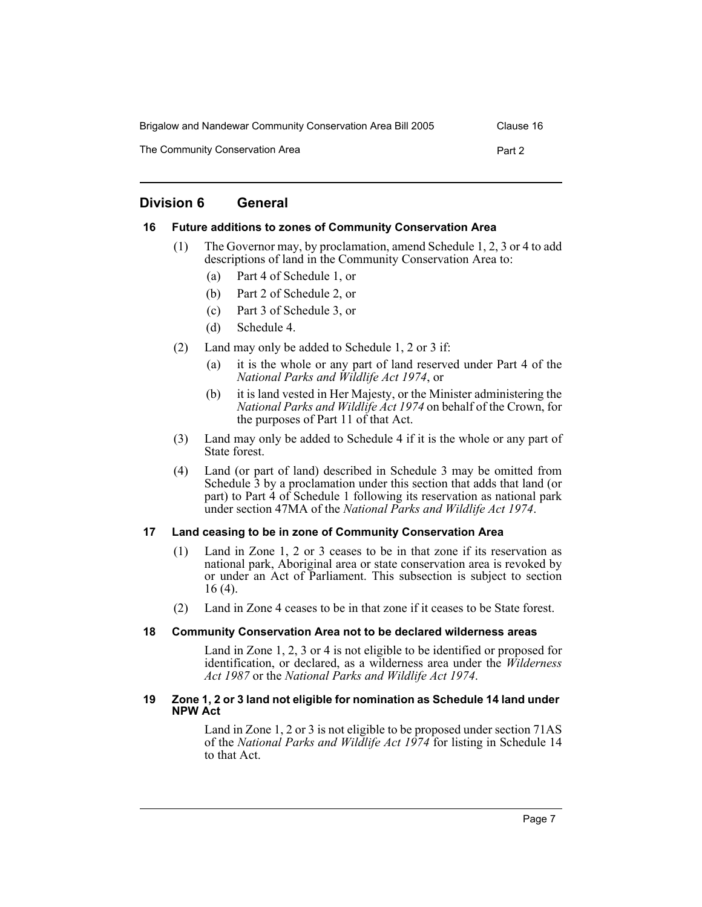| Brigalow and Nandewar Community Conservation Area Bill 2005 | Clause 16 |
|-------------------------------------------------------------|-----------|
| The Community Conservation Area                             | Part 2    |

# <span id="page-9-0"></span>**Division 6 General**

#### <span id="page-9-1"></span>**16 Future additions to zones of Community Conservation Area**

- (1) The Governor may, by proclamation, amend Schedule 1, 2, 3 or 4 to add descriptions of land in the Community Conservation Area to:
	- (a) Part 4 of Schedule 1, or
	- (b) Part 2 of Schedule 2, or
	- (c) Part 3 of Schedule 3, or
	- (d) Schedule 4.
- (2) Land may only be added to Schedule 1, 2 or 3 if:
	- (a) it is the whole or any part of land reserved under Part 4 of the *National Parks and Wildlife Act 1974*, or
	- (b) it is land vested in Her Majesty, or the Minister administering the *National Parks and Wildlife Act 1974* on behalf of the Crown, for the purposes of Part 11 of that Act.
- (3) Land may only be added to Schedule 4 if it is the whole or any part of State forest.
- (4) Land (or part of land) described in Schedule 3 may be omitted from Schedule  $\overline{3}$  by a proclamation under this section that adds that land (or part) to Part 4 of Schedule 1 following its reservation as national park under section 47MA of the *National Parks and Wildlife Act 1974*.

#### <span id="page-9-2"></span>**17 Land ceasing to be in zone of Community Conservation Area**

- (1) Land in Zone 1, 2 or 3 ceases to be in that zone if its reservation as national park, Aboriginal area or state conservation area is revoked by or under an Act of Parliament. This subsection is subject to section 16 (4).
- (2) Land in Zone 4 ceases to be in that zone if it ceases to be State forest.

#### <span id="page-9-3"></span>**18 Community Conservation Area not to be declared wilderness areas**

Land in Zone 1, 2, 3 or 4 is not eligible to be identified or proposed for identification, or declared, as a wilderness area under the *Wilderness Act 1987* or the *National Parks and Wildlife Act 1974*.

#### <span id="page-9-4"></span>**19 Zone 1, 2 or 3 land not eligible for nomination as Schedule 14 land under NPW Act**

Land in Zone 1, 2 or 3 is not eligible to be proposed under section 71AS of the *National Parks and Wildlife Act 1974* for listing in Schedule 14 to that Act.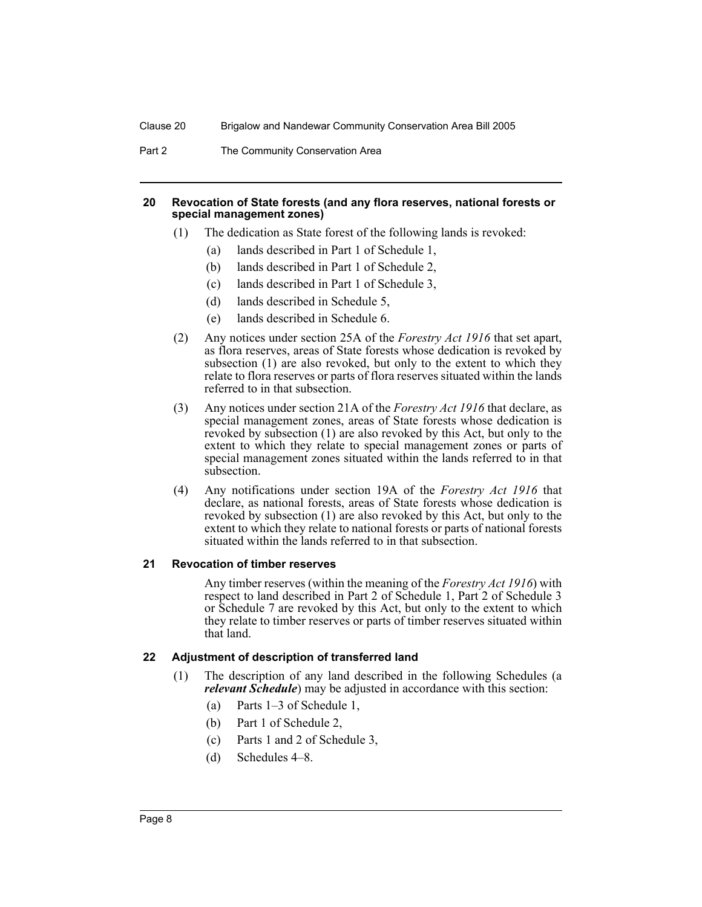Part 2 The Community Conservation Area

#### <span id="page-10-0"></span>**20 Revocation of State forests (and any flora reserves, national forests or special management zones)**

- (1) The dedication as State forest of the following lands is revoked:
	- (a) lands described in Part 1 of Schedule 1,
	- (b) lands described in Part 1 of Schedule 2,
	- (c) lands described in Part 1 of Schedule 3,
	- (d) lands described in Schedule 5,
	- (e) lands described in Schedule 6.
- (2) Any notices under section 25A of the *Forestry Act 1916* that set apart, as flora reserves, areas of State forests whose dedication is revoked by subsection (1) are also revoked, but only to the extent to which they relate to flora reserves or parts of flora reserves situated within the lands referred to in that subsection.
- (3) Any notices under section 21A of the *Forestry Act 1916* that declare, as special management zones, areas of State forests whose dedication is revoked by subsection (1) are also revoked by this Act, but only to the extent to which they relate to special management zones or parts of special management zones situated within the lands referred to in that subsection.
- (4) Any notifications under section 19A of the *Forestry Act 1916* that declare, as national forests, areas of State forests whose dedication is revoked by subsection (1) are also revoked by this Act, but only to the extent to which they relate to national forests or parts of national forests situated within the lands referred to in that subsection.

#### <span id="page-10-1"></span>**21 Revocation of timber reserves**

Any timber reserves (within the meaning of the *Forestry Act 1916*) with respect to land described in Part 2 of Schedule 1, Part 2 of Schedule 3 or Schedule 7 are revoked by this Act, but only to the extent to which they relate to timber reserves or parts of timber reserves situated within that land.

#### <span id="page-10-2"></span>**22 Adjustment of description of transferred land**

- (1) The description of any land described in the following Schedules (a *relevant Schedule*) may be adjusted in accordance with this section:
	- (a) Parts 1–3 of Schedule 1,
	- (b) Part 1 of Schedule 2,
	- (c) Parts 1 and 2 of Schedule 3,
	- (d) Schedules 4–8.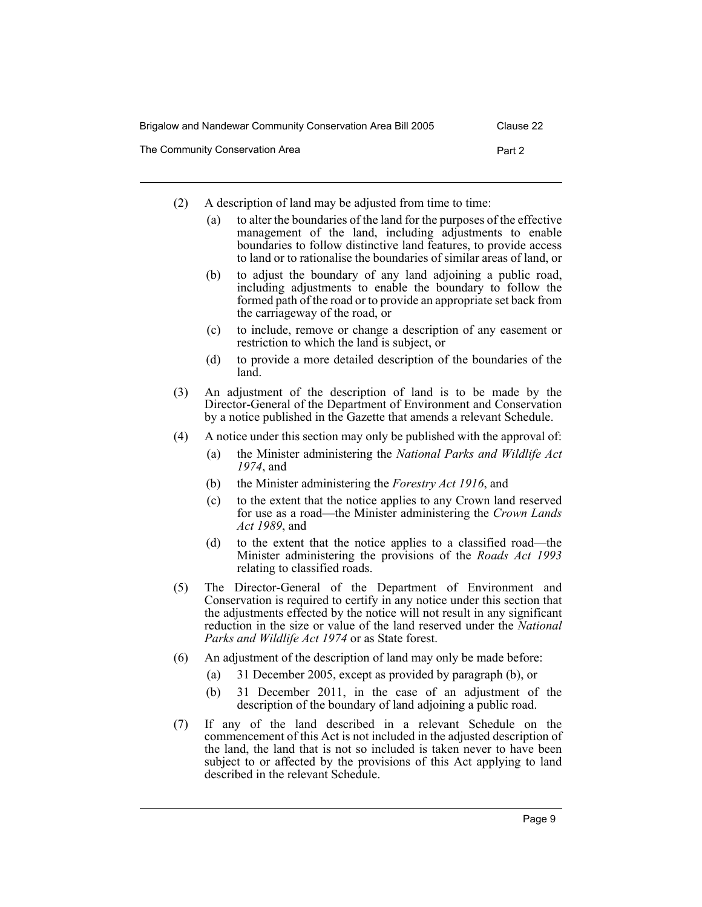| Brigalow and Nandewar Community Conservation Area Bill 2005 | Clause 22 |
|-------------------------------------------------------------|-----------|
| The Community Conservation Area                             | Part 2    |

- (2) A description of land may be adjusted from time to time:
	- (a) to alter the boundaries of the land for the purposes of the effective management of the land, including adjustments to enable boundaries to follow distinctive land features, to provide access to land or to rationalise the boundaries of similar areas of land, or
	- (b) to adjust the boundary of any land adjoining a public road, including adjustments to enable the boundary to follow the formed path of the road or to provide an appropriate set back from the carriageway of the road, or
	- (c) to include, remove or change a description of any easement or restriction to which the land is subject, or
	- (d) to provide a more detailed description of the boundaries of the land.
- (3) An adjustment of the description of land is to be made by the Director-General of the Department of Environment and Conservation by a notice published in the Gazette that amends a relevant Schedule.
- (4) A notice under this section may only be published with the approval of:
	- (a) the Minister administering the *National Parks and Wildlife Act 1974*, and
	- (b) the Minister administering the *Forestry Act 1916*, and
	- (c) to the extent that the notice applies to any Crown land reserved for use as a road—the Minister administering the *Crown Lands Act 1989*, and
	- (d) to the extent that the notice applies to a classified road—the Minister administering the provisions of the *Roads Act 1993* relating to classified roads.
- (5) The Director-General of the Department of Environment and Conservation is required to certify in any notice under this section that the adjustments effected by the notice will not result in any significant reduction in the size or value of the land reserved under the *National Parks and Wildlife Act 1974* or as State forest.
- (6) An adjustment of the description of land may only be made before:
	- (a) 31 December 2005, except as provided by paragraph (b), or
	- (b) 31 December 2011, in the case of an adjustment of the description of the boundary of land adjoining a public road.
- (7) If any of the land described in a relevant Schedule on the commencement of this Act is not included in the adjusted description of the land, the land that is not so included is taken never to have been subject to or affected by the provisions of this Act applying to land described in the relevant Schedule.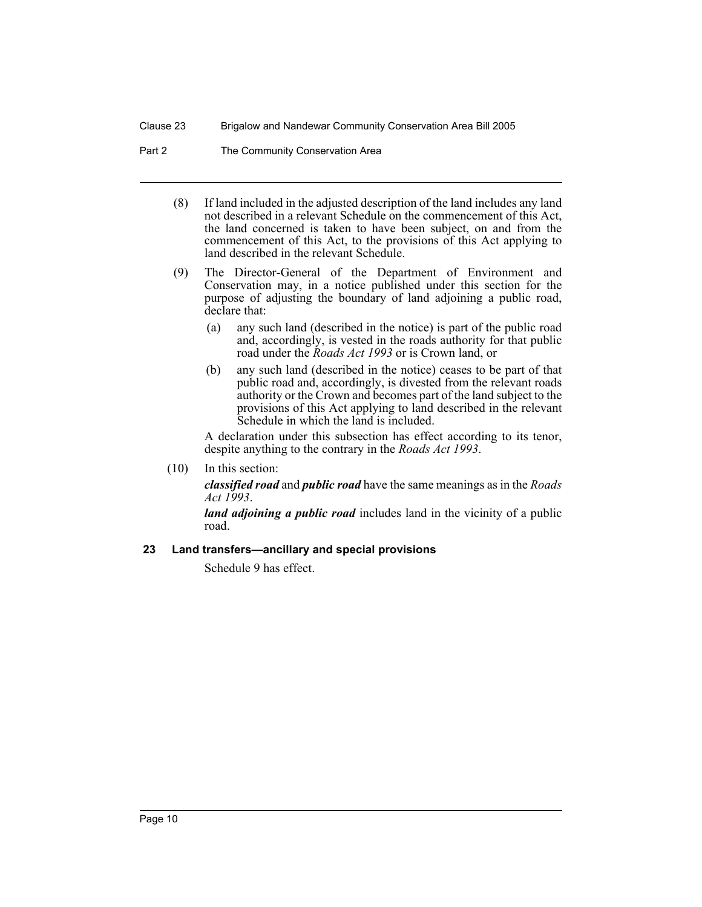#### Part 2 The Community Conservation Area

- (8) If land included in the adjusted description of the land includes any land not described in a relevant Schedule on the commencement of this Act, the land concerned is taken to have been subject, on and from the commencement of this Act, to the provisions of this Act applying to land described in the relevant Schedule.
- (9) The Director-General of the Department of Environment and Conservation may, in a notice published under this section for the purpose of adjusting the boundary of land adjoining a public road, declare that:
	- (a) any such land (described in the notice) is part of the public road and, accordingly, is vested in the roads authority for that public road under the *Roads Act 1993* or is Crown land, or
	- (b) any such land (described in the notice) ceases to be part of that public road and, accordingly, is divested from the relevant roads authority or the Crown and becomes part of the land subject to the provisions of this Act applying to land described in the relevant Schedule in which the land is included.

A declaration under this subsection has effect according to its tenor, despite anything to the contrary in the *Roads Act 1993*.

(10) In this section:

*classified road* and *public road* have the same meanings as in the *Roads Act 1993*.

*land adjoining a public road* includes land in the vicinity of a public road.

#### <span id="page-12-0"></span>**23 Land transfers—ancillary and special provisions**

Schedule 9 has effect.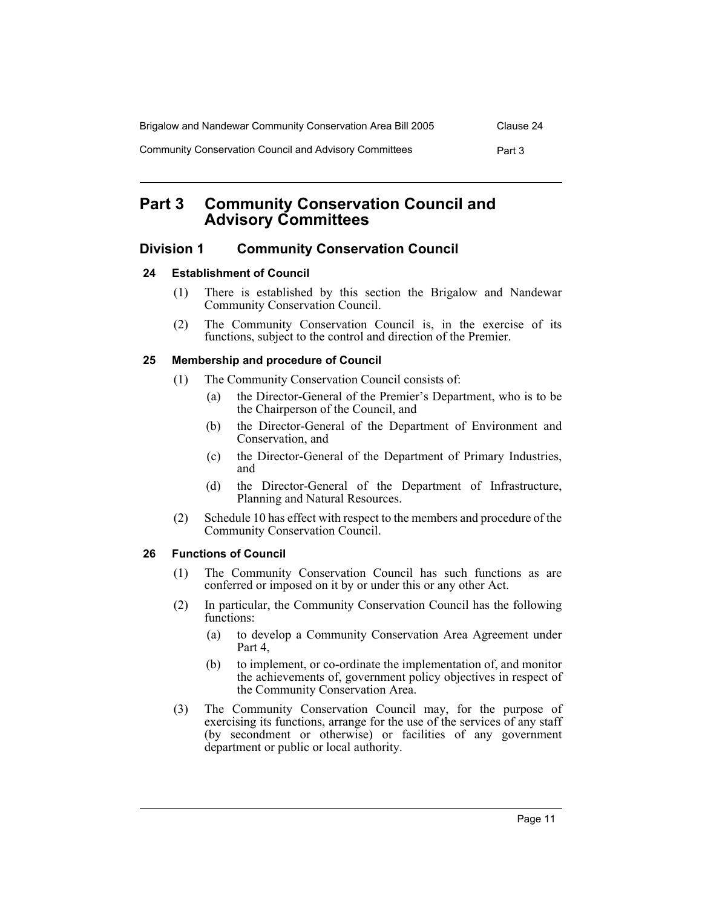| Brigalow and Nandewar Community Conservation Area Bill 2005 | Clause 24 |
|-------------------------------------------------------------|-----------|
| Community Conservation Council and Advisory Committees      | Part 3    |

# <span id="page-13-0"></span>**Part 3 Community Conservation Council and Advisory Committees**

# <span id="page-13-1"></span>**Division 1 Community Conservation Council**

# <span id="page-13-2"></span>**24 Establishment of Council**

- (1) There is established by this section the Brigalow and Nandewar Community Conservation Council.
- (2) The Community Conservation Council is, in the exercise of its functions, subject to the control and direction of the Premier.

# <span id="page-13-3"></span>**25 Membership and procedure of Council**

- (1) The Community Conservation Council consists of:
	- (a) the Director-General of the Premier's Department, who is to be the Chairperson of the Council, and
	- (b) the Director-General of the Department of Environment and Conservation, and
	- (c) the Director-General of the Department of Primary Industries, and
	- (d) the Director-General of the Department of Infrastructure, Planning and Natural Resources.
- (2) Schedule 10 has effect with respect to the members and procedure of the Community Conservation Council.

# <span id="page-13-4"></span>**26 Functions of Council**

- (1) The Community Conservation Council has such functions as are conferred or imposed on it by or under this or any other Act.
- (2) In particular, the Community Conservation Council has the following functions:
	- (a) to develop a Community Conservation Area Agreement under Part 4,
	- (b) to implement, or co-ordinate the implementation of, and monitor the achievements of, government policy objectives in respect of the Community Conservation Area.
- (3) The Community Conservation Council may, for the purpose of exercising its functions, arrange for the use of the services of any staff (by secondment or otherwise) or facilities of any government department or public or local authority.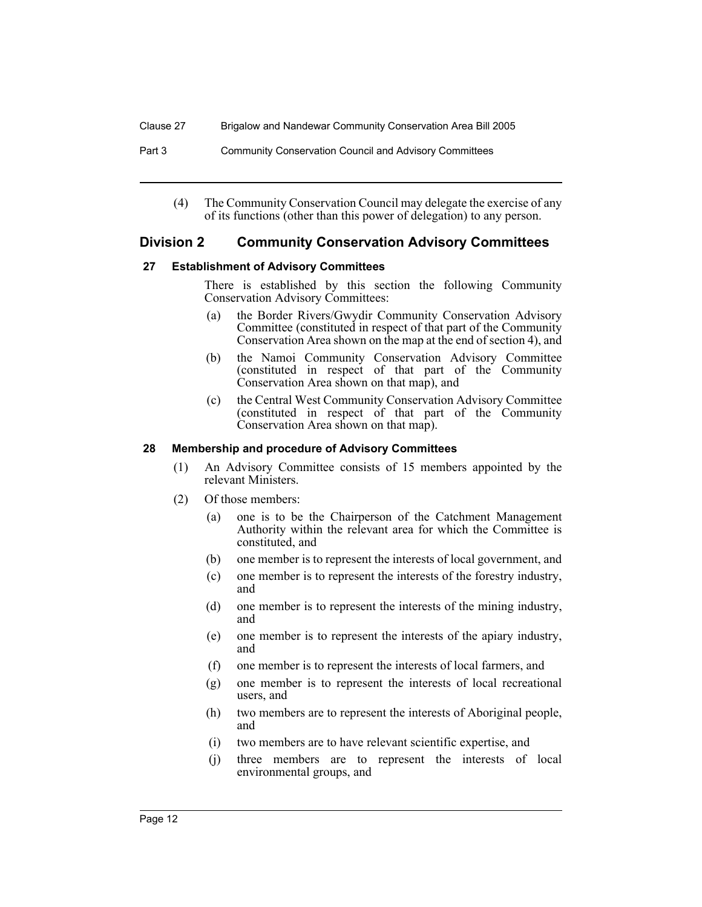| Clause 27 | Brigalow and Nandewar Community Conservation Area Bill 2005 |
|-----------|-------------------------------------------------------------|
|-----------|-------------------------------------------------------------|

| Part 3 | <b>Community Conservation Council and Advisory Committees</b> |
|--------|---------------------------------------------------------------|
|--------|---------------------------------------------------------------|

(4) The Community Conservation Council may delegate the exercise of any of its functions (other than this power of delegation) to any person.

# <span id="page-14-0"></span>**Division 2 Community Conservation Advisory Committees**

# <span id="page-14-1"></span>**27 Establishment of Advisory Committees**

There is established by this section the following Community Conservation Advisory Committees:

- (a) the Border Rivers/Gwydir Community Conservation Advisory Committee (constituted in respect of that part of the Community Conservation Area shown on the map at the end of section 4), and
- (b) the Namoi Community Conservation Advisory Committee (constituted in respect of that part of the Community Conservation Area shown on that map), and
- (c) the Central West Community Conservation Advisory Committee (constituted in respect of that part of the Community Conservation Area shown on that map).

### <span id="page-14-2"></span>**28 Membership and procedure of Advisory Committees**

- (1) An Advisory Committee consists of 15 members appointed by the relevant Ministers.
- (2) Of those members:
	- (a) one is to be the Chairperson of the Catchment Management Authority within the relevant area for which the Committee is constituted, and
	- (b) one member is to represent the interests of local government, and
	- (c) one member is to represent the interests of the forestry industry, and
	- (d) one member is to represent the interests of the mining industry, and
	- (e) one member is to represent the interests of the apiary industry, and
	- (f) one member is to represent the interests of local farmers, and
	- (g) one member is to represent the interests of local recreational users, and
	- (h) two members are to represent the interests of Aboriginal people, and
	- (i) two members are to have relevant scientific expertise, and
	- (j) three members are to represent the interests of local environmental groups, and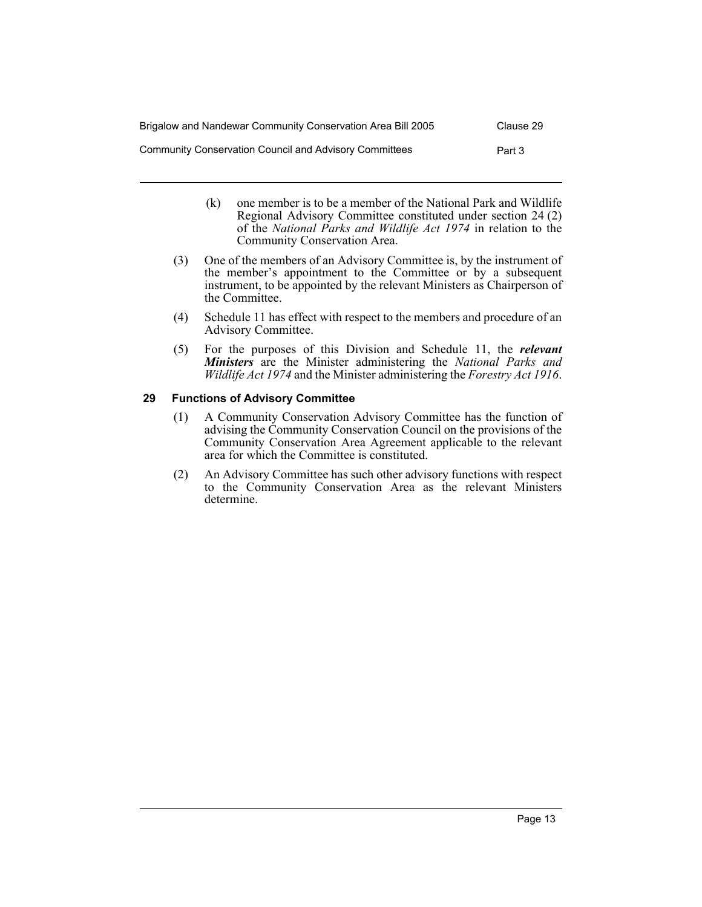| Brigalow and Nandewar Community Conservation Area Bill 2005 | Clause 29 |
|-------------------------------------------------------------|-----------|
| Community Conservation Council and Advisory Committees      | Part 3    |

- (k) one member is to be a member of the National Park and Wildlife Regional Advisory Committee constituted under section 24 (2) of the *National Parks and Wildlife Act 1974* in relation to the Community Conservation Area.
- (3) One of the members of an Advisory Committee is, by the instrument of the member's appointment to the Committee or by a subsequent instrument, to be appointed by the relevant Ministers as Chairperson of the Committee.
- (4) Schedule 11 has effect with respect to the members and procedure of an Advisory Committee.
- (5) For the purposes of this Division and Schedule 11, the *relevant Ministers* are the Minister administering the *National Parks and Wildlife Act 1974* and the Minister administering the *Forestry Act 1916*.

# <span id="page-15-0"></span>**29 Functions of Advisory Committee**

- (1) A Community Conservation Advisory Committee has the function of advising the Community Conservation Council on the provisions of the Community Conservation Area Agreement applicable to the relevant area for which the Committee is constituted.
- (2) An Advisory Committee has such other advisory functions with respect to the Community Conservation Area as the relevant Ministers determine.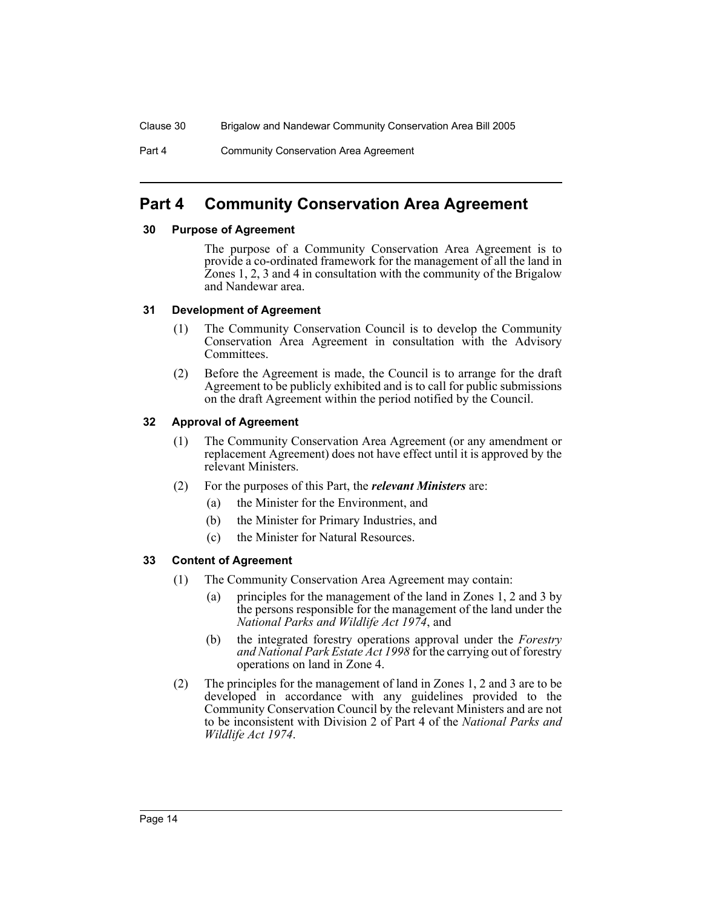Part 4 Community Conservation Area Agreement

# <span id="page-16-0"></span>**Part 4 Community Conservation Area Agreement**

#### <span id="page-16-1"></span>**30 Purpose of Agreement**

The purpose of a Community Conservation Area Agreement is to provide a co-ordinated framework for the management of all the land in Zones 1, 2, 3 and 4 in consultation with the community of the Brigalow and Nandewar area.

### <span id="page-16-2"></span>**31 Development of Agreement**

- (1) The Community Conservation Council is to develop the Community Conservation Area Agreement in consultation with the Advisory Committees.
- (2) Before the Agreement is made, the Council is to arrange for the draft Agreement to be publicly exhibited and is to call for public submissions on the draft Agreement within the period notified by the Council.

# <span id="page-16-3"></span>**32 Approval of Agreement**

- (1) The Community Conservation Area Agreement (or any amendment or replacement Agreement) does not have effect until it is approved by the relevant Ministers.
- (2) For the purposes of this Part, the *relevant Ministers* are:
	- (a) the Minister for the Environment, and
	- (b) the Minister for Primary Industries, and
	- (c) the Minister for Natural Resources.

# <span id="page-16-4"></span>**33 Content of Agreement**

- (1) The Community Conservation Area Agreement may contain:
	- (a) principles for the management of the land in Zones 1, 2 and 3 by the persons responsible for the management of the land under the *National Parks and Wildlife Act 1974*, and
	- (b) the integrated forestry operations approval under the *Forestry and National Park Estate Act 1998* for the carrying out of forestry operations on land in Zone 4.
- (2) The principles for the management of land in Zones 1, 2 and 3 are to be developed in accordance with any guidelines provided to the Community Conservation Council by the relevant Ministers and are not to be inconsistent with Division 2 of Part 4 of the *National Parks and Wildlife Act 1974*.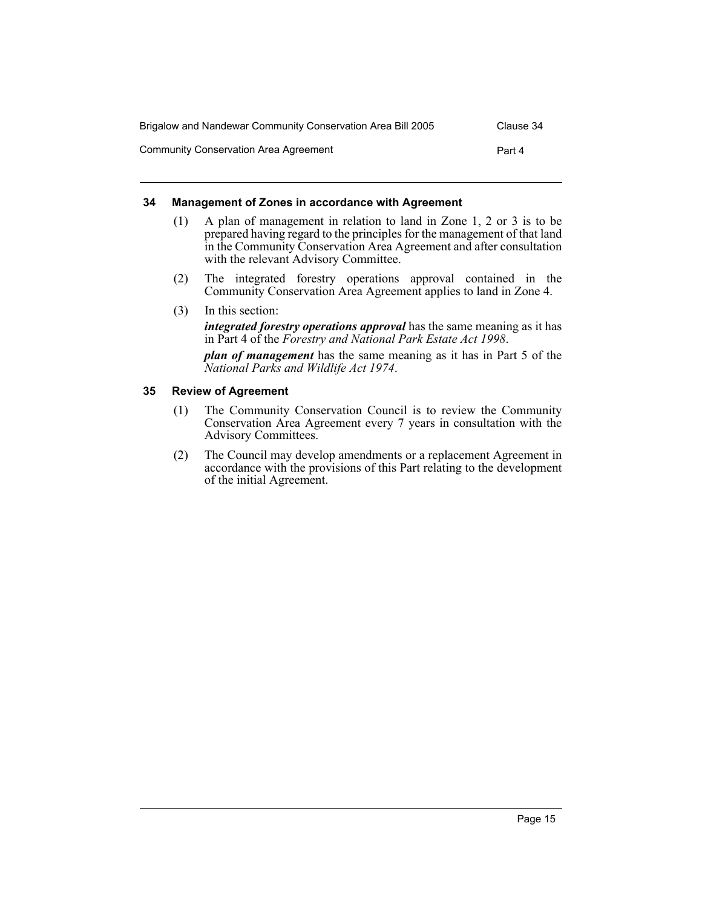| Brigalow and Nandewar Community Conservation Area Bill 2005 | Clause 34 |
|-------------------------------------------------------------|-----------|
| Community Conservation Area Agreement                       | Part 4    |

# <span id="page-17-0"></span>**34 Management of Zones in accordance with Agreement**

- (1) A plan of management in relation to land in Zone 1, 2 or 3 is to be prepared having regard to the principles for the management of that land in the Community Conservation Area Agreement and after consultation with the relevant Advisory Committee.
- (2) The integrated forestry operations approval contained in the Community Conservation Area Agreement applies to land in Zone 4.
- (3) In this section:

*integrated forestry operations approval* has the same meaning as it has in Part 4 of the *Forestry and National Park Estate Act 1998*.

*plan of management* has the same meaning as it has in Part 5 of the *National Parks and Wildlife Act 1974*.

# <span id="page-17-1"></span>**35 Review of Agreement**

- (1) The Community Conservation Council is to review the Community Conservation Area Agreement every 7 years in consultation with the Advisory Committees.
- (2) The Council may develop amendments or a replacement Agreement in accordance with the provisions of this Part relating to the development of the initial Agreement.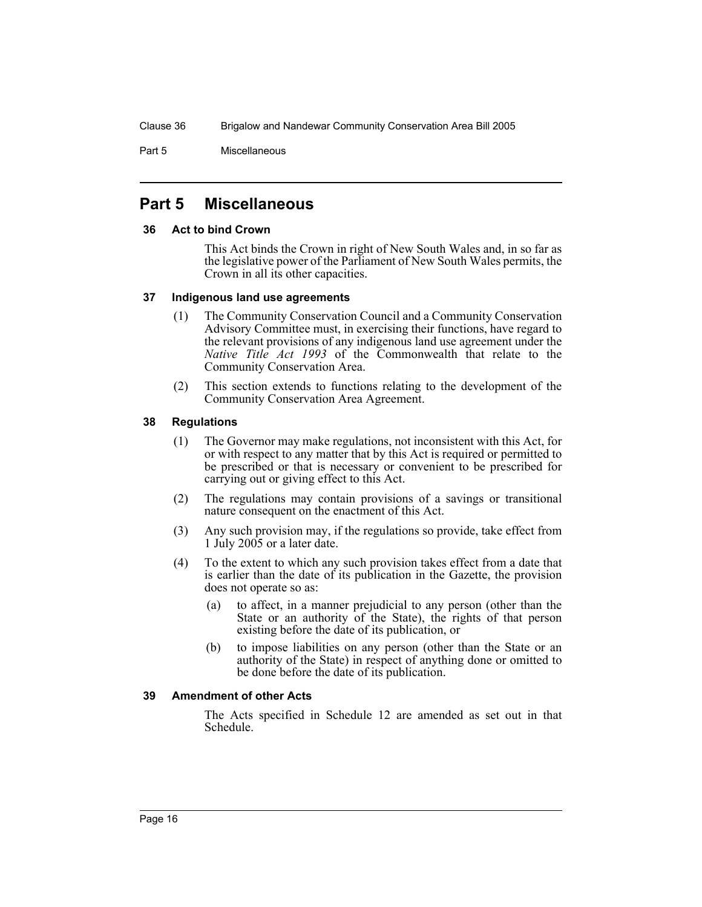Part 5 Miscellaneous

# <span id="page-18-0"></span>**Part 5 Miscellaneous**

#### <span id="page-18-1"></span>**36 Act to bind Crown**

This Act binds the Crown in right of New South Wales and, in so far as the legislative power of the Parliament of New South Wales permits, the Crown in all its other capacities.

# <span id="page-18-2"></span>**37 Indigenous land use agreements**

- (1) The Community Conservation Council and a Community Conservation Advisory Committee must, in exercising their functions, have regard to the relevant provisions of any indigenous land use agreement under the *Native Title Act 1993* of the Commonwealth that relate to the Community Conservation Area.
- (2) This section extends to functions relating to the development of the Community Conservation Area Agreement.

### <span id="page-18-3"></span>**38 Regulations**

- (1) The Governor may make regulations, not inconsistent with this Act, for or with respect to any matter that by this Act is required or permitted to be prescribed or that is necessary or convenient to be prescribed for carrying out or giving effect to this Act.
- (2) The regulations may contain provisions of a savings or transitional nature consequent on the enactment of this Act.
- (3) Any such provision may, if the regulations so provide, take effect from 1 July 2005 or a later date.
- (4) To the extent to which any such provision takes effect from a date that is earlier than the date of its publication in the Gazette, the provision does not operate so as:
	- (a) to affect, in a manner prejudicial to any person (other than the State or an authority of the State), the rights of that person existing before the date of its publication, or
	- (b) to impose liabilities on any person (other than the State or an authority of the State) in respect of anything done or omitted to be done before the date of its publication.

# <span id="page-18-4"></span>**39 Amendment of other Acts**

The Acts specified in Schedule 12 are amended as set out in that Schedule.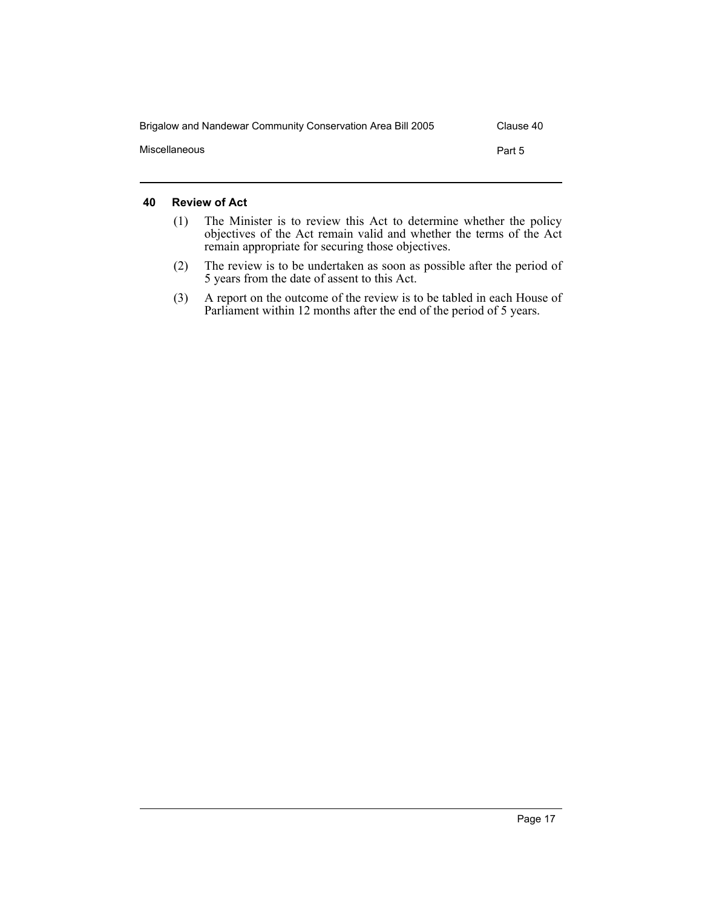| Brigalow and Nandewar Community Conservation Area Bill 2005 | Clause 40 |
|-------------------------------------------------------------|-----------|
| Miscellaneous                                               | Part 5    |
|                                                             |           |

# <span id="page-19-0"></span>**40 Review of Act**

- (1) The Minister is to review this Act to determine whether the policy objectives of the Act remain valid and whether the terms of the Act remain appropriate for securing those objectives.
- (2) The review is to be undertaken as soon as possible after the period of 5 years from the date of assent to this Act.
- (3) A report on the outcome of the review is to be tabled in each House of Parliament within 12 months after the end of the period of 5 years.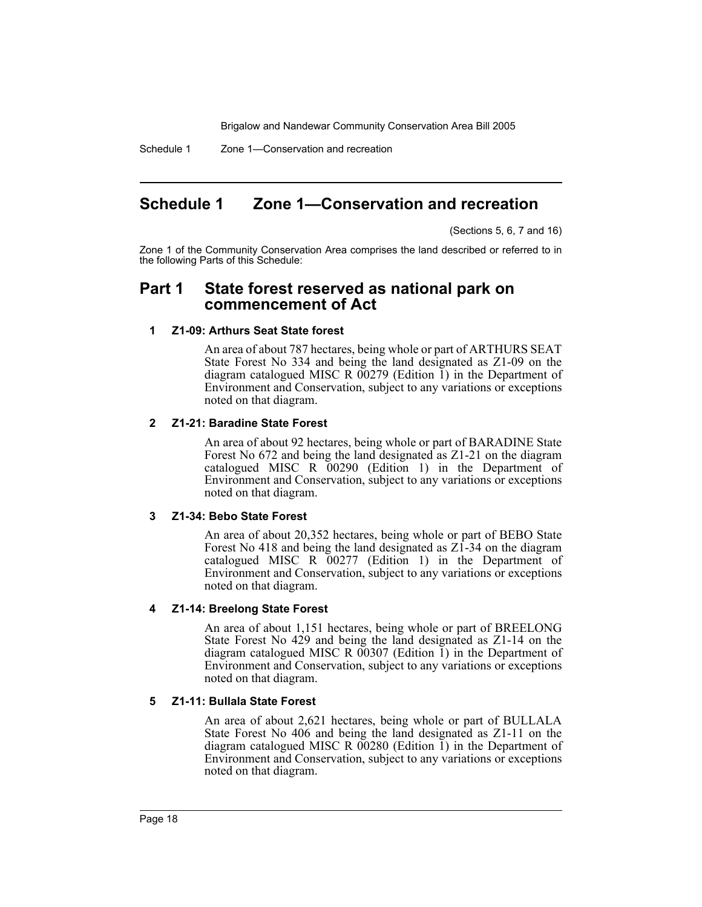Schedule 1 Zone 1—Conservation and recreation

# <span id="page-20-0"></span>**Schedule 1 Zone 1—Conservation and recreation**

(Sections 5, 6, 7 and 16)

Zone 1 of the Community Conservation Area comprises the land described or referred to in the following Parts of this Schedule:

# **Part 1 State forest reserved as national park on commencement of Act**

#### **1 Z1-09: Arthurs Seat State forest**

An area of about 787 hectares, being whole or part of ARTHURS SEAT State Forest No 334 and being the land designated as Z1-09 on the diagram catalogued MISC R  $0$ 0279 (Edition 1) in the Department of Environment and Conservation, subject to any variations or exceptions noted on that diagram.

#### **2 Z1-21: Baradine State Forest**

An area of about 92 hectares, being whole or part of BARADINE State Forest No 672 and being the land designated as Z1-21 on the diagram catalogued MISC R 00290 (Edition 1) in the Department of Environment and Conservation, subject to any variations or exceptions noted on that diagram.

#### **3 Z1-34: Bebo State Forest**

An area of about 20,352 hectares, being whole or part of BEBO State Forest No 418 and being the land designated as  $Z_1^2$ -34 on the diagram catalogued MISC R  $00277$  (Edition 1) in the Department of Environment and Conservation, subject to any variations or exceptions noted on that diagram.

#### **4 Z1-14: Breelong State Forest**

An area of about 1,151 hectares, being whole or part of BREELONG State Forest No 429 and being the land designated as Z1-14 on the diagram catalogued MISC R 00307 (Edition 1) in the Department of Environment and Conservation, subject to any variations or exceptions noted on that diagram.

#### **5 Z1-11: Bullala State Forest**

An area of about 2,621 hectares, being whole or part of BULLALA State Forest No 406 and being the land designated as Z1-11 on the diagram catalogued MISC R 00280 (Edition 1) in the Department of Environment and Conservation, subject to any variations or exceptions noted on that diagram.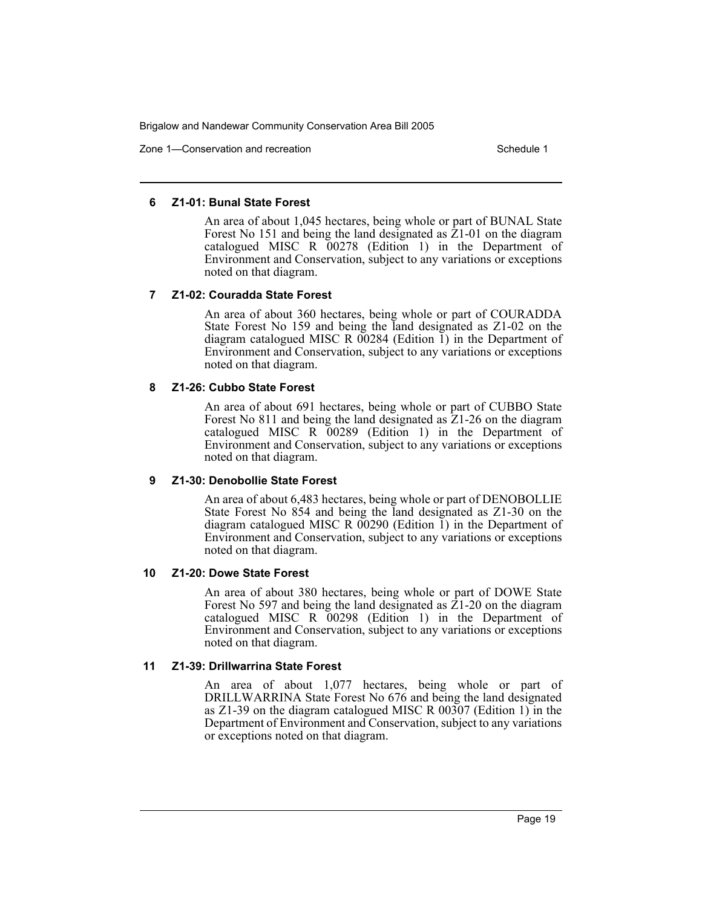Zone 1—Conservation and recreation Schedule 1 Schedule 1

#### **6 Z1-01: Bunal State Forest**

An area of about 1,045 hectares, being whole or part of BUNAL State Forest No 151 and being the land designated as  $\tilde{Z}1$ -01 on the diagram catalogued MISC R 00278 (Edition 1) in the Department of Environment and Conservation, subject to any variations or exceptions noted on that diagram.

#### **7 Z1-02: Couradda State Forest**

An area of about 360 hectares, being whole or part of COURADDA State Forest No 159 and being the land designated as Z1-02 on the diagram catalogued MISC R  $00284$  (Edition 1) in the Department of Environment and Conservation, subject to any variations or exceptions noted on that diagram.

#### **8 Z1-26: Cubbo State Forest**

An area of about 691 hectares, being whole or part of CUBBO State Forest No 811 and being the land designated as Z1-26 on the diagram catalogued MISC R 00289 (Edition 1) in the Department of Environment and Conservation, subject to any variations or exceptions noted on that diagram.

#### **9 Z1-30: Denobollie State Forest**

An area of about 6,483 hectares, being whole or part of DENOBOLLIE State Forest No 854 and being the land designated as Z1-30 on the diagram catalogued MISC R  $00290$  (Edition 1) in the Department of Environment and Conservation, subject to any variations or exceptions noted on that diagram.

#### **10 Z1-20: Dowe State Forest**

An area of about 380 hectares, being whole or part of DOWE State Forest No 597 and being the land designated as  $\tilde{Z}1$ -20 on the diagram catalogued MISC R 00298 (Edition 1) in the Department of Environment and Conservation, subject to any variations or exceptions noted on that diagram.

#### **11 Z1-39: Drillwarrina State Forest**

An area of about 1,077 hectares, being whole or part of DRILLWARRINA State Forest No 676 and being the land designated as Z1-39 on the diagram catalogued MISC R 00307 (Edition 1) in the Department of Environment and Conservation, subject to any variations or exceptions noted on that diagram.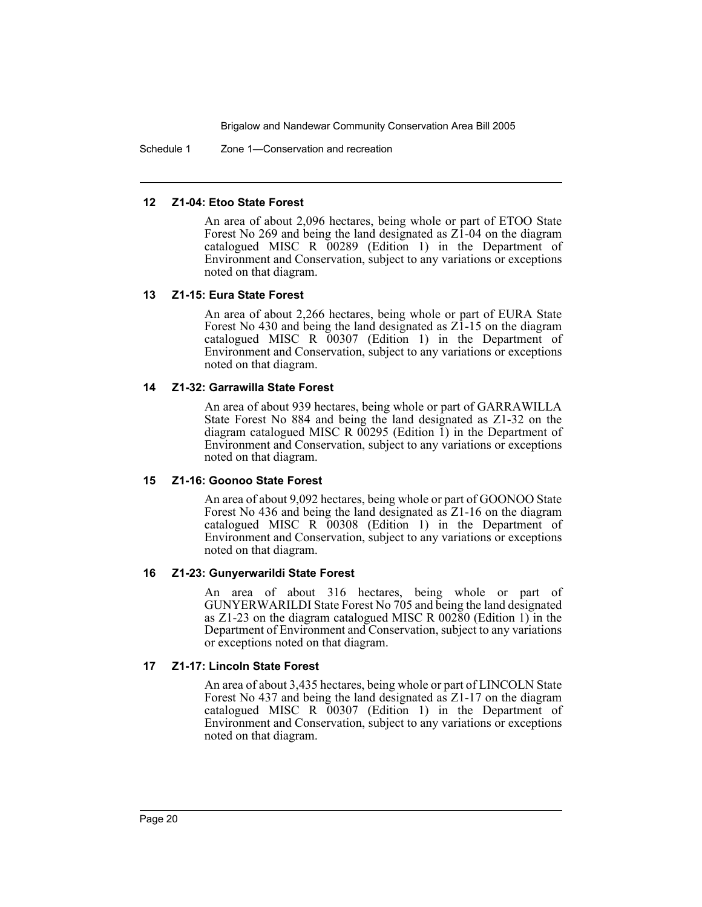Schedule 1 Zone 1—Conservation and recreation

#### **12 Z1-04: Etoo State Forest**

An area of about 2,096 hectares, being whole or part of ETOO State Forest No 269 and being the land designated as  $Z_1^2$ -04 on the diagram catalogued MISC R 00289 (Edition 1) in the Department of Environment and Conservation, subject to any variations or exceptions noted on that diagram.

#### **13 Z1-15: Eura State Forest**

An area of about 2,266 hectares, being whole or part of EURA State Forest No 430 and being the land designated as  $Z\overline{1}$ -15 on the diagram catalogued MISC R 00307 (Edition 1) in the Department of Environment and Conservation, subject to any variations or exceptions noted on that diagram.

#### **14 Z1-32: Garrawilla State Forest**

An area of about 939 hectares, being whole or part of GARRAWILLA State Forest No 884 and being the land designated as Z1-32 on the diagram catalogued MISC R 00295 (Edition 1) in the Department of Environment and Conservation, subject to any variations or exceptions noted on that diagram.

#### **15 Z1-16: Goonoo State Forest**

An area of about 9,092 hectares, being whole or part of GOONOO State Forest No 436 and being the land designated as Z1-16 on the diagram catalogued MISC R 00308 (Edition 1) in the Department of Environment and Conservation, subject to any variations or exceptions noted on that diagram.

#### **16 Z1-23: Gunyerwarildi State Forest**

An area of about 316 hectares, being whole or part of GUNYERWARILDI State Forest No 705 and being the land designated as Z1-23 on the diagram catalogued MISC R 00280 (Edition 1) in the Department of Environment and Conservation, subject to any variations or exceptions noted on that diagram.

#### **17 Z1-17: Lincoln State Forest**

An area of about 3,435 hectares, being whole or part of LINCOLN State Forest No 437 and being the land designated as Z1-17 on the diagram catalogued MISC R 00307 (Edition 1) in the Department of Environment and Conservation, subject to any variations or exceptions noted on that diagram.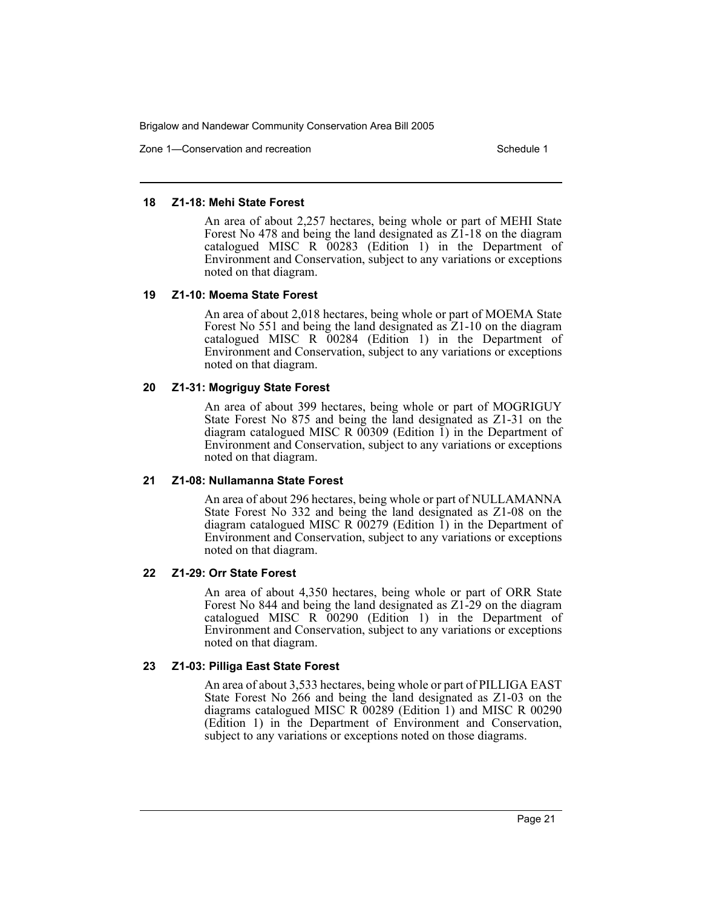Zone 1—Conservation and recreation Schedule 1 Schedule 1

#### **18 Z1-18: Mehi State Forest**

An area of about 2,257 hectares, being whole or part of MEHI State Forest No 478 and being the land designated as  $Z_1$ -18 on the diagram catalogued MISC R 00283 (Edition 1) in the Department of Environment and Conservation, subject to any variations or exceptions noted on that diagram.

#### **19 Z1-10: Moema State Forest**

An area of about 2,018 hectares, being whole or part of MOEMA State Forest No 551 and being the land designated as Z1-10 on the diagram catalogued MISC R 00284 (Edition 1) in the Department of Environment and Conservation, subject to any variations or exceptions noted on that diagram.

#### **20 Z1-31: Mogriguy State Forest**

An area of about 399 hectares, being whole or part of MOGRIGUY State Forest No 875 and being the land designated as Z1-31 on the diagram catalogued MISC R 00309 (Edition 1) in the Department of Environment and Conservation, subject to any variations or exceptions noted on that diagram.

#### **21 Z1-08: Nullamanna State Forest**

An area of about 296 hectares, being whole or part of NULLAMANNA State Forest No 332 and being the land designated as Z1-08 on the diagram catalogued MISC R  $00279$  (Edition 1) in the Department of Environment and Conservation, subject to any variations or exceptions noted on that diagram.

#### **22 Z1-29: Orr State Forest**

An area of about 4,350 hectares, being whole or part of ORR State Forest No 844 and being the land designated as Z1-29 on the diagram catalogued MISC R 00290 (Edition 1) in the Department of Environment and Conservation, subject to any variations or exceptions noted on that diagram.

#### **23 Z1-03: Pilliga East State Forest**

An area of about 3,533 hectares, being whole or part of PILLIGA EAST State Forest No 266 and being the land designated as Z1-03 on the diagrams catalogued MISC R 00289 (Edition 1) and MISC R 00290 (Edition 1) in the Department of Environment and Conservation, subject to any variations or exceptions noted on those diagrams.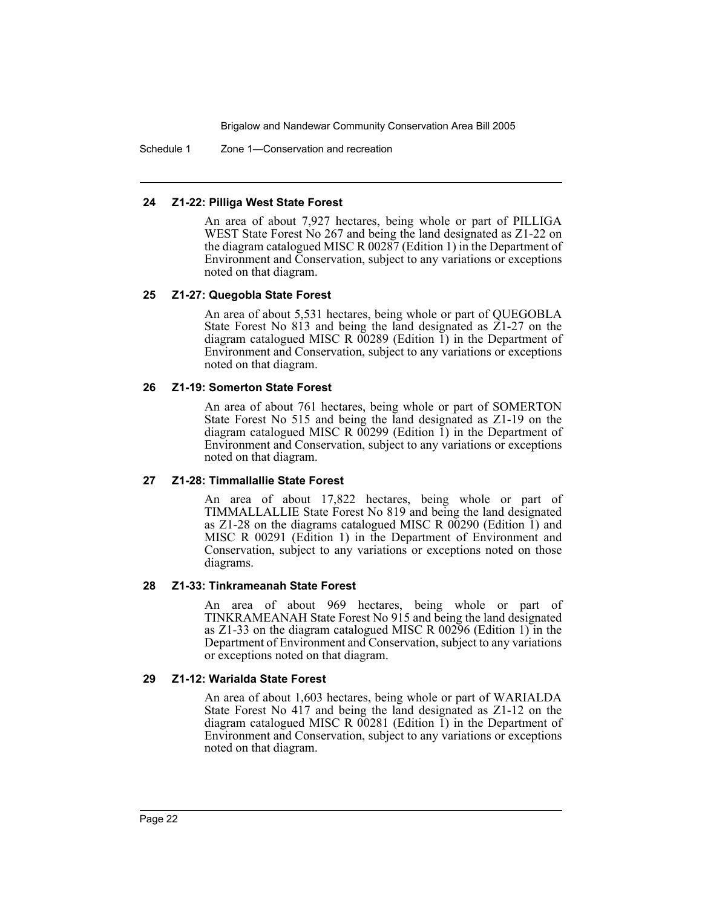Schedule 1 Zone 1—Conservation and recreation

#### **24 Z1-22: Pilliga West State Forest**

An area of about 7,927 hectares, being whole or part of PILLIGA WEST State Forest No 267 and being the land designated as Z1-22 on the diagram catalogued MISC R 00287 (Edition 1) in the Department of Environment and Conservation, subject to any variations or exceptions noted on that diagram.

#### **25 Z1-27: Quegobla State Forest**

An area of about 5,531 hectares, being whole or part of QUEGOBLA State Forest No 813 and being the land designated as Z1-27 on the diagram catalogued MISC R 00289 (Edition 1) in the Department of Environment and Conservation, subject to any variations or exceptions noted on that diagram.

#### **26 Z1-19: Somerton State Forest**

An area of about 761 hectares, being whole or part of SOMERTON State Forest No 515 and being the land designated as Z1-19 on the diagram catalogued MISC R 00299 (Edition 1) in the Department of Environment and Conservation, subject to any variations or exceptions noted on that diagram.

#### **27 Z1-28: Timmallallie State Forest**

An area of about 17,822 hectares, being whole or part of TIMMALLALLIE State Forest No 819 and being the land designated as Z1-28 on the diagrams catalogued MISC R 00290 (Edition 1) and MISC R 00291 (Edition 1) in the Department of Environment and Conservation, subject to any variations or exceptions noted on those diagrams.

#### **28 Z1-33: Tinkrameanah State Forest**

An area of about 969 hectares, being whole or part of TINKRAMEANAH State Forest No 915 and being the land designated as Z1-33 on the diagram catalogued MISC R 00296 (Edition 1) in the Department of Environment and Conservation, subject to any variations or exceptions noted on that diagram.

#### **29 Z1-12: Warialda State Forest**

An area of about 1,603 hectares, being whole or part of WARIALDA State Forest No 417 and being the land designated as Z1-12 on the diagram catalogued MISC R  $00281$  (Edition 1) in the Department of Environment and Conservation, subject to any variations or exceptions noted on that diagram.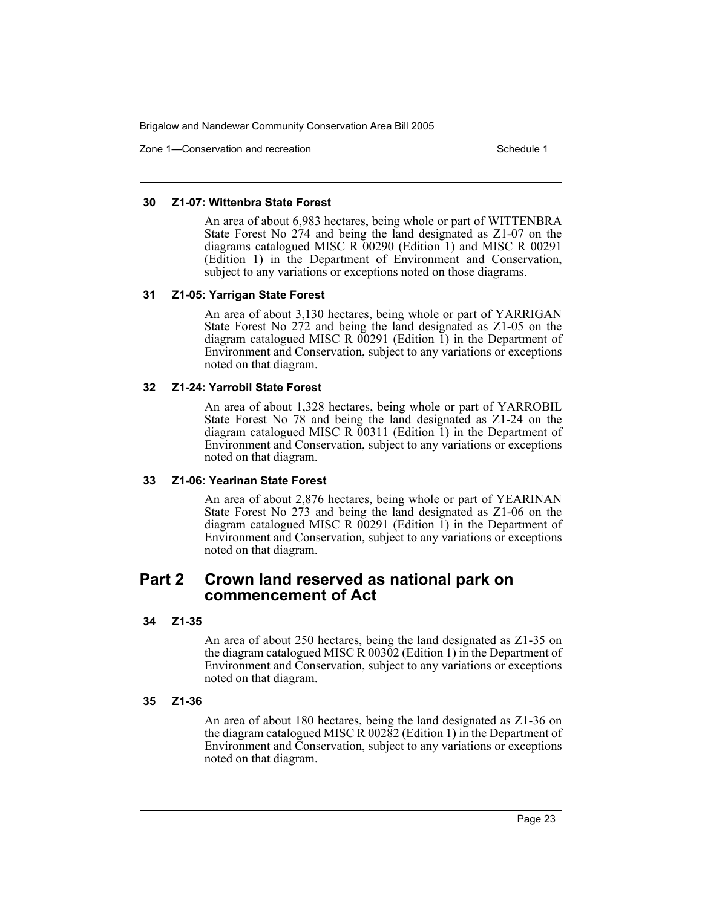Zone 1—Conservation and recreation Schedule 1 and Schedule 1

#### **30 Z1-07: Wittenbra State Forest**

An area of about 6,983 hectares, being whole or part of WITTENBRA State Forest No 274 and being the land designated as Z1-07 on the diagrams catalogued MISC R 00290 (Edition 1) and MISC R 00291 (Edition 1) in the Department of Environment and Conservation, subject to any variations or exceptions noted on those diagrams.

#### **31 Z1-05: Yarrigan State Forest**

An area of about 3,130 hectares, being whole or part of YARRIGAN State Forest No 272 and being the land designated as Z1-05 on the diagram catalogued MISC R  $00291$  (Edition 1) in the Department of Environment and Conservation, subject to any variations or exceptions noted on that diagram.

#### **32 Z1-24: Yarrobil State Forest**

An area of about 1,328 hectares, being whole or part of YARROBIL State Forest No 78 and being the land designated as Z1-24 on the diagram catalogued MISC R 00311 (Edition 1) in the Department of Environment and Conservation, subject to any variations or exceptions noted on that diagram.

#### **33 Z1-06: Yearinan State Forest**

An area of about 2,876 hectares, being whole or part of YEARINAN State Forest No 273 and being the land designated as Z1-06 on the diagram catalogued MISC R  $00291$  (Edition 1) in the Department of Environment and Conservation, subject to any variations or exceptions noted on that diagram.

# **Part 2 Crown land reserved as national park on commencement of Act**

#### **34 Z1-35**

An area of about 250 hectares, being the land designated as Z1-35 on the diagram catalogued MISC R 00302 (Edition 1) in the Department of Environment and Conservation, subject to any variations or exceptions noted on that diagram.

#### **35 Z1-36**

An area of about 180 hectares, being the land designated as Z1-36 on the diagram catalogued MISC R 00282 (Edition 1) in the Department of Environment and Conservation, subject to any variations or exceptions noted on that diagram.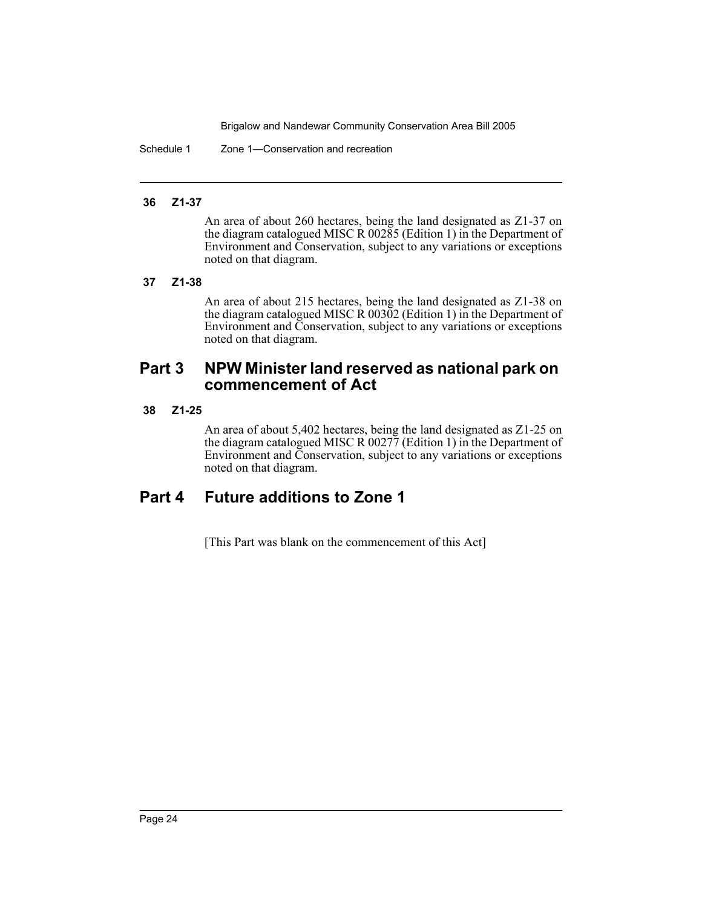Schedule 1 Zone 1—Conservation and recreation

#### **36 Z1-37**

An area of about 260 hectares, being the land designated as Z1-37 on the diagram catalogued MISC R 00285 (Edition 1) in the Department of Environment and Conservation, subject to any variations or exceptions noted on that diagram.

### **37 Z1-38**

An area of about 215 hectares, being the land designated as Z1-38 on the diagram catalogued MISC  $\hat{R}$  00302 (Edition 1) in the Department of Environment and Conservation, subject to any variations or exceptions noted on that diagram.

# **Part 3 NPW Minister land reserved as national park on commencement of Act**

### **38 Z1-25**

An area of about 5,402 hectares, being the land designated as Z1-25 on the diagram catalogued MISC R 00277 (Edition 1) in the Department of Environment and Conservation, subject to any variations or exceptions noted on that diagram.

# **Part 4 Future additions to Zone 1**

[This Part was blank on the commencement of this Act]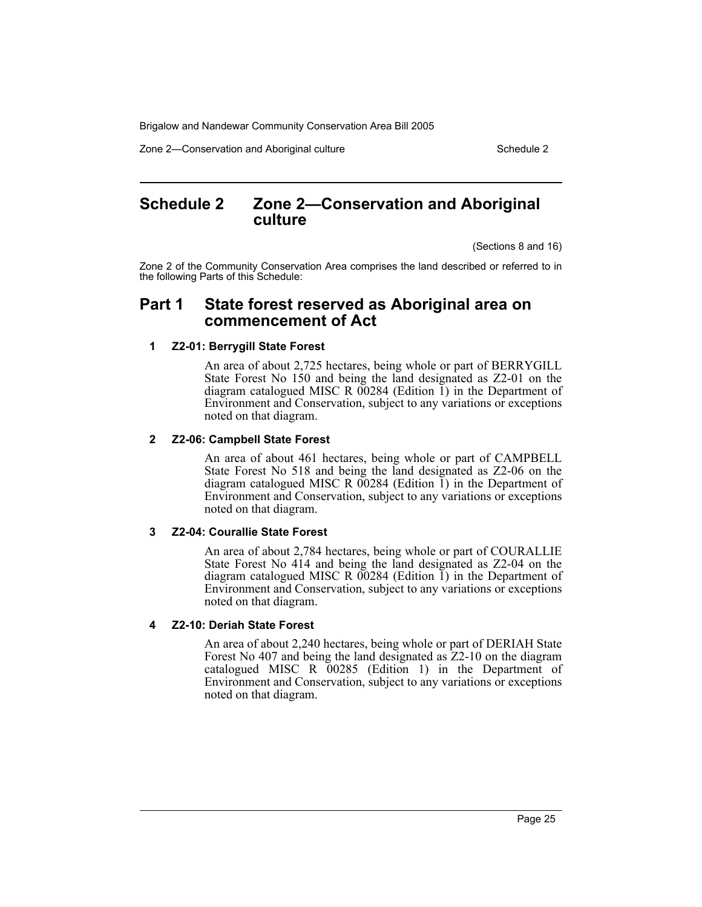Zone 2—Conservation and Aboriginal culture Schedule 2 Schedule 2

# <span id="page-27-0"></span>**Schedule 2 Zone 2—Conservation and Aboriginal culture**

(Sections 8 and 16)

Zone 2 of the Community Conservation Area comprises the land described or referred to in the following Parts of this Schedule:

# **Part 1 State forest reserved as Aboriginal area on commencement of Act**

# **1 Z2-01: Berrygill State Forest**

An area of about 2,725 hectares, being whole or part of BERRYGILL State Forest No 150 and being the land designated as Z2-01 on the diagram catalogued MISC R  $0.0284$  (Edition 1) in the Department of Environment and Conservation, subject to any variations or exceptions noted on that diagram.

#### **2 Z2-06: Campbell State Forest**

An area of about 461 hectares, being whole or part of CAMPBELL State Forest No 518 and being the land designated as Z2-06 on the diagram catalogued MISC R  $0$ 0284 (Edition 1) in the Department of Environment and Conservation, subject to any variations or exceptions noted on that diagram.

#### **3 Z2-04: Courallie State Forest**

An area of about 2,784 hectares, being whole or part of COURALLIE State Forest No 414 and being the land designated as Z2-04 on the diagram catalogued MISC R  $00284$  (Edition 1) in the Department of Environment and Conservation, subject to any variations or exceptions noted on that diagram.

#### **4 Z2-10: Deriah State Forest**

An area of about 2,240 hectares, being whole or part of DERIAH State Forest No 407 and being the land designated as Z2-10 on the diagram catalogued MISC R 00285 (Edition 1) in the Department of Environment and Conservation, subject to any variations or exceptions noted on that diagram.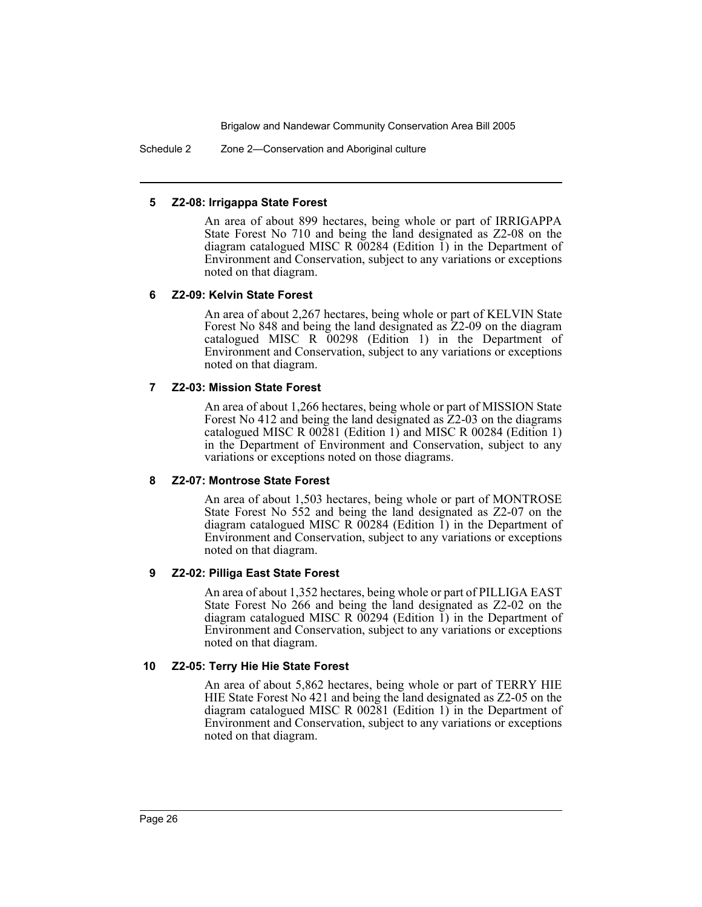Schedule 2 Zone 2—Conservation and Aboriginal culture

### **5 Z2-08: Irrigappa State Forest**

An area of about 899 hectares, being whole or part of IRRIGAPPA State Forest No 710 and being the land designated as Z2-08 on the diagram catalogued MISC R  $00284$  (Edition 1) in the Department of Environment and Conservation, subject to any variations or exceptions noted on that diagram.

#### **6 Z2-09: Kelvin State Forest**

An area of about 2,267 hectares, being whole or part of KELVIN State Forest No 848 and being the land designated as Z2-09 on the diagram catalogued MISC R 00298 (Edition 1) in the Department of Environment and Conservation, subject to any variations or exceptions noted on that diagram.

### **7 Z2-03: Mission State Forest**

An area of about 1,266 hectares, being whole or part of MISSION State Forest No 412 and being the land designated as Z2-03 on the diagrams catalogued MISC R 00281 (Edition 1) and MISC R 00284 (Edition 1) in the Department of Environment and Conservation, subject to any variations or exceptions noted on those diagrams.

# **8 Z2-07: Montrose State Forest**

An area of about 1,503 hectares, being whole or part of MONTROSE State Forest No 552 and being the land designated as Z2-07 on the diagram catalogued MISC R  $00284$  (Edition 1) in the Department of Environment and Conservation, subject to any variations or exceptions noted on that diagram.

# **9 Z2-02: Pilliga East State Forest**

An area of about 1,352 hectares, being whole or part of PILLIGA EAST State Forest No 266 and being the land designated as Z2-02 on the diagram catalogued MISC R  $0$ 0294 (Edition 1) in the Department of Environment and Conservation, subject to any variations or exceptions noted on that diagram.

#### **10 Z2-05: Terry Hie Hie State Forest**

An area of about 5,862 hectares, being whole or part of TERRY HIE HIE State Forest No 421 and being the land designated as Z2-05 on the diagram catalogued MISC R 00281 (Edition 1) in the Department of Environment and Conservation, subject to any variations or exceptions noted on that diagram.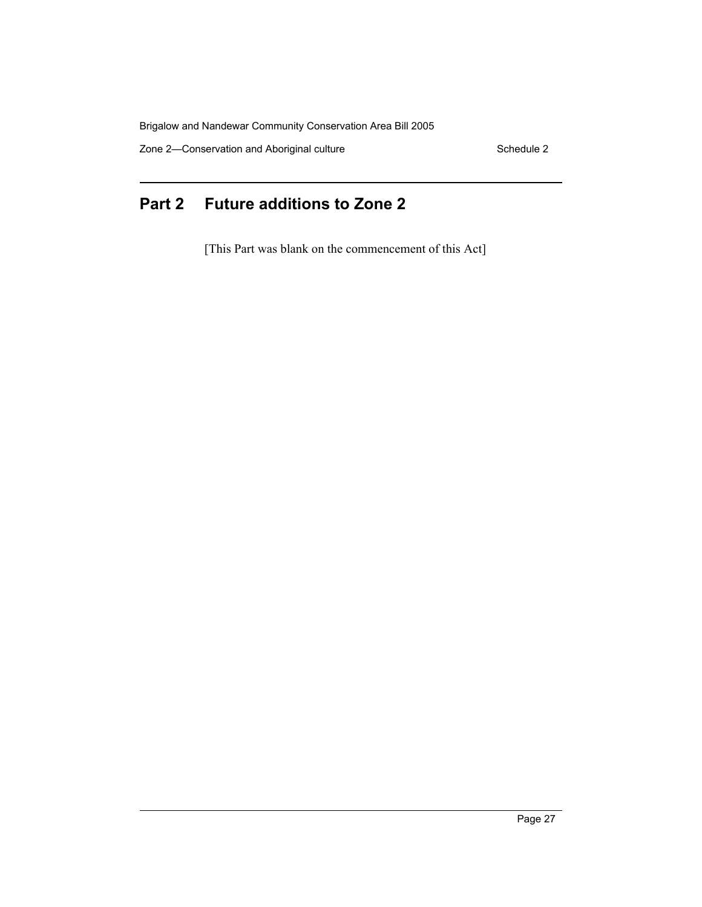Zone 2-Conservation and Aboriginal culture Schedule 2 Schedule 2

# **Part 2 Future additions to Zone 2**

[This Part was blank on the commencement of this Act]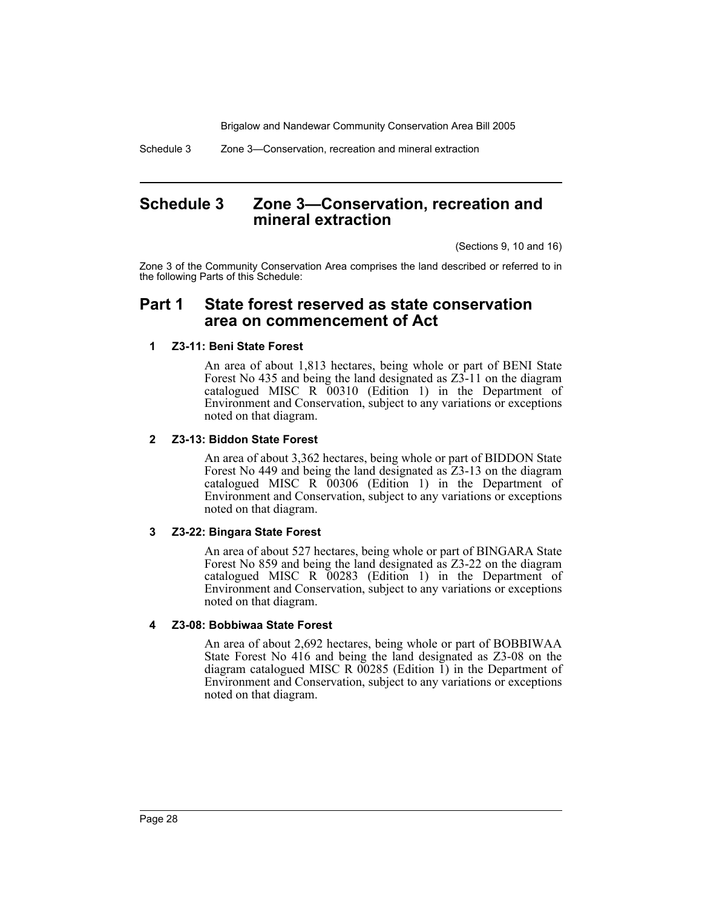Schedule 3 Zone 3—Conservation, recreation and mineral extraction

# <span id="page-30-0"></span>**Schedule 3 Zone 3—Conservation, recreation and mineral extraction**

(Sections 9, 10 and 16)

Zone 3 of the Community Conservation Area comprises the land described or referred to in the following Parts of this Schedule:

# **Part 1 State forest reserved as state conservation area on commencement of Act**

# **1 Z3-11: Beni State Forest**

An area of about 1,813 hectares, being whole or part of BENI State Forest No 435 and being the land designated as Z3-11 on the diagram catalogued MISC R 00310 (Edition 1) in the Department of Environment and Conservation, subject to any variations or exceptions noted on that diagram.

### **2 Z3-13: Biddon State Forest**

An area of about 3,362 hectares, being whole or part of BIDDON State Forest No 449 and being the land designated as Z3-13 on the diagram catalogued MISC R 00306 (Edition 1) in the Department of Environment and Conservation, subject to any variations or exceptions noted on that diagram.

# **3 Z3-22: Bingara State Forest**

An area of about 527 hectares, being whole or part of BINGARA State Forest No 859 and being the land designated as Z3-22 on the diagram catalogued MISC R 00283 (Edition 1) in the Department of Environment and Conservation, subject to any variations or exceptions noted on that diagram.

#### **4 Z3-08: Bobbiwaa State Forest**

An area of about 2,692 hectares, being whole or part of BOBBIWAA State Forest No 416 and being the land designated as Z3-08 on the diagram catalogued MISC R  $00285$  (Edition 1) in the Department of Environment and Conservation, subject to any variations or exceptions noted on that diagram.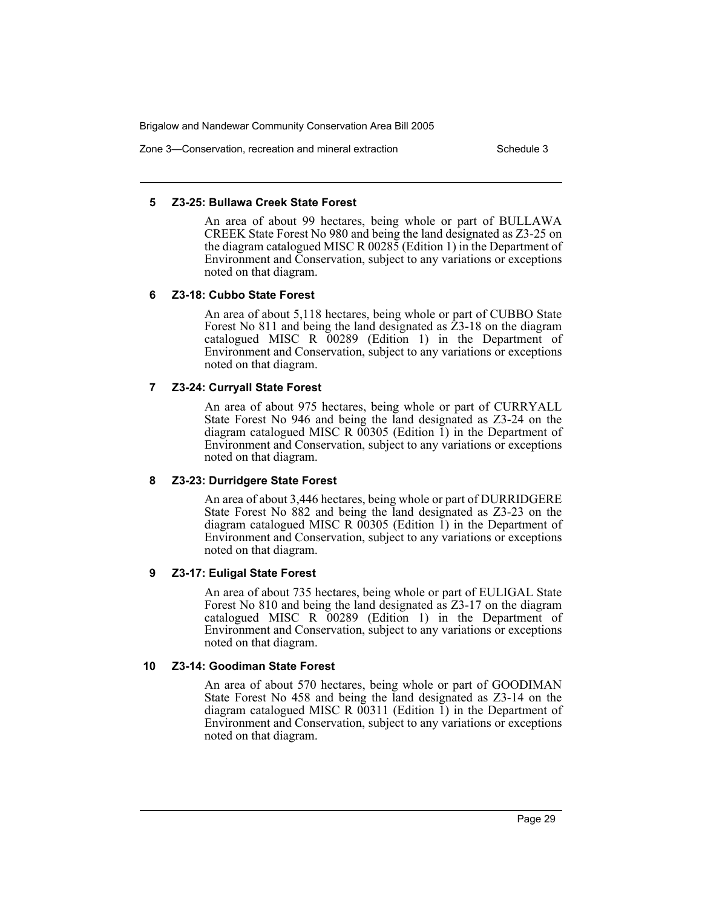Zone 3—Conservation, recreation and mineral extraction Schedule 3

#### **5 Z3-25: Bullawa Creek State Forest**

An area of about 99 hectares, being whole or part of BULLAWA CREEK State Forest No 980 and being the land designated as Z3-25 on the diagram catalogued MISC R 00285 (Edition 1) in the Department of Environment and Conservation, subject to any variations or exceptions noted on that diagram.

#### **6 Z3-18: Cubbo State Forest**

An area of about 5,118 hectares, being whole or part of CUBBO State Forest No 811 and being the land designated as  $\tilde{Z}$ 3-18 on the diagram catalogued MISC R 00289 (Edition 1) in the Department of Environment and Conservation, subject to any variations or exceptions noted on that diagram.

#### **7 Z3-24: Curryall State Forest**

An area of about 975 hectares, being whole or part of CURRYALL State Forest No 946 and being the land designated as Z3-24 on the diagram catalogued MISC R  $00305$  (Edition 1) in the Department of Environment and Conservation, subject to any variations or exceptions noted on that diagram.

#### **8 Z3-23: Durridgere State Forest**

An area of about 3,446 hectares, being whole or part of DURRIDGERE State Forest No 882 and being the land designated as Z3-23 on the diagram catalogued MISC R  $00305$  (Edition 1) in the Department of Environment and Conservation, subject to any variations or exceptions noted on that diagram.

#### **9 Z3-17: Euligal State Forest**

An area of about 735 hectares, being whole or part of EULIGAL State Forest No 810 and being the land designated as Z3-17 on the diagram catalogued MISC R 00289 (Edition 1) in the Department of Environment and Conservation, subject to any variations or exceptions noted on that diagram.

#### **10 Z3-14: Goodiman State Forest**

An area of about 570 hectares, being whole or part of GOODIMAN State Forest No 458 and being the land designated as Z3-14 on the diagram catalogued MISC R  $00311$  (Edition 1) in the Department of Environment and Conservation, subject to any variations or exceptions noted on that diagram.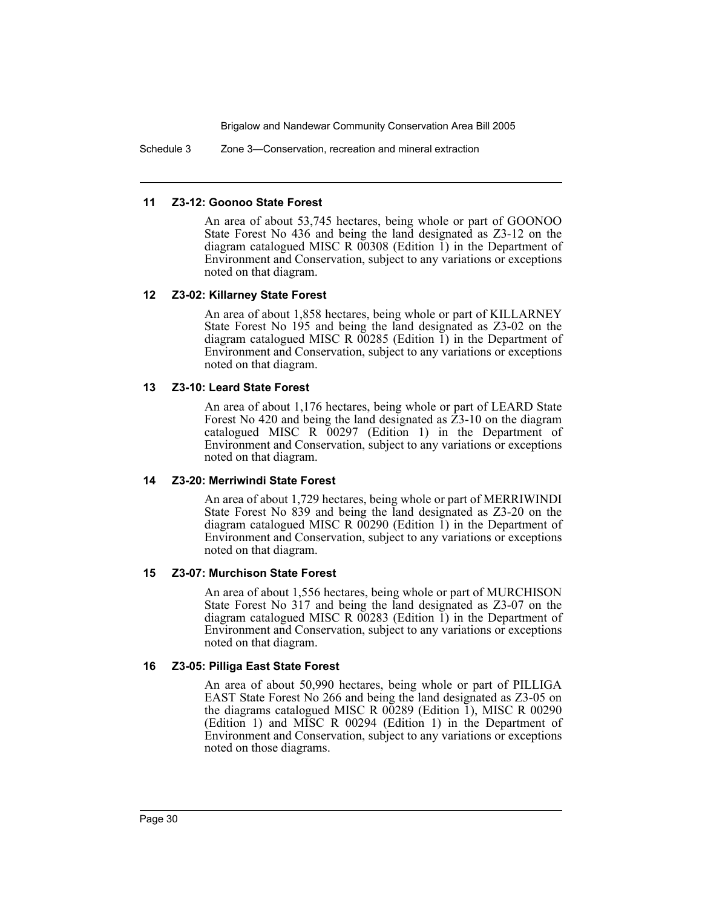Schedule 3 Zone 3—Conservation, recreation and mineral extraction

#### **11 Z3-12: Goonoo State Forest**

An area of about 53,745 hectares, being whole or part of GOONOO State Forest No 436 and being the land designated as Z3-12 on the diagram catalogued MISC R  $00308$  (Edition 1) in the Department of Environment and Conservation, subject to any variations or exceptions noted on that diagram.

#### **12 Z3-02: Killarney State Forest**

An area of about 1,858 hectares, being whole or part of KILLARNEY State Forest No 195 and being the land designated as Z3-02 on the diagram catalogued MISC R  $0$ 0285 (Edition 1) in the Department of Environment and Conservation, subject to any variations or exceptions noted on that diagram.

#### **13 Z3-10: Leard State Forest**

An area of about 1,176 hectares, being whole or part of LEARD State Forest No 420 and being the land designated as  $\tilde{Z}$ 3-10 on the diagram catalogued MISC R 00297 (Edition 1) in the Department of Environment and Conservation, subject to any variations or exceptions noted on that diagram.

#### **14 Z3-20: Merriwindi State Forest**

An area of about 1,729 hectares, being whole or part of MERRIWINDI State Forest No 839 and being the land designated as Z3-20 on the diagram catalogued MISC R  $00290$  (Edition 1) in the Department of Environment and Conservation, subject to any variations or exceptions noted on that diagram.

#### **15 Z3-07: Murchison State Forest**

An area of about 1,556 hectares, being whole or part of MURCHISON State Forest No 317 and being the land designated as Z3-07 on the diagram catalogued MISC R 00283 (Edition 1) in the Department of Environment and Conservation, subject to any variations or exceptions noted on that diagram.

#### **16 Z3-05: Pilliga East State Forest**

An area of about 50,990 hectares, being whole or part of PILLIGA EAST State Forest No 266 and being the land designated as Z3-05 on the diagrams catalogued MISC R 00289 (Edition 1), MISC R 00290 (Edition 1) and MISC R 00294 (Edition 1) in the Department of Environment and Conservation, subject to any variations or exceptions noted on those diagrams.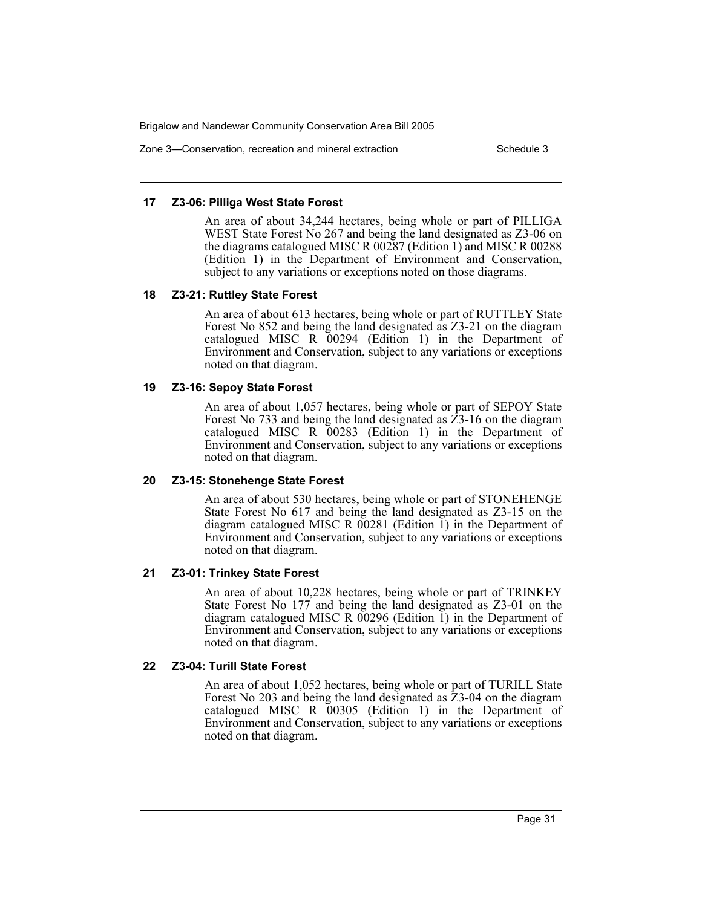Zone 3—Conservation, recreation and mineral extraction Schedule 3

#### **17 Z3-06: Pilliga West State Forest**

An area of about 34,244 hectares, being whole or part of PILLIGA WEST State Forest No 267 and being the land designated as Z3-06 on the diagrams catalogued MISC R 00287 (Edition 1) and MISC R 00288 (Edition 1) in the Department of Environment and Conservation, subject to any variations or exceptions noted on those diagrams.

#### **18 Z3-21: Ruttley State Forest**

An area of about 613 hectares, being whole or part of RUTTLEY State Forest No 852 and being the land designated as Z3-21 on the diagram catalogued MISC R 00294 (Edition 1) in the Department of Environment and Conservation, subject to any variations or exceptions noted on that diagram.

#### **19 Z3-16: Sepoy State Forest**

An area of about 1,057 hectares, being whole or part of SEPOY State Forest No 733 and being the land designated as  $\overline{2}3$ -16 on the diagram catalogued MISC R 00283 (Edition 1) in the Department of Environment and Conservation, subject to any variations or exceptions noted on that diagram.

#### **20 Z3-15: Stonehenge State Forest**

An area of about 530 hectares, being whole or part of STONEHENGE State Forest No 617 and being the land designated as Z3-15 on the diagram catalogued MISC R  $00281$  (Edition 1) in the Department of Environment and Conservation, subject to any variations or exceptions noted on that diagram.

#### **21 Z3-01: Trinkey State Forest**

An area of about 10,228 hectares, being whole or part of TRINKEY State Forest No 177 and being the land designated as Z3-01 on the diagram catalogued MISC R  $0$ 0296 (Edition 1) in the Department of Environment and Conservation, subject to any variations or exceptions noted on that diagram.

#### **22 Z3-04: Turill State Forest**

An area of about 1,052 hectares, being whole or part of TURILL State Forest No 203 and being the land designated as Z3-04 on the diagram catalogued MISC R 00305 (Edition 1) in the Department of Environment and Conservation, subject to any variations or exceptions noted on that diagram.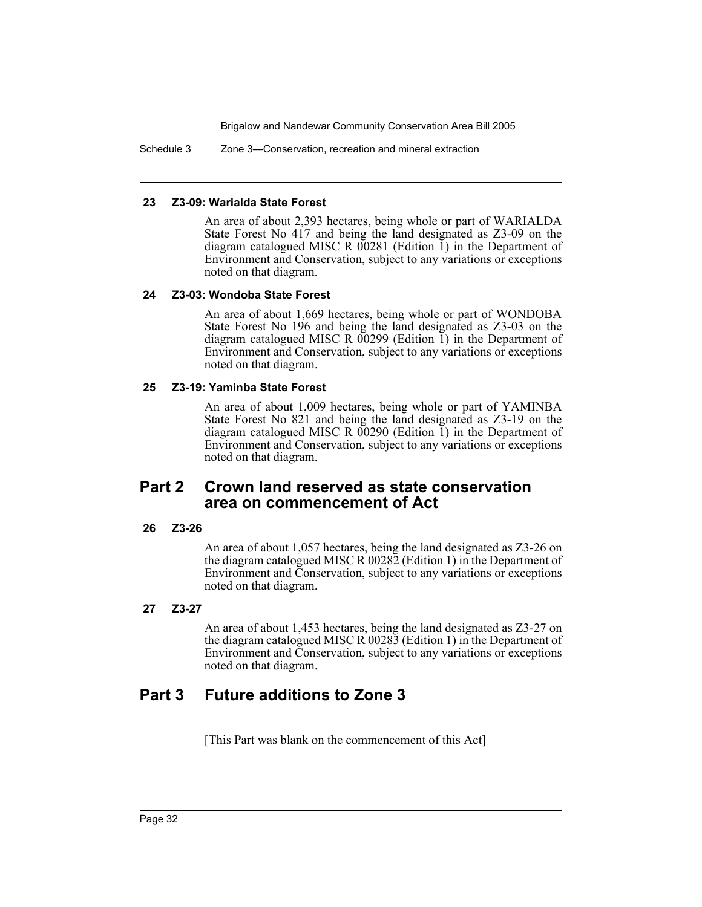Schedule 3 Zone 3—Conservation, recreation and mineral extraction

#### **23 Z3-09: Warialda State Forest**

An area of about 2,393 hectares, being whole or part of WARIALDA State Forest No 417 and being the land designated as Z3-09 on the diagram catalogued MISC R  $00281$  (Edition 1) in the Department of Environment and Conservation, subject to any variations or exceptions noted on that diagram.

#### **24 Z3-03: Wondoba State Forest**

An area of about 1,669 hectares, being whole or part of WONDOBA State Forest No 196 and being the land designated as Z3-03 on the diagram catalogued MISC R  $00299$  (Edition 1) in the Department of Environment and Conservation, subject to any variations or exceptions noted on that diagram.

#### **25 Z3-19: Yaminba State Forest**

An area of about 1,009 hectares, being whole or part of YAMINBA State Forest No 821 and being the land designated as Z3-19 on the diagram catalogued MISC R 00290 (Edition 1) in the Department of Environment and Conservation, subject to any variations or exceptions noted on that diagram.

# **Part 2 Crown land reserved as state conservation area on commencement of Act**

#### **26 Z3-26**

An area of about 1,057 hectares, being the land designated as Z3-26 on the diagram catalogued MISC R 00282 (Edition 1) in the Department of Environment and Conservation, subject to any variations or exceptions noted on that diagram.

#### **27 Z3-27**

An area of about 1,453 hectares, being the land designated as Z3-27 on the diagram catalogued MISC R 00283 (Edition 1) in the Department of Environment and Conservation, subject to any variations or exceptions noted on that diagram.

# **Part 3 Future additions to Zone 3**

[This Part was blank on the commencement of this Act]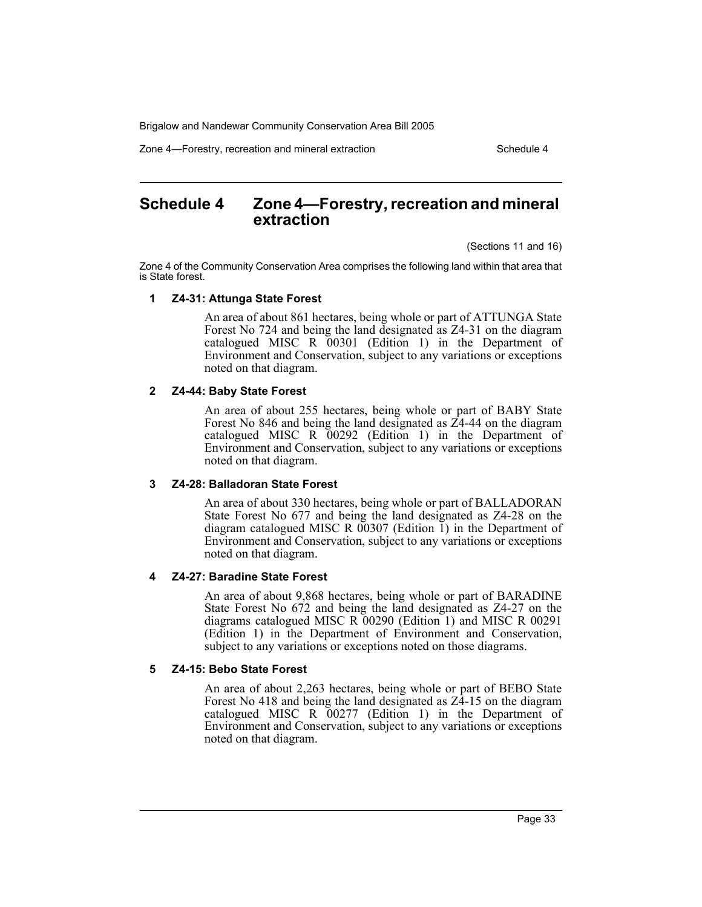Zone 4—Forestry, recreation and mineral extraction Schedule 4 Schedule 4

# <span id="page-35-0"></span>**Schedule 4 Zone 4—Forestry, recreation and mineral extraction**

(Sections 11 and 16)

Zone 4 of the Community Conservation Area comprises the following land within that area that is State forest.

#### **1 Z4-31: Attunga State Forest**

An area of about 861 hectares, being whole or part of ATTUNGA State Forest No 724 and being the land designated as Z4-31 on the diagram catalogued MISC R 00301 (Edition 1) in the Department of Environment and Conservation, subject to any variations or exceptions noted on that diagram.

#### **2 Z4-44: Baby State Forest**

An area of about 255 hectares, being whole or part of BABY State Forest No 846 and being the land designated as Z4-44 on the diagram catalogued MISC R 00292 (Edition 1) in the Department of Environment and Conservation, subject to any variations or exceptions noted on that diagram.

#### **3 Z4-28: Balladoran State Forest**

An area of about 330 hectares, being whole or part of BALLADORAN State Forest No 677 and being the land designated as Z4-28 on the diagram catalogued MISC R  $00307$  (Edition 1) in the Department of Environment and Conservation, subject to any variations or exceptions noted on that diagram.

#### **4 Z4-27: Baradine State Forest**

An area of about 9,868 hectares, being whole or part of BARADINE State Forest No 672 and being the land designated as Z4-27 on the diagrams catalogued MISC R 00290 (Edition 1) and MISC R 00291 (Edition 1) in the Department of Environment and Conservation, subject to any variations or exceptions noted on those diagrams.

#### **5 Z4-15: Bebo State Forest**

An area of about 2,263 hectares, being whole or part of BEBO State Forest No 418 and being the land designated as  $Z\hat{4}$ -15 on the diagram catalogued MISC R 00277 (Edition 1) in the Department of Environment and Conservation, subject to any variations or exceptions noted on that diagram.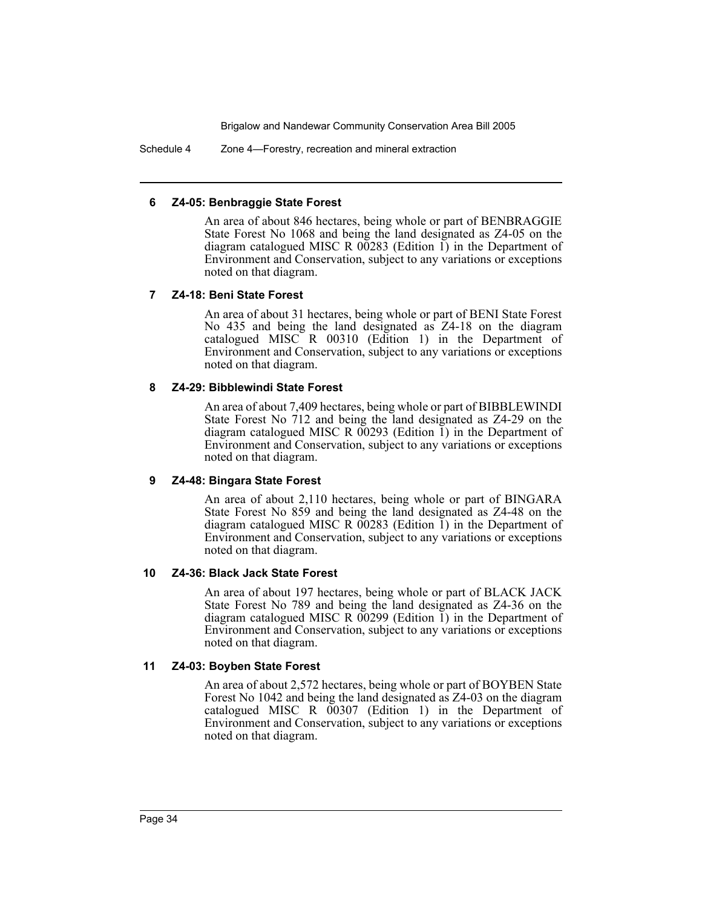Schedule 4 Zone 4—Forestry, recreation and mineral extraction

#### **6 Z4-05: Benbraggie State Forest**

An area of about 846 hectares, being whole or part of BENBRAGGIE State Forest No 1068 and being the land designated as Z4-05 on the diagram catalogued MISC R  $00283$  (Edition 1) in the Department of Environment and Conservation, subject to any variations or exceptions noted on that diagram.

#### **7 Z4-18: Beni State Forest**

An area of about 31 hectares, being whole or part of BENI State Forest No 435 and being the land designated as Z4-18 on the diagram catalogued MISC R 00310 (Edition 1) in the Department of Environment and Conservation, subject to any variations or exceptions noted on that diagram.

#### **8 Z4-29: Bibblewindi State Forest**

An area of about 7,409 hectares, being whole or part of BIBBLEWINDI State Forest No 712 and being the land designated as Z4-29 on the diagram catalogued MISC R 00293 (Edition 1) in the Department of Environment and Conservation, subject to any variations or exceptions noted on that diagram.

#### **9 Z4-48: Bingara State Forest**

An area of about 2,110 hectares, being whole or part of BINGARA State Forest No 859 and being the land designated as Z4-48 on the diagram catalogued MISC R  $00283$  (Edition 1) in the Department of Environment and Conservation, subject to any variations or exceptions noted on that diagram.

#### **10 Z4-36: Black Jack State Forest**

An area of about 197 hectares, being whole or part of BLACK JACK State Forest No 789 and being the land designated as Z4-36 on the diagram catalogued MISC R  $0$ 0299 (Edition 1) in the Department of Environment and Conservation, subject to any variations or exceptions noted on that diagram.

#### **11 Z4-03: Boyben State Forest**

An area of about 2,572 hectares, being whole or part of BOYBEN State Forest No 1042 and being the land designated as Z4-03 on the diagram catalogued MISC R 00307 (Edition 1) in the Department of Environment and Conservation, subject to any variations or exceptions noted on that diagram.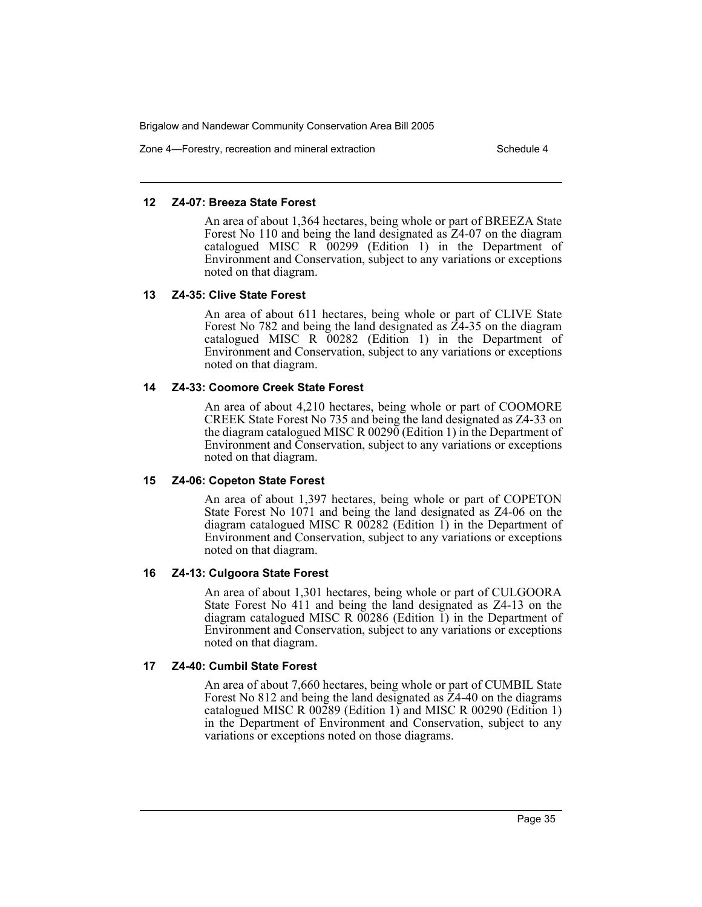Zone 4—Forestry, recreation and mineral extraction Schedule 4 Schedule 4

#### **12 Z4-07: Breeza State Forest**

An area of about 1,364 hectares, being whole or part of BREEZA State Forest No 110 and being the land designated as Z4-07 on the diagram catalogued MISC R 00299 (Edition 1) in the Department of Environment and Conservation, subject to any variations or exceptions noted on that diagram.

#### **13 Z4-35: Clive State Forest**

An area of about 611 hectares, being whole or part of CLIVE State Forest No 782 and being the land designated as  $\overline{2}4-35$  on the diagram catalogued MISC R 00282 (Edition 1) in the Department of Environment and Conservation, subject to any variations or exceptions noted on that diagram.

#### **14 Z4-33: Coomore Creek State Forest**

An area of about 4,210 hectares, being whole or part of COOMORE CREEK State Forest No 735 and being the land designated as Z4-33 on the diagram catalogued MISC R 00290 (Edition 1) in the Department of Environment and Conservation, subject to any variations or exceptions noted on that diagram.

#### **15 Z4-06: Copeton State Forest**

An area of about 1,397 hectares, being whole or part of COPETON State Forest No 1071 and being the land designated as Z4-06 on the diagram catalogued MISC R  $0\overline{0}282$  (Edition 1) in the Department of Environment and Conservation, subject to any variations or exceptions noted on that diagram.

#### **16 Z4-13: Culgoora State Forest**

An area of about 1,301 hectares, being whole or part of CULGOORA State Forest No 411 and being the land designated as Z4-13 on the diagram catalogued MISC R  $0$ 0286 (Edition 1) in the Department of Environment and Conservation, subject to any variations or exceptions noted on that diagram.

#### **17 Z4-40: Cumbil State Forest**

An area of about 7,660 hectares, being whole or part of CUMBIL State Forest No 812 and being the land designated as Z4-40 on the diagrams catalogued MISC R 00289 (Edition 1) and MISC R 00290 (Edition 1) in the Department of Environment and Conservation, subject to any variations or exceptions noted on those diagrams.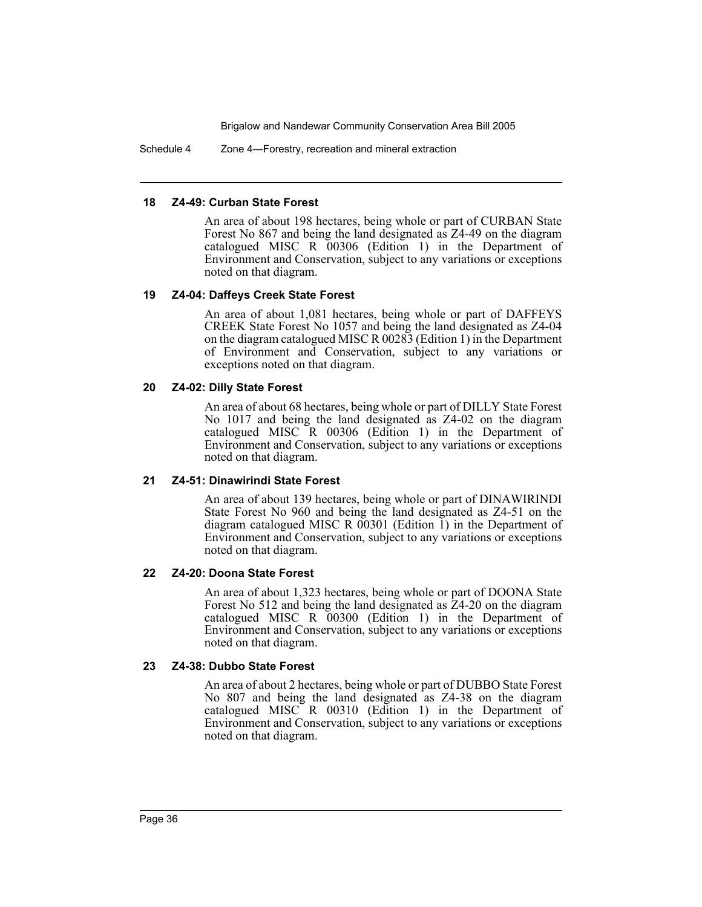Schedule 4 Zone 4—Forestry, recreation and mineral extraction

#### **18 Z4-49: Curban State Forest**

An area of about 198 hectares, being whole or part of CURBAN State Forest No 867 and being the land designated as Z4-49 on the diagram catalogued MISC R 00306 (Edition 1) in the Department of Environment and Conservation, subject to any variations or exceptions noted on that diagram.

#### **19 Z4-04: Daffeys Creek State Forest**

An area of about 1,081 hectares, being whole or part of DAFFEYS CREEK State Forest No 1057 and being the land designated as Z4-04 on the diagram catalogued MISC R 00283 (Edition 1) in the Department of Environment and Conservation, subject to any variations or exceptions noted on that diagram.

#### **20 Z4-02: Dilly State Forest**

An area of about 68 hectares, being whole or part of DILLY State Forest No 1017 and being the land designated as Z4-02 on the diagram catalogued MISC R 00306 (Edition 1) in the Department of Environment and Conservation, subject to any variations or exceptions noted on that diagram.

#### **21 Z4-51: Dinawirindi State Forest**

An area of about 139 hectares, being whole or part of DINAWIRINDI State Forest No 960 and being the land designated as Z4-51 on the diagram catalogued MISC R  $00301$  (Edition 1) in the Department of Environment and Conservation, subject to any variations or exceptions noted on that diagram.

#### **22 Z4-20: Doona State Forest**

An area of about 1,323 hectares, being whole or part of DOONA State Forest No 512 and being the land designated as Z4-20 on the diagram catalogued MISC R 00300 (Edition 1) in the Department of Environment and Conservation, subject to any variations or exceptions noted on that diagram.

#### **23 Z4-38: Dubbo State Forest**

An area of about 2 hectares, being whole or part of DUBBO State Forest No 807 and being the land designated as Z4-38 on the diagram catalogued MISC R 00310 (Edition 1) in the Department of Environment and Conservation, subject to any variations or exceptions noted on that diagram.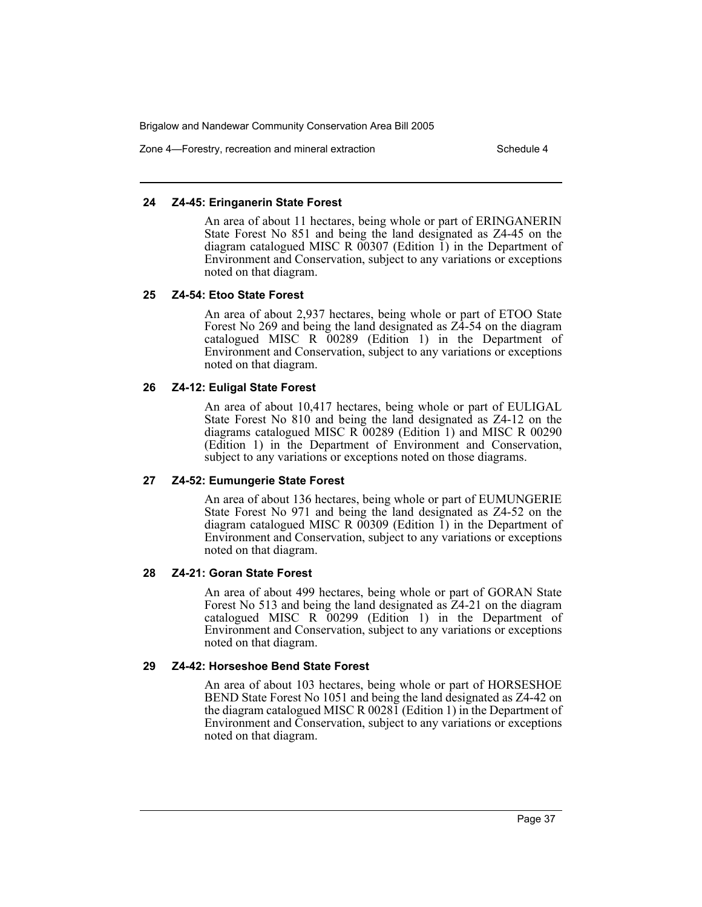Zone 4—Forestry, recreation and mineral extraction Schedule 4 Schedule 4

#### **24 Z4-45: Eringanerin State Forest**

An area of about 11 hectares, being whole or part of ERINGANERIN State Forest No 851 and being the land designated as Z4-45 on the diagram catalogued MISC R  $00307$  (Edition 1) in the Department of Environment and Conservation, subject to any variations or exceptions noted on that diagram.

#### **25 Z4-54: Etoo State Forest**

An area of about 2,937 hectares, being whole or part of ETOO State Forest No 269 and being the land designated as  $Z\overline{4}$ -54 on the diagram catalogued MISC R 00289 (Edition 1) in the Department of Environment and Conservation, subject to any variations or exceptions noted on that diagram.

#### **26 Z4-12: Euligal State Forest**

An area of about 10,417 hectares, being whole or part of EULIGAL State Forest No 810 and being the land designated as Z4-12 on the diagrams catalogued MISC R 00289 (Edition 1) and MISC R 00290 (Edition 1) in the Department of Environment and Conservation, subject to any variations or exceptions noted on those diagrams.

#### **27 Z4-52: Eumungerie State Forest**

An area of about 136 hectares, being whole or part of EUMUNGERIE State Forest No 971 and being the land designated as Z4-52 on the diagram catalogued MISC R  $00309$  (Edition 1) in the Department of Environment and Conservation, subject to any variations or exceptions noted on that diagram.

#### **28 Z4-21: Goran State Forest**

An area of about 499 hectares, being whole or part of GORAN State Forest No 513 and being the land designated as Z4-21 on the diagram catalogued MISC R 00299 (Edition 1) in the Department of Environment and Conservation, subject to any variations or exceptions noted on that diagram.

#### **29 Z4-42: Horseshoe Bend State Forest**

An area of about 103 hectares, being whole or part of HORSESHOE BEND State Forest No 1051 and being the land designated as Z4-42 on the diagram catalogued MISC R 00281 (Edition 1) in the Department of Environment and Conservation, subject to any variations or exceptions noted on that diagram.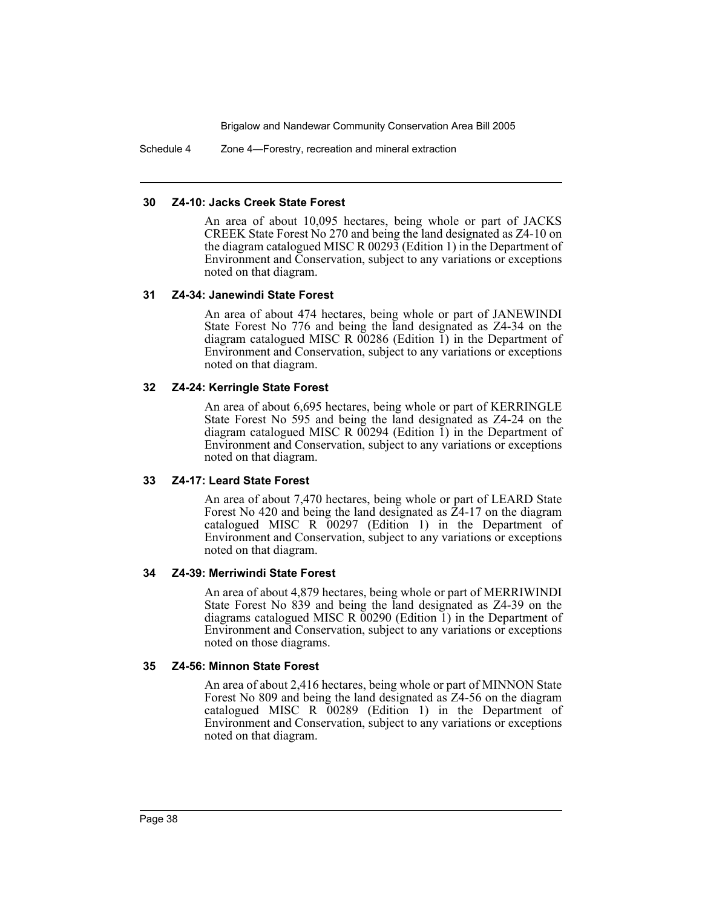Schedule 4 Zone 4—Forestry, recreation and mineral extraction

#### **30 Z4-10: Jacks Creek State Forest**

An area of about 10,095 hectares, being whole or part of JACKS CREEK State Forest No 270 and being the land designated as Z4-10 on the diagram catalogued MISC R 00293 (Edition 1) in the Department of Environment and Conservation, subject to any variations or exceptions noted on that diagram.

#### **31 Z4-34: Janewindi State Forest**

An area of about 474 hectares, being whole or part of JANEWINDI State Forest No 776 and being the land designated as Z4-34 on the diagram catalogued MISC R 00286 (Edition 1) in the Department of Environment and Conservation, subject to any variations or exceptions noted on that diagram.

#### **32 Z4-24: Kerringle State Forest**

An area of about 6,695 hectares, being whole or part of KERRINGLE State Forest No 595 and being the land designated as Z4-24 on the diagram catalogued MISC R 00294 (Edition 1) in the Department of Environment and Conservation, subject to any variations or exceptions noted on that diagram.

#### **33 Z4-17: Leard State Forest**

An area of about 7,470 hectares, being whole or part of LEARD State Forest No 420 and being the land designated as Z4-17 on the diagram catalogued MISC R 00297 (Edition 1) in the Department of Environment and Conservation, subject to any variations or exceptions noted on that diagram.

#### **34 Z4-39: Merriwindi State Forest**

An area of about 4,879 hectares, being whole or part of MERRIWINDI State Forest No 839 and being the land designated as Z4-39 on the diagrams catalogued MISC R 00290 (Edition 1) in the Department of Environment and Conservation, subject to any variations or exceptions noted on those diagrams.

#### **35 Z4-56: Minnon State Forest**

An area of about 2,416 hectares, being whole or part of MINNON State Forest No 809 and being the land designated as Z4-56 on the diagram catalogued MISC R 00289 (Edition 1) in the Department of Environment and Conservation, subject to any variations or exceptions noted on that diagram.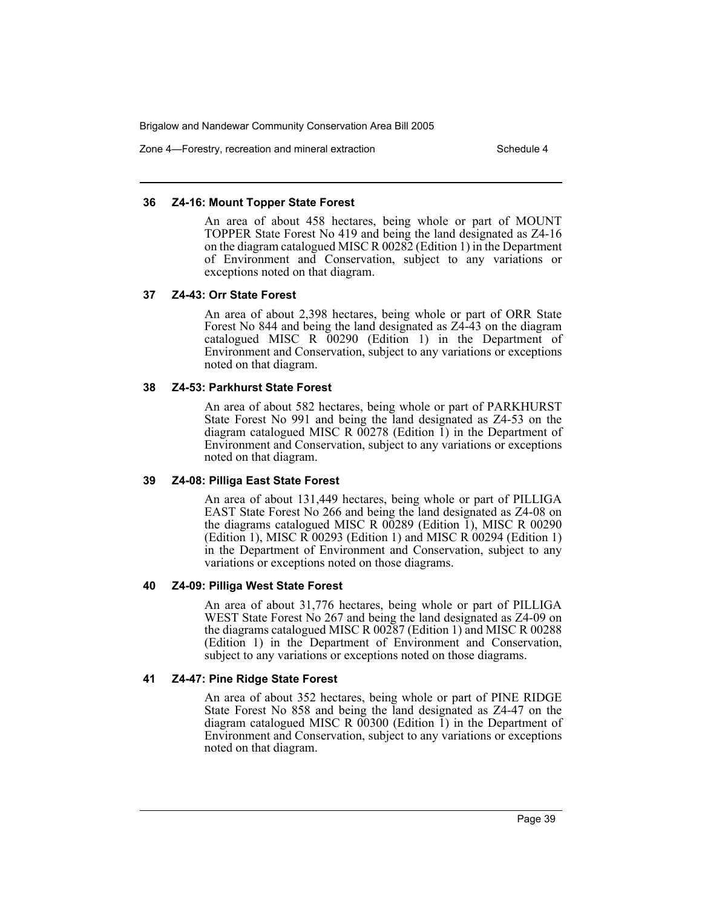Zone 4—Forestry, recreation and mineral extraction Schedule 4 Schedule 4

#### **36 Z4-16: Mount Topper State Forest**

An area of about 458 hectares, being whole or part of MOUNT TOPPER State Forest No 419 and being the land designated as Z4-16 on the diagram catalogued MISC R 00282 (Edition 1) in the Department of Environment and Conservation, subject to any variations or exceptions noted on that diagram.

#### **37 Z4-43: Orr State Forest**

An area of about 2,398 hectares, being whole or part of ORR State Forest No 844 and being the land designated as Z4-43 on the diagram catalogued MISC R 00290 (Edition 1) in the Department of Environment and Conservation, subject to any variations or exceptions noted on that diagram.

#### **38 Z4-53: Parkhurst State Forest**

An area of about 582 hectares, being whole or part of PARKHURST State Forest No 991 and being the land designated as Z4-53 on the diagram catalogued MISC R 00278 (Edition 1) in the Department of Environment and Conservation, subject to any variations or exceptions noted on that diagram.

#### **39 Z4-08: Pilliga East State Forest**

An area of about 131,449 hectares, being whole or part of PILLIGA EAST State Forest No 266 and being the land designated as Z4-08 on the diagrams catalogued MISC R  $00289$  (Edition 1), MISC R 00290 (Edition 1), MISC R 00293 (Edition 1) and MISC R 00294 (Edition 1) in the Department of Environment and Conservation, subject to any variations or exceptions noted on those diagrams.

#### **40 Z4-09: Pilliga West State Forest**

An area of about 31,776 hectares, being whole or part of PILLIGA WEST State Forest No 267 and being the land designated as Z4-09 on the diagrams catalogued MISC R 00287 (Edition 1) and MISC R 00288 (Edition 1) in the Department of Environment and Conservation, subject to any variations or exceptions noted on those diagrams.

#### **41 Z4-47: Pine Ridge State Forest**

An area of about 352 hectares, being whole or part of PINE RIDGE State Forest No 858 and being the land designated as Z4-47 on the diagram catalogued MISC R 00300 (Edition 1) in the Department of Environment and Conservation, subject to any variations or exceptions noted on that diagram.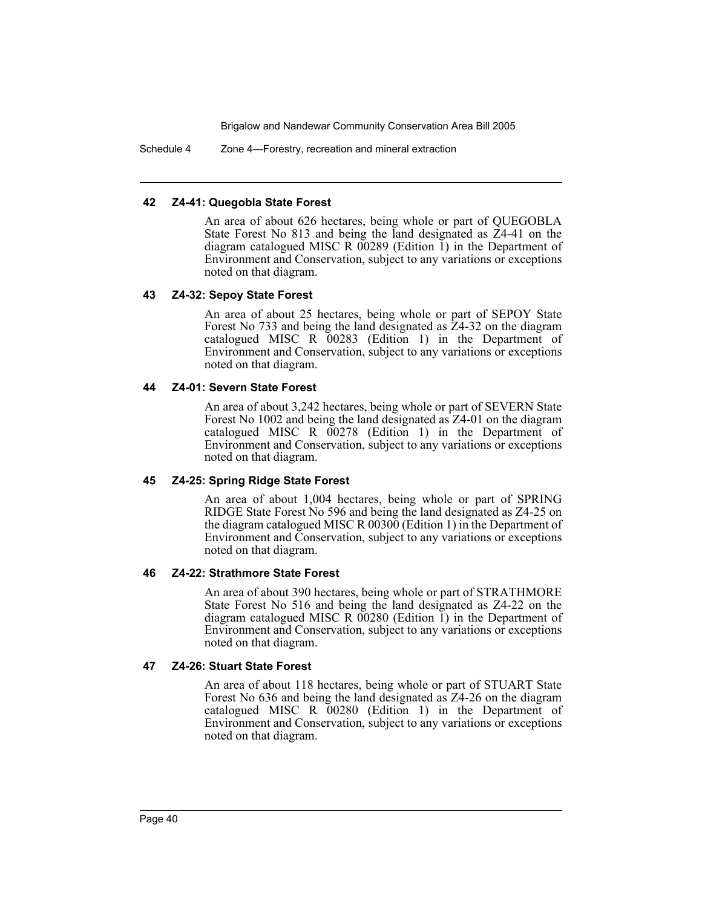Schedule 4 Zone 4—Forestry, recreation and mineral extraction

#### **42 Z4-41: Quegobla State Forest**

An area of about 626 hectares, being whole or part of QUEGOBLA State Forest No 813 and being the land designated as Z4-41 on the diagram catalogued MISC R  $00289$  (Edition 1) in the Department of Environment and Conservation, subject to any variations or exceptions noted on that diagram.

#### **43 Z4-32: Sepoy State Forest**

An area of about 25 hectares, being whole or part of SEPOY State Forest No 733 and being the land designated as Z4-32 on the diagram catalogued MISC R 00283 (Edition 1) in the Department of Environment and Conservation, subject to any variations or exceptions noted on that diagram.

#### **44 Z4-01: Severn State Forest**

An area of about 3,242 hectares, being whole or part of SEVERN State Forest No 1002 and being the land designated as Z4-01 on the diagram catalogued MISC R 00278 (Edition 1) in the Department of Environment and Conservation, subject to any variations or exceptions noted on that diagram.

#### **45 Z4-25: Spring Ridge State Forest**

An area of about 1,004 hectares, being whole or part of SPRING RIDGE State Forest No 596 and being the land designated as Z4-25 on the diagram catalogued MISC R 00300 (Edition 1) in the Department of Environment and Conservation, subject to any variations or exceptions noted on that diagram.

#### **46 Z4-22: Strathmore State Forest**

An area of about 390 hectares, being whole or part of STRATHMORE State Forest No 516 and being the land designated as Z4-22 on the diagram catalogued MISC R 00280 (Edition 1) in the Department of Environment and Conservation, subject to any variations or exceptions noted on that diagram.

#### **47 Z4-26: Stuart State Forest**

An area of about 118 hectares, being whole or part of STUART State Forest No 636 and being the land designated as Z4-26 on the diagram catalogued MISC R 00280 (Edition 1) in the Department of Environment and Conservation, subject to any variations or exceptions noted on that diagram.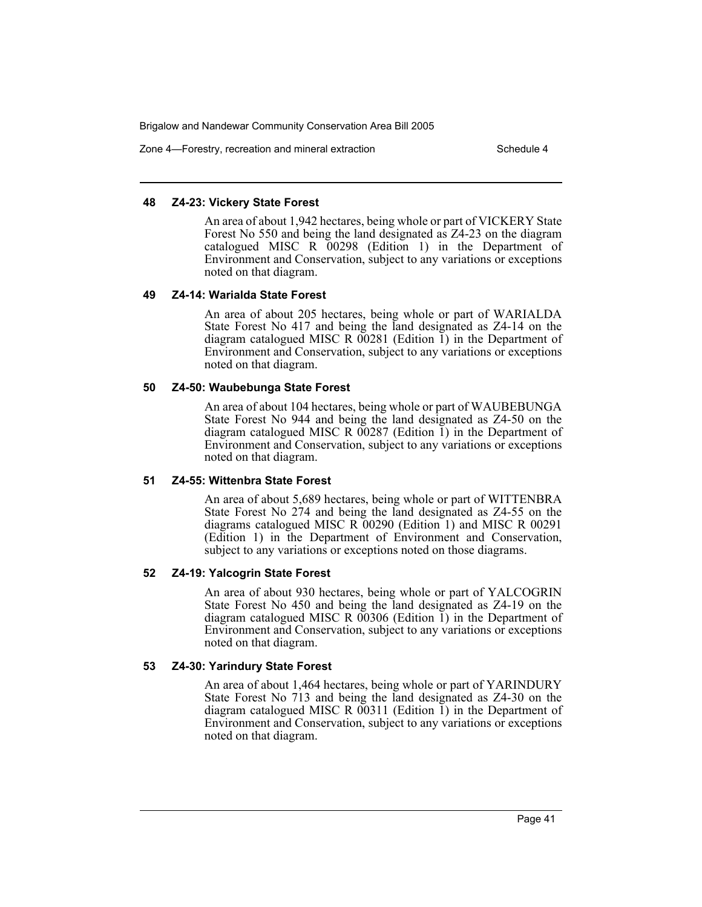Zone 4—Forestry, recreation and mineral extraction Schedule 4 Schedule 4

#### **48 Z4-23: Vickery State Forest**

An area of about 1,942 hectares, being whole or part of VICKERY State Forest No 550 and being the land designated as Z4-23 on the diagram catalogued MISC R 00298 (Edition 1) in the Department of Environment and Conservation, subject to any variations or exceptions noted on that diagram.

#### **49 Z4-14: Warialda State Forest**

An area of about 205 hectares, being whole or part of WARIALDA State Forest No 417 and being the land designated as Z4-14 on the diagram catalogued MISC R 00281 (Edition 1) in the Department of Environment and Conservation, subject to any variations or exceptions noted on that diagram.

#### **50 Z4-50: Waubebunga State Forest**

An area of about 104 hectares, being whole or part of WAUBEBUNGA State Forest No 944 and being the land designated as Z4-50 on the diagram catalogued MISC R 00287 (Edition 1) in the Department of Environment and Conservation, subject to any variations or exceptions noted on that diagram.

#### **51 Z4-55: Wittenbra State Forest**

An area of about 5,689 hectares, being whole or part of WITTENBRA State Forest No 274 and being the land designated as Z4-55 on the diagrams catalogued MISC R 00290 (Edition 1) and MISC R 00291 (Edition 1) in the Department of Environment and Conservation, subject to any variations or exceptions noted on those diagrams.

#### **52 Z4-19: Yalcogrin State Forest**

An area of about 930 hectares, being whole or part of YALCOGRIN State Forest No 450 and being the land designated as Z4-19 on the diagram catalogued MISC R  $0$ 0306 (Edition 1) in the Department of Environment and Conservation, subject to any variations or exceptions noted on that diagram.

#### **53 Z4-30: Yarindury State Forest**

An area of about 1,464 hectares, being whole or part of YARINDURY State Forest No 713 and being the land designated as Z4-30 on the diagram catalogued MISC R  $00311$  (Edition 1) in the Department of Environment and Conservation, subject to any variations or exceptions noted on that diagram.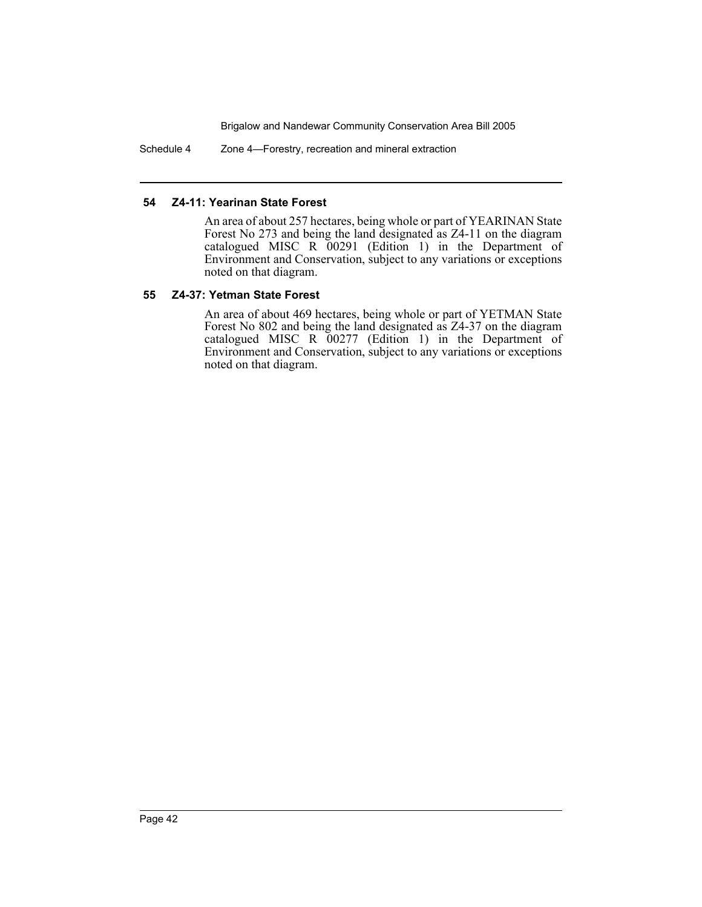Schedule 4 Zone 4–Forestry, recreation and mineral extraction

### **54 Z4-11: Yearinan State Forest**

An area of about 257 hectares, being whole or part of YEARINAN State Forest No 273 and being the land designated as Z4-11 on the diagram catalogued MISC R 00291 (Edition 1) in the Department of Environment and Conservation, subject to any variations or exceptions noted on that diagram.

### **55 Z4-37: Yetman State Forest**

An area of about 469 hectares, being whole or part of YETMAN State Forest No 802 and being the land designated as Z4-37 on the diagram catalogued MISC R 00277 (Edition 1) in the Department of Environment and Conservation, subject to any variations or exceptions noted on that diagram.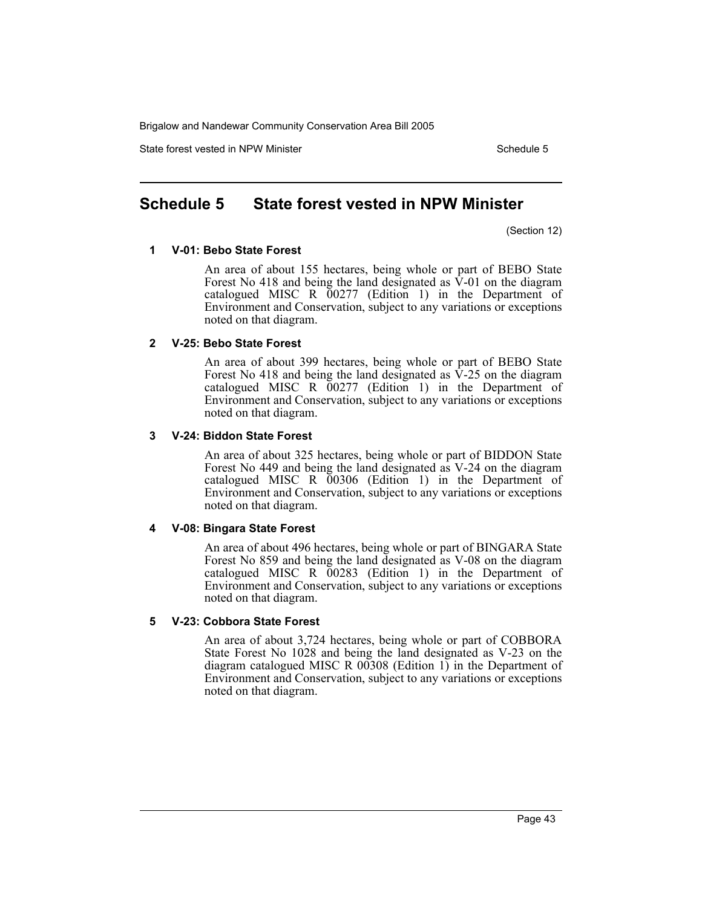State forest vested in NPW Minister Schedule 5

# <span id="page-45-0"></span>**Schedule 5 State forest vested in NPW Minister**

(Section 12)

#### **1 V-01: Bebo State Forest**

An area of about 155 hectares, being whole or part of BEBO State Forest No 418 and being the land designated as  $\tilde{V}$ -01 on the diagram catalogued MISC R 00277 (Edition 1) in the Department of Environment and Conservation, subject to any variations or exceptions noted on that diagram.

#### **2 V-25: Bebo State Forest**

An area of about 399 hectares, being whole or part of BEBO State Forest No 418 and being the land designated as  $\hat{V}$ -25 on the diagram catalogued MISC R 00277 (Edition 1) in the Department of Environment and Conservation, subject to any variations or exceptions noted on that diagram.

#### **3 V-24: Biddon State Forest**

An area of about 325 hectares, being whole or part of BIDDON State Forest No 449 and being the land designated as V-24 on the diagram catalogued MISC R  $0.0306$  (Edition 1) in the Department of Environment and Conservation, subject to any variations or exceptions noted on that diagram.

#### **4 V-08: Bingara State Forest**

An area of about 496 hectares, being whole or part of BINGARA State Forest No 859 and being the land designated as V-08 on the diagram catalogued MISC R 00283 (Edition 1) in the Department of Environment and Conservation, subject to any variations or exceptions noted on that diagram.

#### **5 V-23: Cobbora State Forest**

An area of about 3,724 hectares, being whole or part of COBBORA State Forest No 1028 and being the land designated as V-23 on the diagram catalogued MISC R 00308 (Edition 1) in the Department of Environment and Conservation, subject to any variations or exceptions noted on that diagram.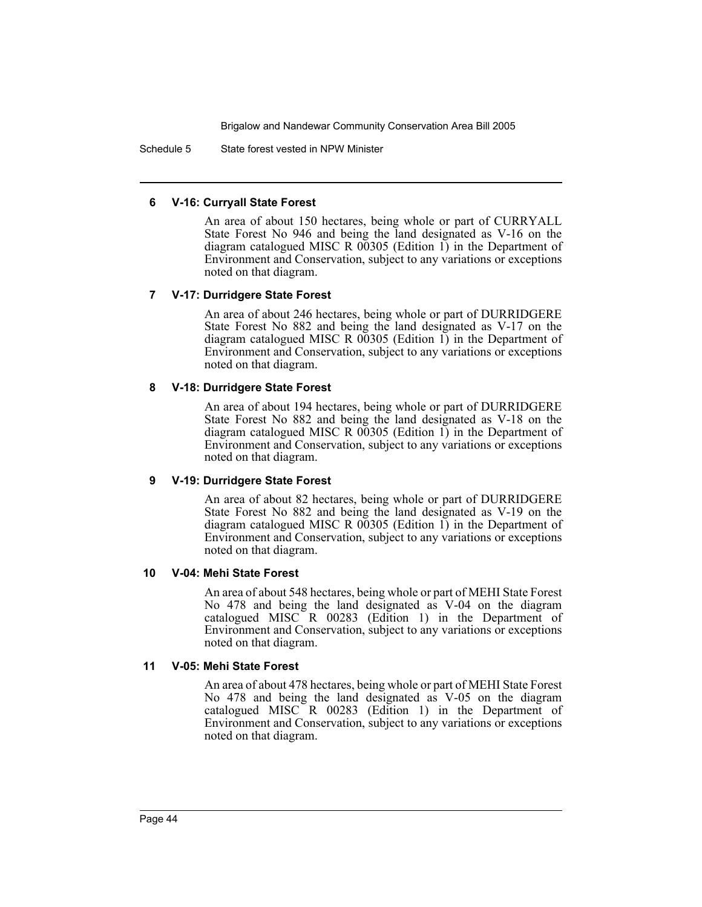Schedule 5 State forest vested in NPW Minister

#### **6 V-16: Curryall State Forest**

An area of about 150 hectares, being whole or part of CURRYALL State Forest No 946 and being the land designated as V-16 on the diagram catalogued MISC R  $00305$  (Edition 1) in the Department of Environment and Conservation, subject to any variations or exceptions noted on that diagram.

#### **7 V-17: Durridgere State Forest**

An area of about 246 hectares, being whole or part of DURRIDGERE State Forest No 882 and being the land designated as V-17 on the diagram catalogued MISC R 00305 (Edition 1) in the Department of Environment and Conservation, subject to any variations or exceptions noted on that diagram.

#### **8 V-18: Durridgere State Forest**

An area of about 194 hectares, being whole or part of DURRIDGERE State Forest No 882 and being the land designated as V-18 on the diagram catalogued MISC R 00305 (Edition 1) in the Department of Environment and Conservation, subject to any variations or exceptions noted on that diagram.

#### **9 V-19: Durridgere State Forest**

An area of about 82 hectares, being whole or part of DURRIDGERE State Forest No 882 and being the land designated as V-19 on the diagram catalogued MISC R  $00305$  (Edition 1) in the Department of Environment and Conservation, subject to any variations or exceptions noted on that diagram.

#### **10 V-04: Mehi State Forest**

An area of about 548 hectares, being whole or part of MEHI State Forest No 478 and being the land designated as V-04 on the diagram catalogued MISC R 00283 (Edition 1) in the Department of Environment and Conservation, subject to any variations or exceptions noted on that diagram.

#### **11 V-05: Mehi State Forest**

An area of about 478 hectares, being whole or part of MEHI State Forest No 478 and being the land designated as V-05 on the diagram catalogued MISC R 00283 (Edition 1) in the Department of Environment and Conservation, subject to any variations or exceptions noted on that diagram.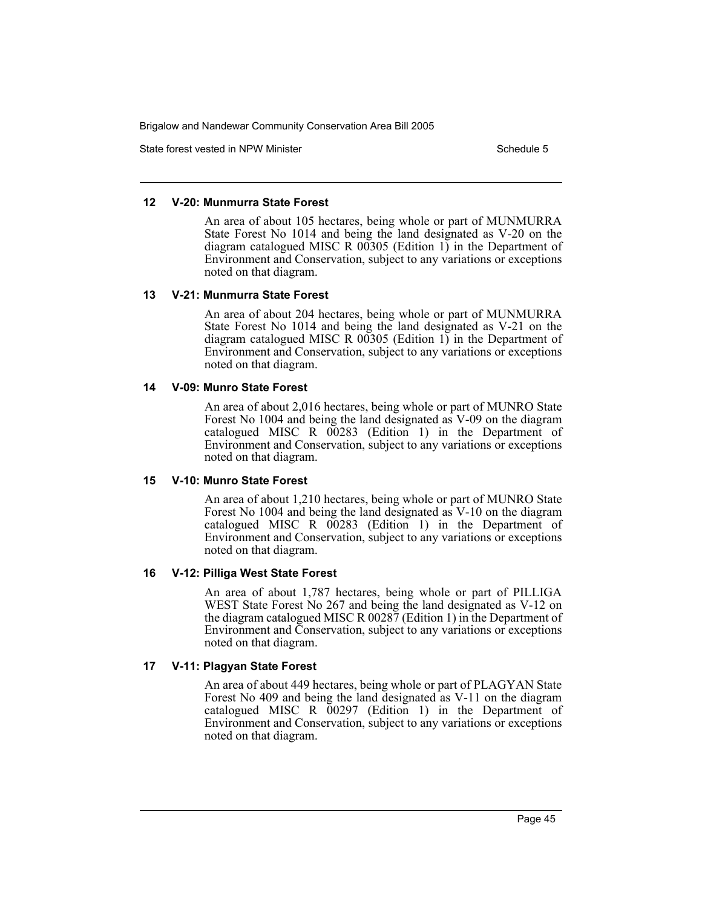State forest vested in NPW Minister Schedule 5

#### **12 V-20: Munmurra State Forest**

An area of about 105 hectares, being whole or part of MUNMURRA State Forest No 1014 and being the land designated as V-20 on the diagram catalogued MISC R  $00305$  (Edition 1) in the Department of Environment and Conservation, subject to any variations or exceptions noted on that diagram.

#### **13 V-21: Munmurra State Forest**

An area of about 204 hectares, being whole or part of MUNMURRA State Forest No 1014 and being the land designated as V-21 on the diagram catalogued MISC R  $00305$  (Edition 1) in the Department of Environment and Conservation, subject to any variations or exceptions noted on that diagram.

#### **14 V-09: Munro State Forest**

An area of about 2,016 hectares, being whole or part of MUNRO State Forest No 1004 and being the land designated as V-09 on the diagram catalogued MISC R 00283 (Edition 1) in the Department of Environment and Conservation, subject to any variations or exceptions noted on that diagram.

#### **15 V-10: Munro State Forest**

An area of about 1,210 hectares, being whole or part of MUNRO State Forest No 1004 and being the land designated as V-10 on the diagram catalogued MISC R 00283 (Edition 1) in the Department of Environment and Conservation, subject to any variations or exceptions noted on that diagram.

#### **16 V-12: Pilliga West State Forest**

An area of about 1,787 hectares, being whole or part of PILLIGA WEST State Forest No 267 and being the land designated as V-12 on the diagram catalogued MISC R 00287 (Edition 1) in the Department of Environment and Conservation, subject to any variations or exceptions noted on that diagram.

#### **17 V-11: Plagyan State Forest**

An area of about 449 hectares, being whole or part of PLAGYAN State Forest No 409 and being the land designated as V-11 on the diagram catalogued MISC R 00297 (Edition 1) in the Department of Environment and Conservation, subject to any variations or exceptions noted on that diagram.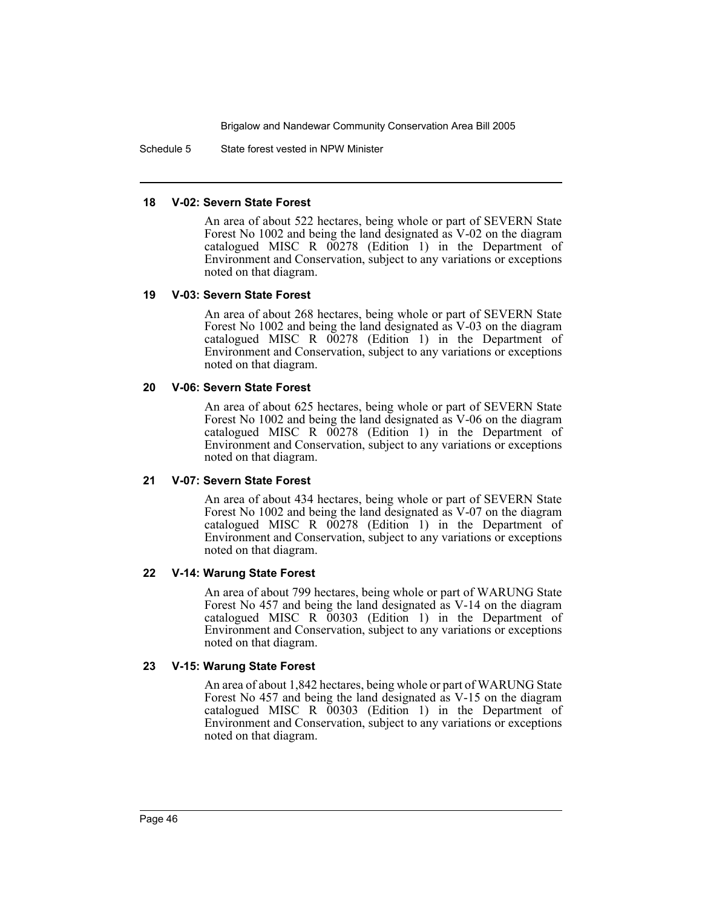Schedule 5 State forest vested in NPW Minister

#### **18 V-02: Severn State Forest**

An area of about 522 hectares, being whole or part of SEVERN State Forest No 1002 and being the land designated as V-02 on the diagram catalogued MISC R 00278 (Edition 1) in the Department of Environment and Conservation, subject to any variations or exceptions noted on that diagram.

#### **19 V-03: Severn State Forest**

An area of about 268 hectares, being whole or part of SEVERN State Forest No 1002 and being the land designated as V-03 on the diagram catalogued MISC R 00278 (Edition 1) in the Department of Environment and Conservation, subject to any variations or exceptions noted on that diagram.

#### **20 V-06: Severn State Forest**

An area of about 625 hectares, being whole or part of SEVERN State Forest No 1002 and being the land designated as V-06 on the diagram catalogued MISC R 00278 (Edition 1) in the Department of Environment and Conservation, subject to any variations or exceptions noted on that diagram.

#### **21 V-07: Severn State Forest**

An area of about 434 hectares, being whole or part of SEVERN State Forest No 1002 and being the land designated as V-07 on the diagram catalogued MISC R 00278 (Edition 1) in the Department of Environment and Conservation, subject to any variations or exceptions noted on that diagram.

#### **22 V-14: Warung State Forest**

An area of about 799 hectares, being whole or part of WARUNG State Forest No 457 and being the land designated as V-14 on the diagram catalogued MISC R 00303 (Edition 1) in the Department of Environment and Conservation, subject to any variations or exceptions noted on that diagram.

#### **23 V-15: Warung State Forest**

An area of about 1,842 hectares, being whole or part of WARUNG State Forest No 457 and being the land designated as V-15 on the diagram catalogued MISC R 00303 (Edition 1) in the Department of Environment and Conservation, subject to any variations or exceptions noted on that diagram.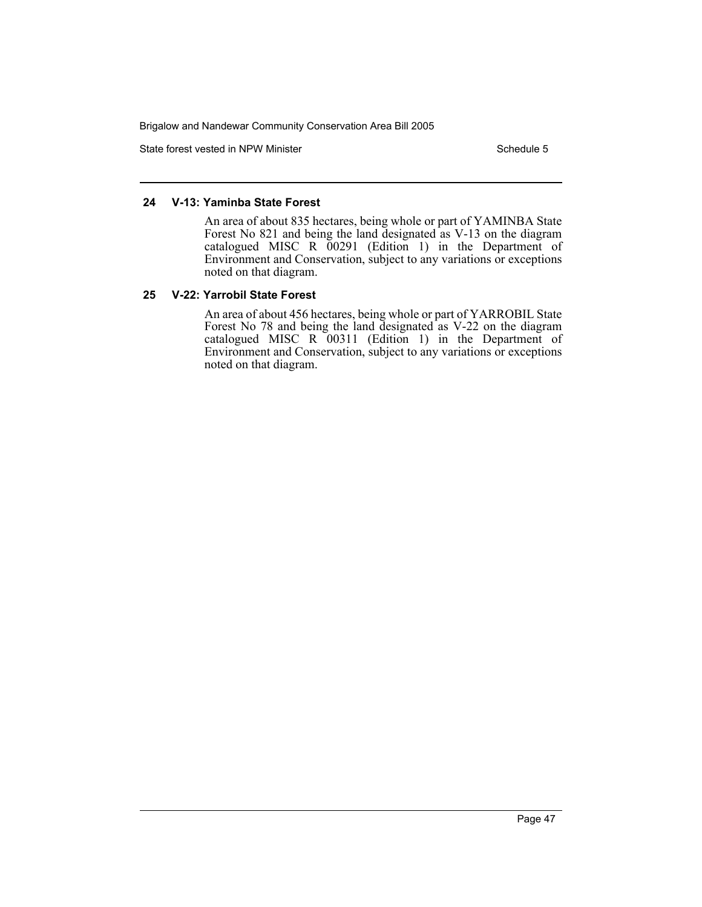State forest vested in NPW Minister Schedule 5

### **24 V-13: Yaminba State Forest**

An area of about 835 hectares, being whole or part of YAMINBA State Forest No 821 and being the land designated as V-13 on the diagram catalogued MISC R 00291 (Edition 1) in the Department of Environment and Conservation, subject to any variations or exceptions noted on that diagram.

#### **25 V-22: Yarrobil State Forest**

An area of about 456 hectares, being whole or part of YARROBIL State Forest No 78 and being the land designated as V-22 on the diagram catalogued MISC R 00311 (Edition 1) in the Department of Environment and Conservation, subject to any variations or exceptions noted on that diagram.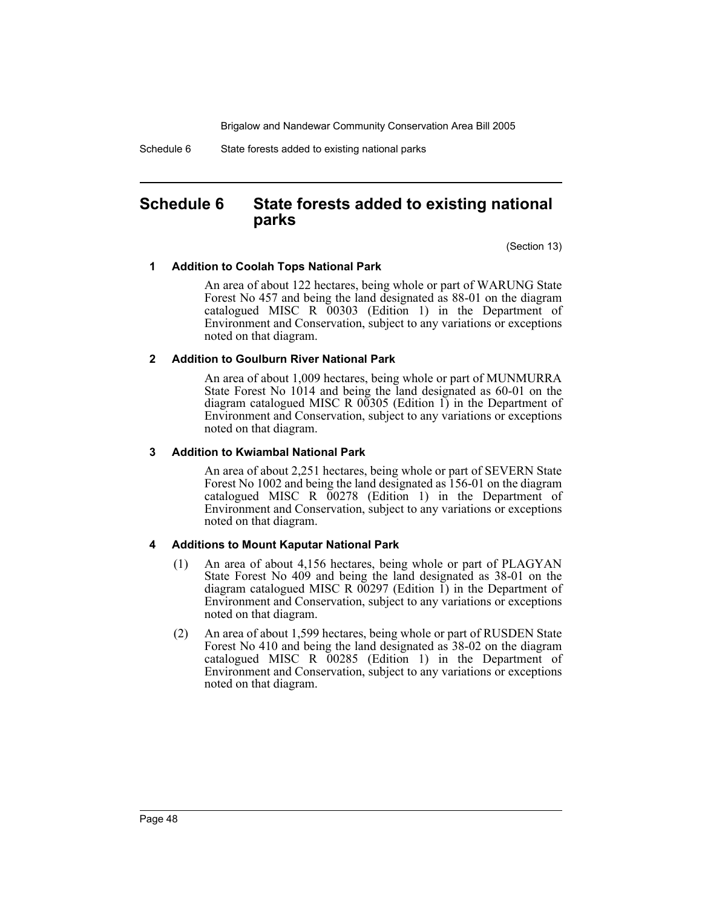Schedule 6 State forests added to existing national parks

# <span id="page-50-0"></span>**Schedule 6 State forests added to existing national parks**

(Section 13)

#### **1 Addition to Coolah Tops National Park**

An area of about 122 hectares, being whole or part of WARUNG State Forest No 457 and being the land designated as 88-01 on the diagram catalogued MISC R 00303 (Edition 1) in the Department of Environment and Conservation, subject to any variations or exceptions noted on that diagram.

#### **2 Addition to Goulburn River National Park**

An area of about 1,009 hectares, being whole or part of MUNMURRA State Forest No 1014 and being the land designated as 60-01 on the diagram catalogued MISC R  $0\overline{0}305$  (Edition 1) in the Department of Environment and Conservation, subject to any variations or exceptions noted on that diagram.

#### **3 Addition to Kwiambal National Park**

An area of about 2,251 hectares, being whole or part of SEVERN State Forest No 1002 and being the land designated as 156-01 on the diagram catalogued MISC R 00278 (Edition 1) in the Department of Environment and Conservation, subject to any variations or exceptions noted on that diagram.

#### **4 Additions to Mount Kaputar National Park**

- (1) An area of about 4,156 hectares, being whole or part of PLAGYAN State Forest No 409 and being the land designated as 38-01 on the diagram catalogued MISC R 00297 (Edition 1) in the Department of Environment and Conservation, subject to any variations or exceptions noted on that diagram.
- (2) An area of about 1,599 hectares, being whole or part of RUSDEN State Forest No 410 and being the land designated as 38-02 on the diagram catalogued MISC R 00285 (Edition 1) in the Department of Environment and Conservation, subject to any variations or exceptions noted on that diagram.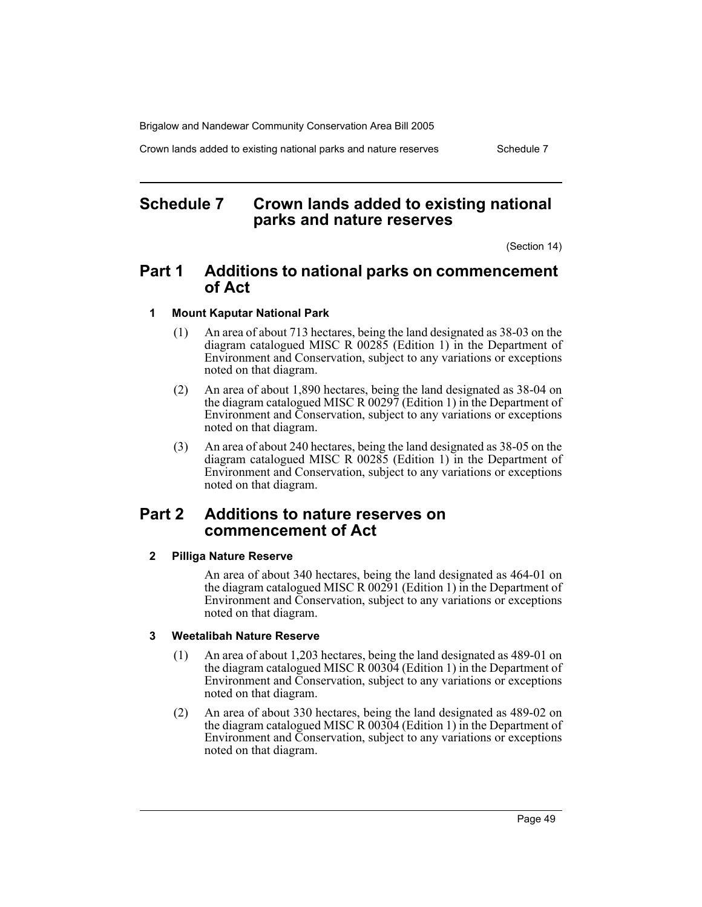Crown lands added to existing national parks and nature reserves Schedule 7

# <span id="page-51-0"></span>**Schedule 7 Crown lands added to existing national parks and nature reserves**

(Section 14)

# **Part 1 Additions to national parks on commencement of Act**

#### **1 Mount Kaputar National Park**

- (1) An area of about 713 hectares, being the land designated as 38-03 on the diagram catalogued MISC R 00285 (Edition 1) in the Department of Environment and Conservation, subject to any variations or exceptions noted on that diagram.
- (2) An area of about 1,890 hectares, being the land designated as 38-04 on the diagram catalogued MISC R 00297 (Edition 1) in the Department of Environment and Conservation, subject to any variations or exceptions noted on that diagram.
- (3) An area of about 240 hectares, being the land designated as 38-05 on the diagram catalogued MISC R 00285 (Edition 1) in the Department of Environment and Conservation, subject to any variations or exceptions noted on that diagram.

# **Part 2 Additions to nature reserves on commencement of Act**

# **2 Pilliga Nature Reserve**

An area of about 340 hectares, being the land designated as 464-01 on the diagram catalogued MISC R 00291 (Edition 1) in the Department of Environment and Conservation, subject to any variations or exceptions noted on that diagram.

# **3 Weetalibah Nature Reserve**

- (1) An area of about 1,203 hectares, being the land designated as 489-01 on the diagram catalogued MISC R 00304 (Edition 1) in the Department of Environment and Conservation, subject to any variations or exceptions noted on that diagram.
- (2) An area of about 330 hectares, being the land designated as 489-02 on the diagram catalogued MISC R 00304 (Edition 1) in the Department of Environment and Conservation, subject to any variations or exceptions noted on that diagram.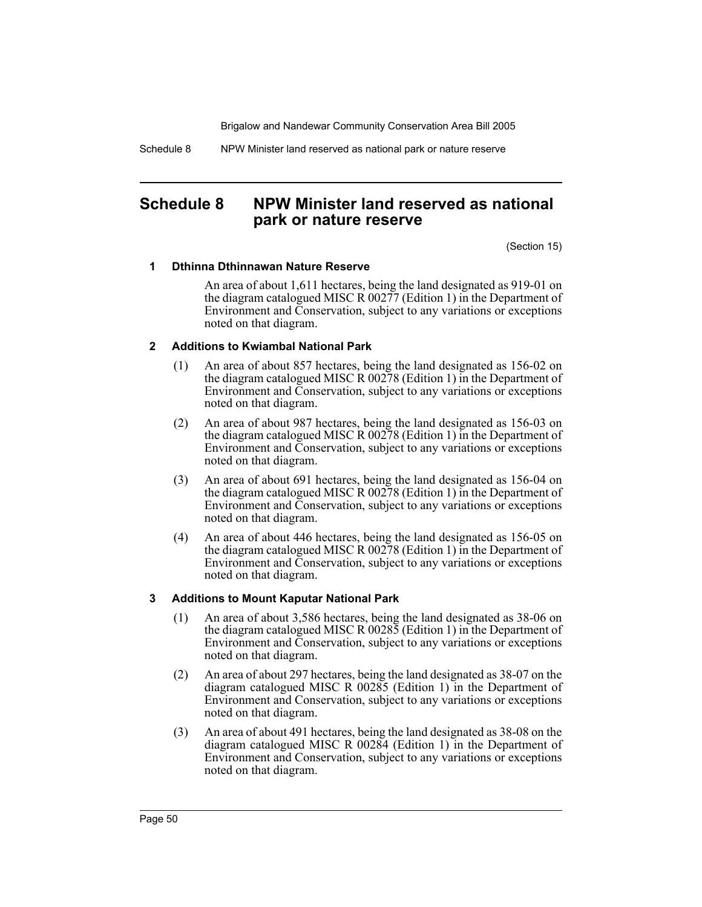Schedule 8 NPW Minister land reserved as national park or nature reserve

# <span id="page-52-0"></span>**Schedule 8 NPW Minister land reserved as national park or nature reserve**

(Section 15)

# **1 Dthinna Dthinnawan Nature Reserve**

An area of about 1,611 hectares, being the land designated as 919-01 on the diagram catalogued MISC R 00277 (Edition 1) in the Department of Environment and Conservation, subject to any variations or exceptions noted on that diagram.

# **2 Additions to Kwiambal National Park**

- (1) An area of about 857 hectares, being the land designated as 156-02 on the diagram catalogued MISC R 00278 (Edition 1) in the Department of Environment and Conservation, subject to any variations or exceptions noted on that diagram.
- (2) An area of about 987 hectares, being the land designated as 156-03 on the diagram catalogued MISC R 00278 (Edition 1) in the Department of Environment and Conservation, subject to any variations or exceptions noted on that diagram.
- (3) An area of about 691 hectares, being the land designated as 156-04 on the diagram catalogued MISC R 00278 (Edition 1) in the Department of Environment and Conservation, subject to any variations or exceptions noted on that diagram.
- (4) An area of about 446 hectares, being the land designated as 156-05 on the diagram catalogued MISC R 00278 (Edition 1) in the Department of Environment and Conservation, subject to any variations or exceptions noted on that diagram.

# **3 Additions to Mount Kaputar National Park**

- (1) An area of about 3,586 hectares, being the land designated as 38-06 on the diagram catalogued MISC R 00285 (Edition 1) in the Department of Environment and Conservation, subject to any variations or exceptions noted on that diagram.
- (2) An area of about 297 hectares, being the land designated as 38-07 on the diagram catalogued MISC R 00285 (Edition 1) in the Department of Environment and Conservation, subject to any variations or exceptions noted on that diagram.
- (3) An area of about 491 hectares, being the land designated as 38-08 on the diagram catalogued MISC R 00284 (Edition 1) in the Department of Environment and Conservation, subject to any variations or exceptions noted on that diagram.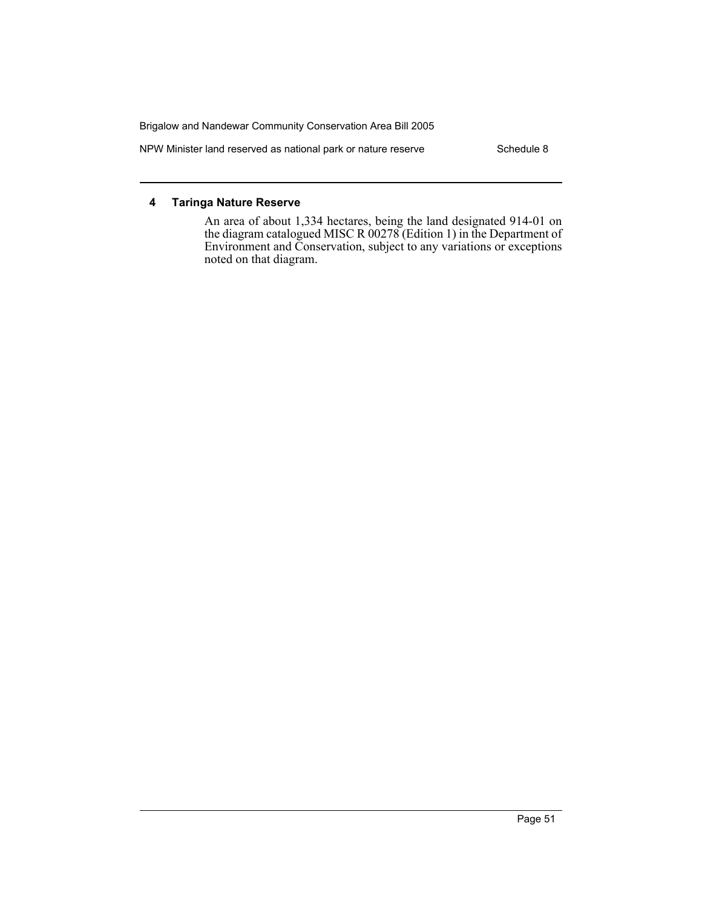NPW Minister land reserved as national park or nature reserve Schedule 8

# **4 Taringa Nature Reserve**

An area of about 1,334 hectares, being the land designated 914-01 on the diagram catalogued MISC R 00278 (Edition 1) in the Department of Environment and Conservation, subject to any variations or exceptions noted on that diagram.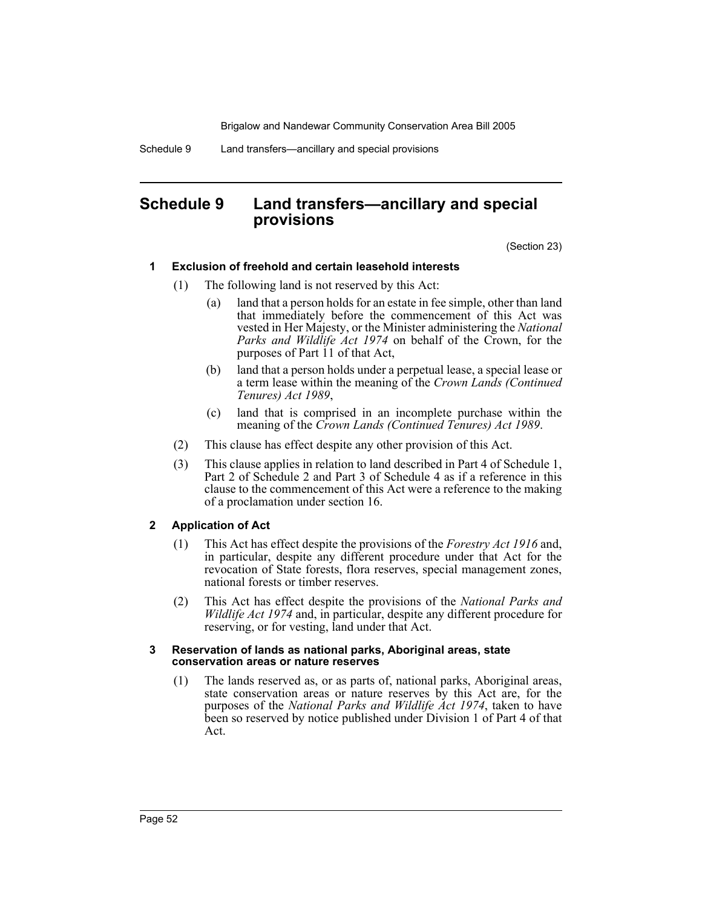Schedule 9 Land transfers—ancillary and special provisions

# <span id="page-54-0"></span>**Schedule 9 Land transfers—ancillary and special provisions**

(Section 23)

#### **1 Exclusion of freehold and certain leasehold interests**

- (1) The following land is not reserved by this Act:
	- (a) land that a person holds for an estate in fee simple, other than land that immediately before the commencement of this Act was vested in Her Majesty, or the Minister administering the *National Parks and Wildlife Act 1974* on behalf of the Crown, for the purposes of Part 11 of that Act,
	- (b) land that a person holds under a perpetual lease, a special lease or a term lease within the meaning of the *Crown Lands (Continued Tenures) Act 1989*,
	- (c) land that is comprised in an incomplete purchase within the meaning of the *Crown Lands (Continued Tenures) Act 1989*.
- (2) This clause has effect despite any other provision of this Act.
- (3) This clause applies in relation to land described in Part 4 of Schedule 1, Part 2 of Schedule 2 and Part 3 of Schedule 4 as if a reference in this clause to the commencement of this Act were a reference to the making of a proclamation under section 16.

#### **2 Application of Act**

- (1) This Act has effect despite the provisions of the *Forestry Act 1916* and, in particular, despite any different procedure under that Act for the revocation of State forests, flora reserves, special management zones, national forests or timber reserves.
- (2) This Act has effect despite the provisions of the *National Parks and Wildlife Act 1974* and, in particular, despite any different procedure for reserving, or for vesting, land under that Act.

#### **3 Reservation of lands as national parks, Aboriginal areas, state conservation areas or nature reserves**

(1) The lands reserved as, or as parts of, national parks, Aboriginal areas, state conservation areas or nature reserves by this Act are, for the purposes of the *National Parks and Wildlife Act 1974*, taken to have been so reserved by notice published under Division 1 of Part 4 of that Act.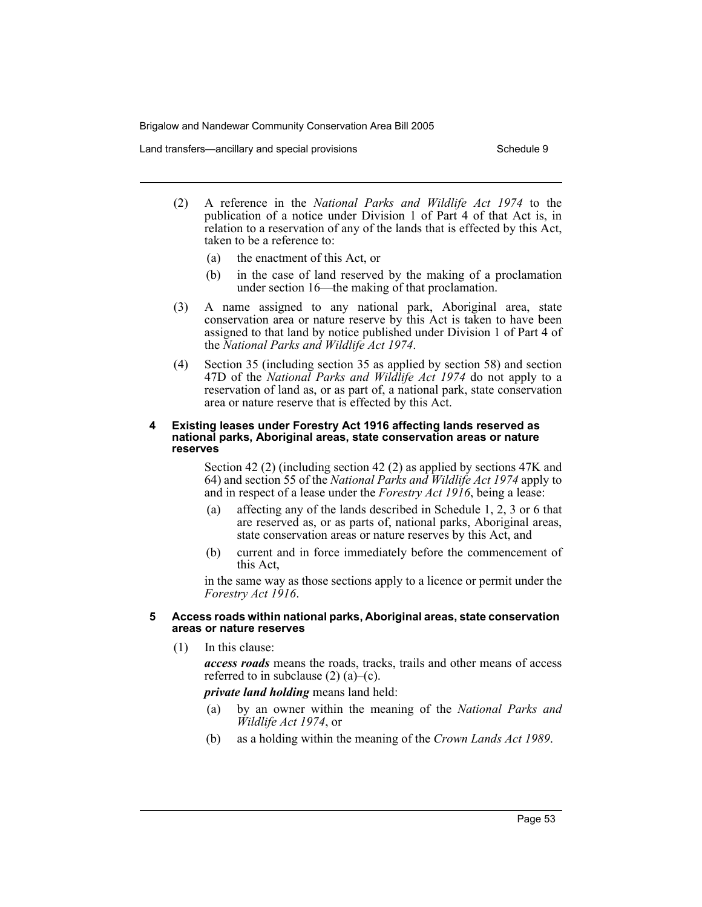Land transfers—ancillary and special provisions New Schedule 9

- (2) A reference in the *National Parks and Wildlife Act 1974* to the publication of a notice under Division 1 of Part 4 of that Act is, in relation to a reservation of any of the lands that is effected by this Act, taken to be a reference to:
	- (a) the enactment of this Act, or
	- (b) in the case of land reserved by the making of a proclamation under section 16—the making of that proclamation.
- (3) A name assigned to any national park, Aboriginal area, state conservation area or nature reserve by this Act is taken to have been assigned to that land by notice published under Division 1 of Part 4 of the *National Parks and Wildlife Act 1974*.
- (4) Section 35 (including section 35 as applied by section 58) and section 47D of the *National Parks and Wildlife Act 1974* do not apply to a reservation of land as, or as part of, a national park, state conservation area or nature reserve that is effected by this Act.

#### **4 Existing leases under Forestry Act 1916 affecting lands reserved as national parks, Aboriginal areas, state conservation areas or nature reserves**

Section 42 (2) (including section 42 (2) as applied by sections 47K and 64) and section 55 of the *National Parks and Wildlife Act 1974* apply to and in respect of a lease under the *Forestry Act 1916*, being a lease:

- (a) affecting any of the lands described in Schedule 1, 2, 3 or 6 that are reserved as, or as parts of, national parks, Aboriginal areas, state conservation areas or nature reserves by this Act, and
- (b) current and in force immediately before the commencement of this Act,

in the same way as those sections apply to a licence or permit under the *Forestry Act 1916*.

#### **5 Access roads within national parks, Aboriginal areas, state conservation areas or nature reserves**

(1) In this clause:

*access roads* means the roads, tracks, trails and other means of access referred to in subclause  $(2)$   $(a)$ – $(c)$ .

*private land holding* means land held:

- (a) by an owner within the meaning of the *National Parks and Wildlife Act 1974*, or
- (b) as a holding within the meaning of the *Crown Lands Act 1989*.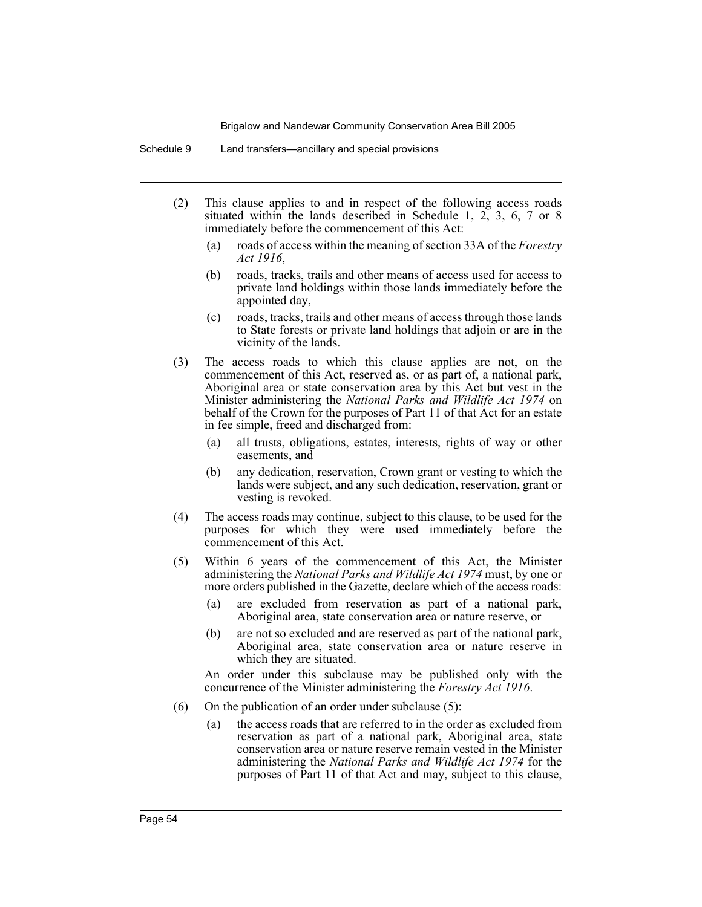Schedule 9 Land transfers—ancillary and special provisions

- (2) This clause applies to and in respect of the following access roads situated within the lands described in Schedule 1, 2, 3, 6, 7 or 8 immediately before the commencement of this Act:
	- (a) roads of access within the meaning of section 33A of the *Forestry Act 1916*,
	- (b) roads, tracks, trails and other means of access used for access to private land holdings within those lands immediately before the appointed day,
	- (c) roads, tracks, trails and other means of access through those lands to State forests or private land holdings that adjoin or are in the vicinity of the lands.
- (3) The access roads to which this clause applies are not, on the commencement of this Act, reserved as, or as part of, a national park, Aboriginal area or state conservation area by this Act but vest in the Minister administering the *National Parks and Wildlife Act 1974* on behalf of the Crown for the purposes of Part 11 of that Act for an estate in fee simple, freed and discharged from:
	- (a) all trusts, obligations, estates, interests, rights of way or other easements, and
	- (b) any dedication, reservation, Crown grant or vesting to which the lands were subject, and any such dedication, reservation, grant or vesting is revoked.
- (4) The access roads may continue, subject to this clause, to be used for the purposes for which they were used immediately before the commencement of this Act.
- (5) Within 6 years of the commencement of this Act, the Minister administering the *National Parks and Wildlife Act 1974* must, by one or more orders published in the Gazette, declare which of the access roads:
	- (a) are excluded from reservation as part of a national park, Aboriginal area, state conservation area or nature reserve, or
	- (b) are not so excluded and are reserved as part of the national park, Aboriginal area, state conservation area or nature reserve in which they are situated.

An order under this subclause may be published only with the concurrence of the Minister administering the *Forestry Act 1916*.

- (6) On the publication of an order under subclause (5):
	- (a) the access roads that are referred to in the order as excluded from reservation as part of a national park, Aboriginal area, state conservation area or nature reserve remain vested in the Minister administering the *National Parks and Wildlife Act 1974* for the purposes of Part 11 of that Act and may, subject to this clause,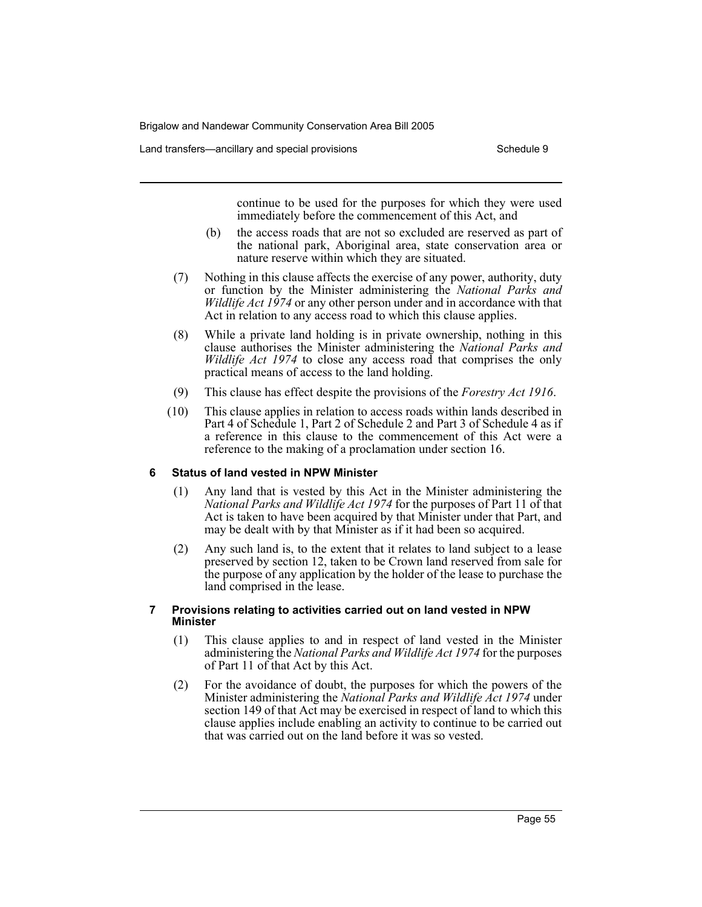Land transfers—ancillary and special provisions New Schedule 9

continue to be used for the purposes for which they were used immediately before the commencement of this Act, and

- (b) the access roads that are not so excluded are reserved as part of the national park, Aboriginal area, state conservation area or nature reserve within which they are situated.
- (7) Nothing in this clause affects the exercise of any power, authority, duty or function by the Minister administering the *National Parks and Wildlife Act 1974* or any other person under and in accordance with that Act in relation to any access road to which this clause applies.
- (8) While a private land holding is in private ownership, nothing in this clause authorises the Minister administering the *National Parks and Wildlife Act 1974* to close any access road that comprises the only practical means of access to the land holding.
- (9) This clause has effect despite the provisions of the *Forestry Act 1916*.
- (10) This clause applies in relation to access roads within lands described in Part 4 of Schedule 1, Part 2 of Schedule 2 and Part 3 of Schedule 4 as if a reference in this clause to the commencement of this Act were a reference to the making of a proclamation under section 16.

#### **6 Status of land vested in NPW Minister**

- (1) Any land that is vested by this Act in the Minister administering the *National Parks and Wildlife Act 1974* for the purposes of Part 11 of that Act is taken to have been acquired by that Minister under that Part, and may be dealt with by that Minister as if it had been so acquired.
- (2) Any such land is, to the extent that it relates to land subject to a lease preserved by section 12, taken to be Crown land reserved from sale for the purpose of any application by the holder of the lease to purchase the land comprised in the lease.

#### **7 Provisions relating to activities carried out on land vested in NPW Minister**

- (1) This clause applies to and in respect of land vested in the Minister administering the *National Parks and Wildlife Act 1974* for the purposes of Part 11 of that Act by this Act.
- (2) For the avoidance of doubt, the purposes for which the powers of the Minister administering the *National Parks and Wildlife Act 1974* under section 149 of that Act may be exercised in respect of land to which this clause applies include enabling an activity to continue to be carried out that was carried out on the land before it was so vested.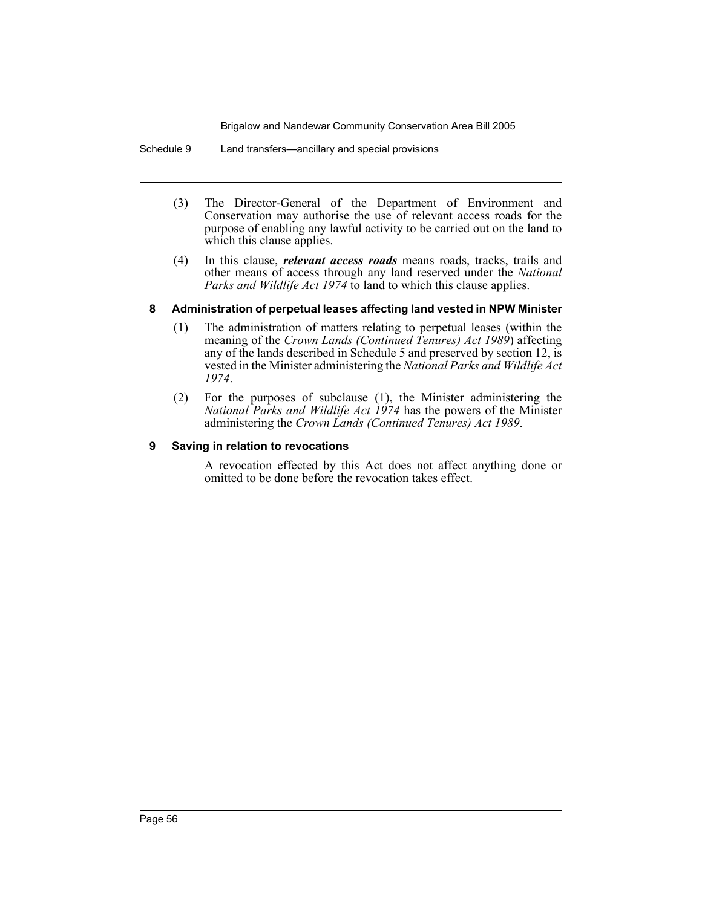Schedule 9 Land transfers—ancillary and special provisions

- (3) The Director-General of the Department of Environment and Conservation may authorise the use of relevant access roads for the purpose of enabling any lawful activity to be carried out on the land to which this clause applies.
- (4) In this clause, *relevant access roads* means roads, tracks, trails and other means of access through any land reserved under the *National Parks and Wildlife Act 1974* to land to which this clause applies.

#### **8 Administration of perpetual leases affecting land vested in NPW Minister**

- (1) The administration of matters relating to perpetual leases (within the meaning of the *Crown Lands (Continued Tenures) Act 1989*) affecting any of the lands described in Schedule 5 and preserved by section 12, is vested in the Minister administering the *National Parks and Wildlife Act 1974*.
- (2) For the purposes of subclause (1), the Minister administering the *National Parks and Wildlife Act 1974* has the powers of the Minister administering the *Crown Lands (Continued Tenures) Act 1989*.

#### **9 Saving in relation to revocations**

A revocation effected by this Act does not affect anything done or omitted to be done before the revocation takes effect.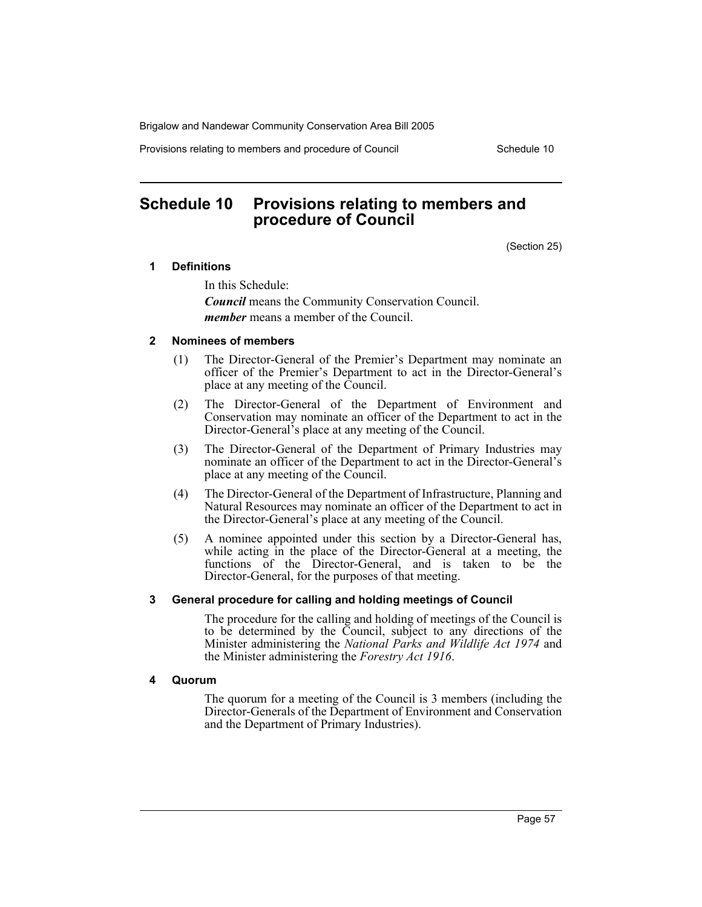Provisions relating to members and procedure of Council Schedule 10

# <span id="page-59-0"></span>**Schedule 10 Provisions relating to members and procedure of Council**

(Section 25)

#### **1 Definitions**

In this Schedule: *Council* means the Community Conservation Council. *member* means a member of the Council.

#### **2 Nominees of members**

- (1) The Director-General of the Premier's Department may nominate an officer of the Premier's Department to act in the Director-General's place at any meeting of the Council.
- (2) The Director-General of the Department of Environment and Conservation may nominate an officer of the Department to act in the Director-General's place at any meeting of the Council.
- (3) The Director-General of the Department of Primary Industries may nominate an officer of the Department to act in the Director-General's place at any meeting of the Council.
- (4) The Director-General of the Department of Infrastructure, Planning and Natural Resources may nominate an officer of the Department to act in the Director-General's place at any meeting of the Council.
- (5) A nominee appointed under this section by a Director-General has, while acting in the place of the Director-General at a meeting, the functions of the Director-General, and is taken to be the Director-General, for the purposes of that meeting.

#### **3 General procedure for calling and holding meetings of Council**

The procedure for the calling and holding of meetings of the Council is to be determined by the Council, subject to any directions of the Minister administering the *National Parks and Wildlife Act 1974* and the Minister administering the *Forestry Act 1916*.

#### **4 Quorum**

The quorum for a meeting of the Council is 3 members (including the Director-Generals of the Department of Environment and Conservation and the Department of Primary Industries).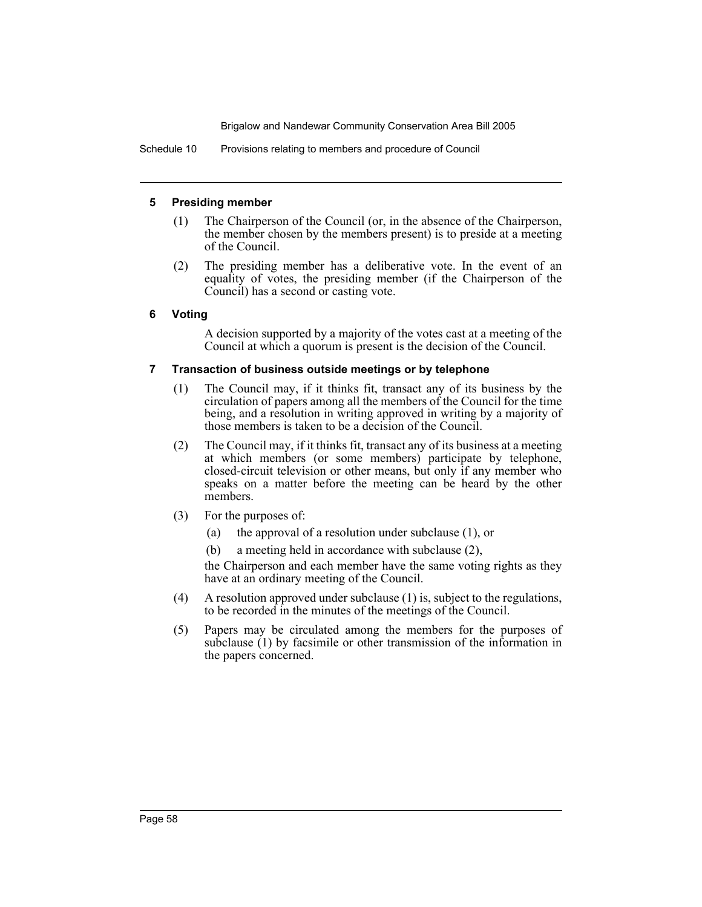Schedule 10 Provisions relating to members and procedure of Council

#### **5 Presiding member**

- (1) The Chairperson of the Council (or, in the absence of the Chairperson, the member chosen by the members present) is to preside at a meeting of the Council.
- (2) The presiding member has a deliberative vote. In the event of an equality of votes, the presiding member (if the Chairperson of the Council) has a second or casting vote.

# **6 Voting**

A decision supported by a majority of the votes cast at a meeting of the Council at which a quorum is present is the decision of the Council.

### **7 Transaction of business outside meetings or by telephone**

- (1) The Council may, if it thinks fit, transact any of its business by the circulation of papers among all the members of the Council for the time being, and a resolution in writing approved in writing by a majority of those members is taken to be a decision of the Council.
- (2) The Council may, if it thinks fit, transact any of its business at a meeting at which members (or some members) participate by telephone, closed-circuit television or other means, but only if any member who speaks on a matter before the meeting can be heard by the other members.
- (3) For the purposes of:
	- (a) the approval of a resolution under subclause (1), or
	- (b) a meeting held in accordance with subclause (2),

the Chairperson and each member have the same voting rights as they have at an ordinary meeting of the Council.

- (4) A resolution approved under subclause (1) is, subject to the regulations, to be recorded in the minutes of the meetings of the Council.
- (5) Papers may be circulated among the members for the purposes of subclause (1) by facsimile or other transmission of the information in the papers concerned.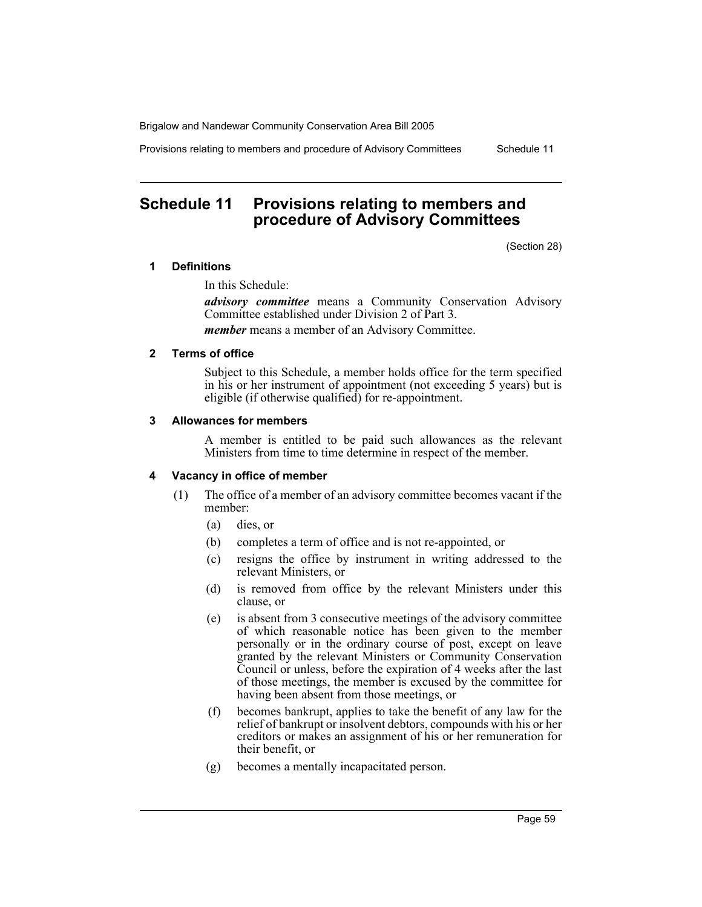Provisions relating to members and procedure of Advisory Committees Schedule 11

# <span id="page-61-0"></span>**Schedule 11 Provisions relating to members and procedure of Advisory Committees**

(Section 28)

#### **1 Definitions**

In this Schedule:

*advisory committee* means a Community Conservation Advisory Committee established under Division 2 of Part 3.

*member* means a member of an Advisory Committee.

### **2 Terms of office**

Subject to this Schedule, a member holds office for the term specified in his or her instrument of appointment (not exceeding 5 years) but is eligible (if otherwise qualified) for re-appointment.

### **3 Allowances for members**

A member is entitled to be paid such allowances as the relevant Ministers from time to time determine in respect of the member.

# **4 Vacancy in office of member**

- (1) The office of a member of an advisory committee becomes vacant if the member:
	- (a) dies, or
	- (b) completes a term of office and is not re-appointed, or
	- (c) resigns the office by instrument in writing addressed to the relevant Ministers, or
	- (d) is removed from office by the relevant Ministers under this clause, or
	- (e) is absent from 3 consecutive meetings of the advisory committee of which reasonable notice has been given to the member personally or in the ordinary course of post, except on leave granted by the relevant Ministers or Community Conservation Council or unless, before the expiration of 4 weeks after the last of those meetings, the member is excused by the committee for having been absent from those meetings, or
	- (f) becomes bankrupt, applies to take the benefit of any law for the relief of bankrupt or insolvent debtors, compounds with his or her creditors or makes an assignment of his or her remuneration for their benefit, or
	- (g) becomes a mentally incapacitated person.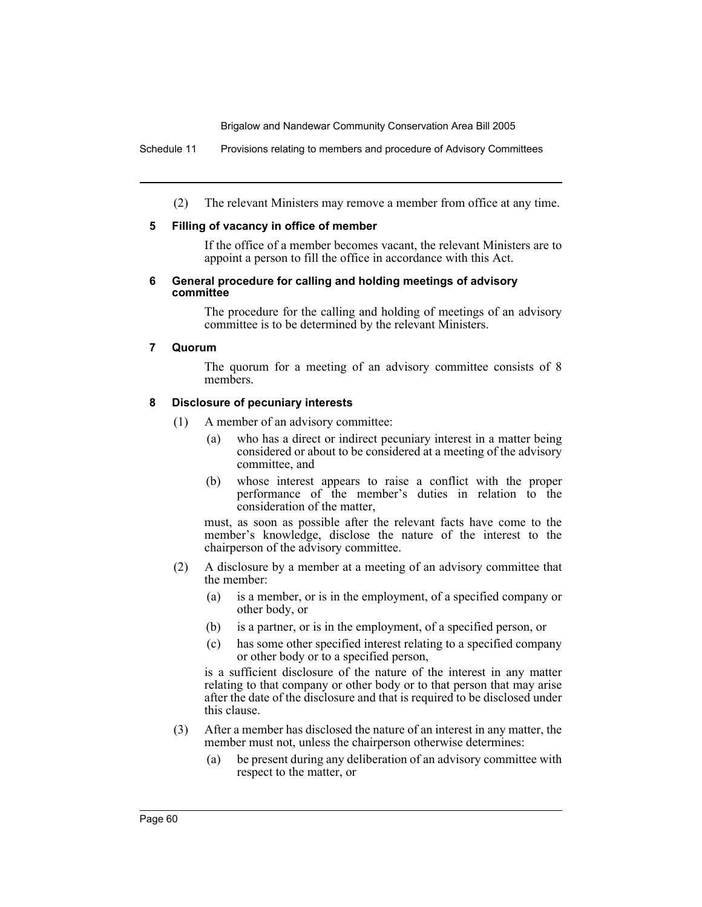Schedule 11 Provisions relating to members and procedure of Advisory Committees

(2) The relevant Ministers may remove a member from office at any time.

#### **5 Filling of vacancy in office of member**

If the office of a member becomes vacant, the relevant Ministers are to appoint a person to fill the office in accordance with this Act.

#### **6 General procedure for calling and holding meetings of advisory committee**

The procedure for the calling and holding of meetings of an advisory committee is to be determined by the relevant Ministers.

### **7 Quorum**

The quorum for a meeting of an advisory committee consists of 8 members.

# **8 Disclosure of pecuniary interests**

- (1) A member of an advisory committee:
	- (a) who has a direct or indirect pecuniary interest in a matter being considered or about to be considered at a meeting of the advisory committee, and
	- (b) whose interest appears to raise a conflict with the proper performance of the member's duties in relation to the consideration of the matter,

must, as soon as possible after the relevant facts have come to the member's knowledge, disclose the nature of the interest to the chairperson of the advisory committee.

- (2) A disclosure by a member at a meeting of an advisory committee that the member:
	- (a) is a member, or is in the employment, of a specified company or other body, or
	- (b) is a partner, or is in the employment, of a specified person, or
	- (c) has some other specified interest relating to a specified company or other body or to a specified person,

is a sufficient disclosure of the nature of the interest in any matter relating to that company or other body or to that person that may arise after the date of the disclosure and that is required to be disclosed under this clause.

- (3) After a member has disclosed the nature of an interest in any matter, the member must not, unless the chairperson otherwise determines:
	- (a) be present during any deliberation of an advisory committee with respect to the matter, or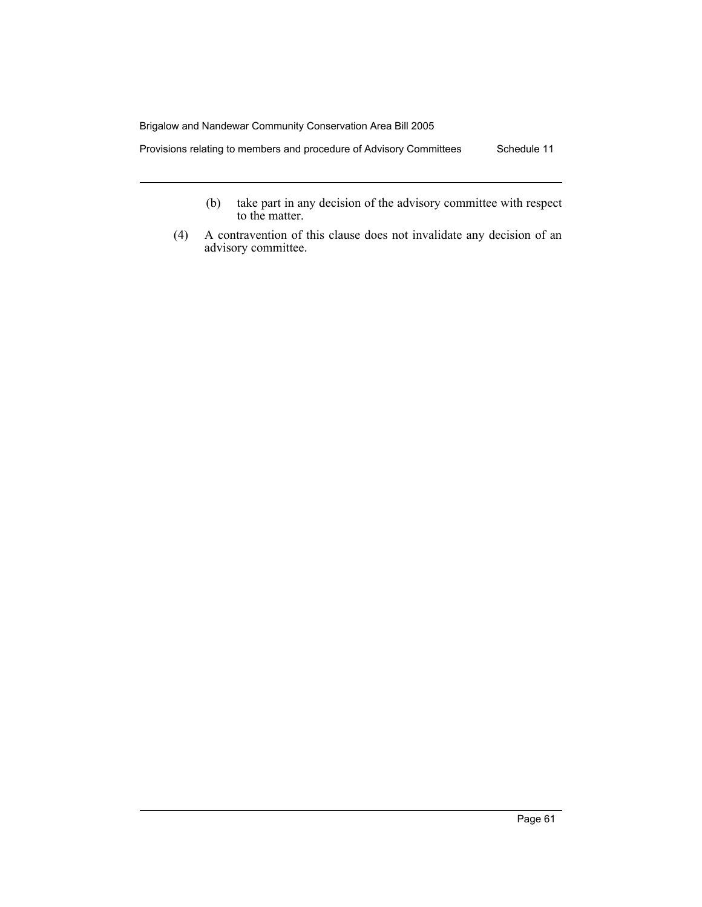Brigalow and Nandewar Community Conservation Area Bill 2005 Provisions relating to members and procedure of Advisory Committees Schedule 11

- (b) take part in any decision of the advisory committee with respect to the matter.
- (4) A contravention of this clause does not invalidate any decision of an advisory committee.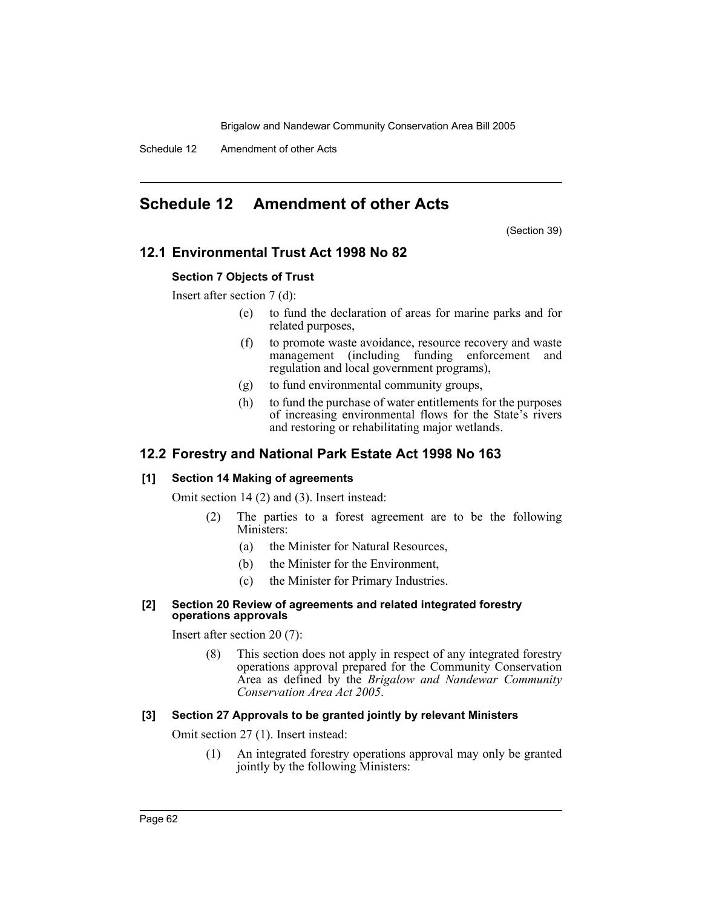Schedule 12 Amendment of other Acts

# <span id="page-64-0"></span>**Schedule 12 Amendment of other Acts**

(Section 39)

# **12.1 Environmental Trust Act 1998 No 82**

### **Section 7 Objects of Trust**

Insert after section 7 (d):

- (e) to fund the declaration of areas for marine parks and for related purposes,
- (f) to promote waste avoidance, resource recovery and waste management (including funding enforcement and regulation and local government programs),
- (g) to fund environmental community groups,
- (h) to fund the purchase of water entitlements for the purposes of increasing environmental flows for the State's rivers and restoring or rehabilitating major wetlands.

# **12.2 Forestry and National Park Estate Act 1998 No 163**

#### **[1] Section 14 Making of agreements**

Omit section 14 (2) and (3). Insert instead:

- (2) The parties to a forest agreement are to be the following Ministers:
	- (a) the Minister for Natural Resources,
	- (b) the Minister for the Environment,
	- (c) the Minister for Primary Industries.

#### **[2] Section 20 Review of agreements and related integrated forestry operations approvals**

Insert after section 20 (7):

(8) This section does not apply in respect of any integrated forestry operations approval prepared for the Community Conservation Area as defined by the *Brigalow and Nandewar Community Conservation Area Act 2005*.

#### **[3] Section 27 Approvals to be granted jointly by relevant Ministers**

Omit section 27 (1). Insert instead:

(1) An integrated forestry operations approval may only be granted jointly by the following Ministers: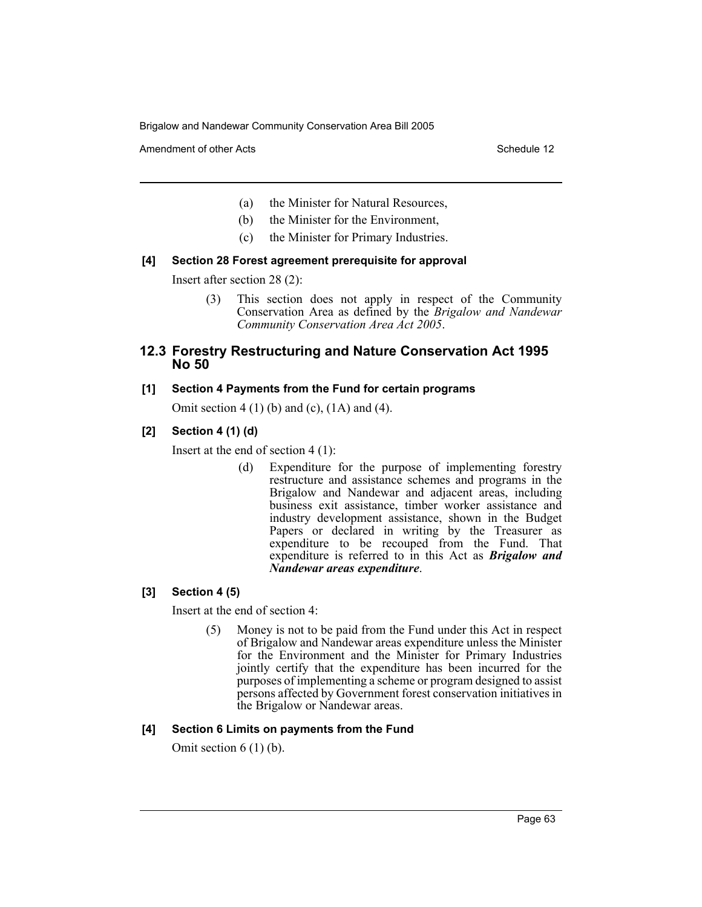Amendment of other Acts **Schedule 12** and the set of the set of the Schedule 12

- (a) the Minister for Natural Resources,
- (b) the Minister for the Environment,
- (c) the Minister for Primary Industries.

### **[4] Section 28 Forest agreement prerequisite for approval**

Insert after section 28 (2):

(3) This section does not apply in respect of the Community Conservation Area as defined by the *Brigalow and Nandewar Community Conservation Area Act 2005*.

# **12.3 Forestry Restructuring and Nature Conservation Act 1995 No 50**

### **[1] Section 4 Payments from the Fund for certain programs**

Omit section 4 (1) (b) and (c),  $(1A)$  and  $(4)$ .

# **[2] Section 4 (1) (d)**

Insert at the end of section 4 (1):

(d) Expenditure for the purpose of implementing forestry restructure and assistance schemes and programs in the Brigalow and Nandewar and adjacent areas, including business exit assistance, timber worker assistance and industry development assistance, shown in the Budget Papers or declared in writing by the Treasurer as expenditure to be recouped from the Fund. That expenditure is referred to in this Act as *Brigalow and Nandewar areas expenditure*.

# **[3] Section 4 (5)**

Insert at the end of section 4:

(5) Money is not to be paid from the Fund under this Act in respect of Brigalow and Nandewar areas expenditure unless the Minister for the Environment and the Minister for Primary Industries jointly certify that the expenditure has been incurred for the purposes of implementing a scheme or program designed to assist persons affected by Government forest conservation initiatives in the Brigalow or Nandewar areas.

# **[4] Section 6 Limits on payments from the Fund**

Omit section 6 (1) (b).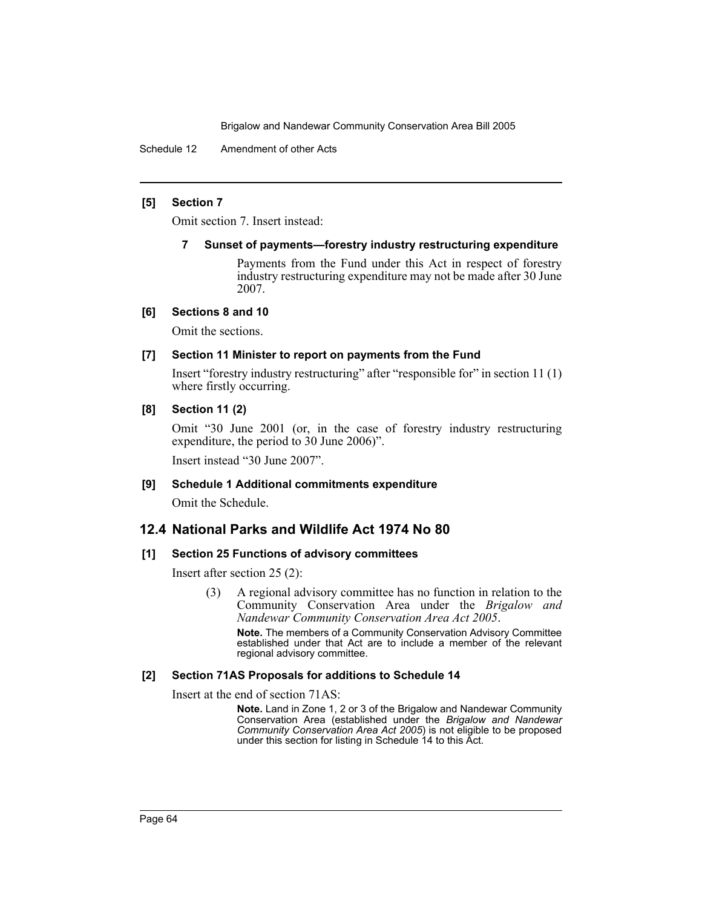Schedule 12 Amendment of other Acts

#### **[5] Section 7**

Omit section 7. Insert instead:

#### **7 Sunset of payments—forestry industry restructuring expenditure**

Payments from the Fund under this Act in respect of forestry industry restructuring expenditure may not be made after 30 June 2007.

### **[6] Sections 8 and 10**

Omit the sections.

### **[7] Section 11 Minister to report on payments from the Fund**

Insert "forestry industry restructuring" after "responsible for" in section 11 (1) where firstly occurring.

### **[8] Section 11 (2)**

Omit "30 June 2001 (or, in the case of forestry industry restructuring expenditure, the period to 30 June 2006)".

Insert instead "30 June 2007".

#### **[9] Schedule 1 Additional commitments expenditure**

Omit the Schedule.

# **12.4 National Parks and Wildlife Act 1974 No 80**

#### **[1] Section 25 Functions of advisory committees**

Insert after section 25 (2):

(3) A regional advisory committee has no function in relation to the Community Conservation Area under the *Brigalow and Nandewar Community Conservation Area Act 2005*.

**Note.** The members of a Community Conservation Advisory Committee established under that Act are to include a member of the relevant regional advisory committee.

#### **[2] Section 71AS Proposals for additions to Schedule 14**

Insert at the end of section 71AS:

**Note.** Land in Zone 1, 2 or 3 of the Brigalow and Nandewar Community Conservation Area (established under the *Brigalow and Nandewar Community Conservation Area Act 2005*) is not eligible to be proposed under this section for listing in Schedule 14 to this Act.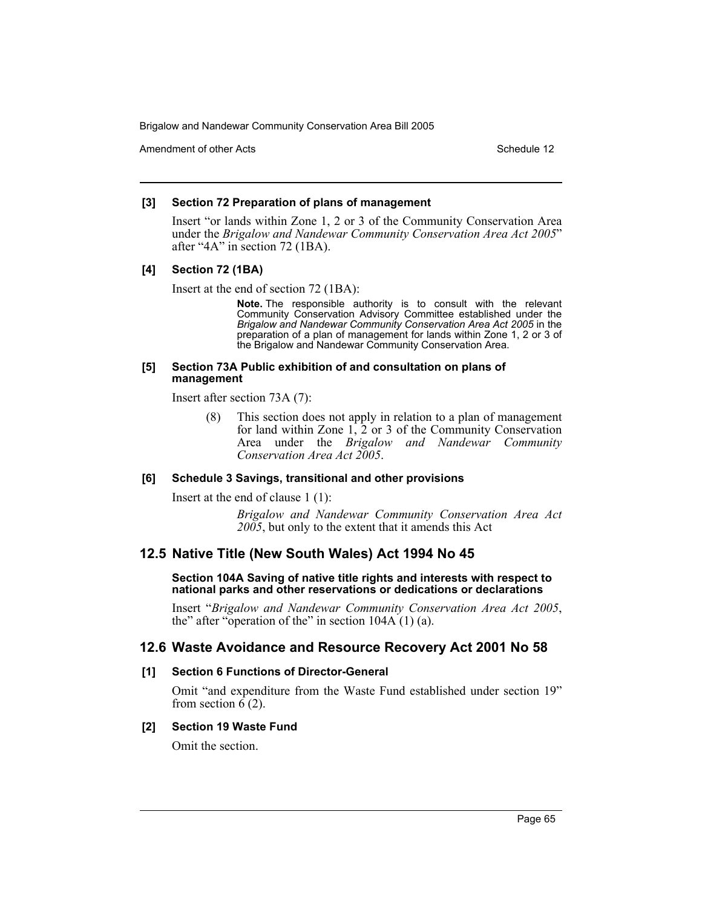Amendment of other Acts **Schedule 12** and the schedule 12 and the schedule 12

#### **[3] Section 72 Preparation of plans of management**

Insert "or lands within Zone 1, 2 or 3 of the Community Conservation Area under the *Brigalow and Nandewar Community Conservation Area Act 2005*" after "4A" in section 72 (1BA).

#### **[4] Section 72 (1BA)**

Insert at the end of section 72 (1BA):

**Note.** The responsible authority is to consult with the relevant Community Conservation Advisory Committee established under the *Brigalow and Nandewar Community Conservation Area Act 2005* in the preparation of a plan of management for lands within Zone 1, 2 or 3 of the Brigalow and Nandewar Community Conservation Area.

#### **[5] Section 73A Public exhibition of and consultation on plans of management**

Insert after section 73A (7):

This section does not apply in relation to a plan of management for land within Zone 1, 2 or 3 of the Community Conservation Area under the *Brigalow and Nandewar Community Conservation Area Act 2005*.

#### **[6] Schedule 3 Savings, transitional and other provisions**

Insert at the end of clause 1 (1):

*Brigalow and Nandewar Community Conservation Area Act 2005*, but only to the extent that it amends this Act

#### **12.5 Native Title (New South Wales) Act 1994 No 45**

#### **Section 104A Saving of native title rights and interests with respect to national parks and other reservations or dedications or declarations**

Insert "*Brigalow and Nandewar Community Conservation Area Act 2005*, the" after "operation of the" in section 104A (1) (a).

# **12.6 Waste Avoidance and Resource Recovery Act 2001 No 58**

#### **[1] Section 6 Functions of Director-General**

Omit "and expenditure from the Waste Fund established under section 19" from section 6 (2).

### **[2] Section 19 Waste Fund**

Omit the section.